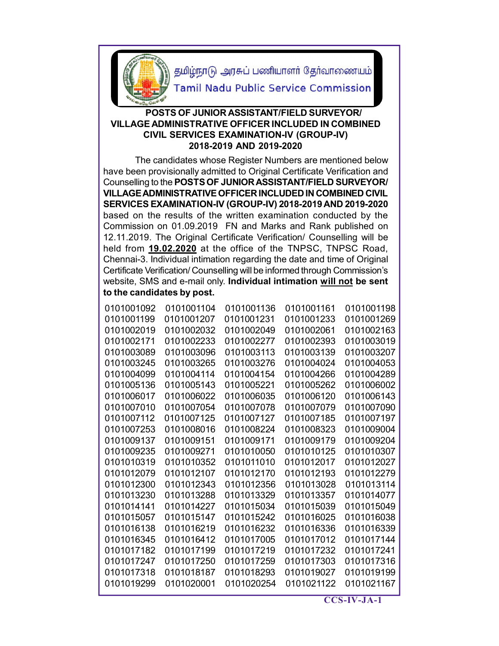

தமிழ்நாடு அரசுப் பணியாளர் தேர்வாணையம்

**Tamil Nadu Public Service Commission** 

## **POSTS OF JUNIOR ASSISTANT/FIELD SURVEYOR/ VILLAGE ADMINISTRATIVE OFFICER INCLUDED IN COMBINED CIVIL SERVICES EXAMINATION-IV (GROUP-IV) 2018-2019 AND 2019-2020**

 The candidates whose Register Numbers are mentioned below have been provisionally admitted to Original Certificate Verification and Counselling to the **POSTS OF JUNIOR ASSISTANT/FIELD SURVEYOR/ VILLAGE ADMINISTRATIVE OFFICER INCLUDED IN COMBINED CIVIL SERVICES EXAMINATION-IV (GROUP-IV) 2018-2019 AND 2019-2020** based on the results of the written examination conducted by the Commission on 01.09.2019 FN and Marks and Rank published on 12.11.2019. The Original Certificate Verification/ Counselling will be held from **19.02.2020** at the office of the TNPSC, TNPSC Road, Chennai-3. Individual intimation regarding the date and time of Original Certificate Verification/ Counselling will be informed through Commission's website, SMS and e-mail only. **Individual intimation will not be sent to the candidates by post.**

| 0101001092 | 0101001104 | 0101001136 | 0101001161 | 0101001198 |
|------------|------------|------------|------------|------------|
| 0101001199 | 0101001207 | 0101001231 | 0101001233 | 0101001269 |
| 0101002019 | 0101002032 | 0101002049 | 0101002061 | 0101002163 |
| 0101002171 | 0101002233 | 0101002277 | 0101002393 | 0101003019 |
| 0101003089 | 0101003096 | 0101003113 | 0101003139 | 0101003207 |
| 0101003245 | 0101003265 | 0101003276 | 0101004024 | 0101004053 |
| 0101004099 | 0101004114 | 0101004154 | 0101004266 | 0101004289 |
| 0101005136 | 0101005143 | 0101005221 | 0101005262 | 0101006002 |
| 0101006017 | 0101006022 | 0101006035 | 0101006120 | 0101006143 |
| 0101007010 | 0101007054 | 0101007078 | 0101007079 | 0101007090 |
| 0101007112 | 0101007125 | 0101007127 | 0101007185 | 0101007197 |
| 0101007253 | 0101008016 | 0101008224 | 0101008323 | 0101009004 |
| 0101009137 | 0101009151 | 0101009171 | 0101009179 | 0101009204 |
| 0101009235 | 0101009271 | 0101010050 | 0101010125 | 0101010307 |
| 0101010319 | 0101010352 | 0101011010 | 0101012017 | 0101012027 |
| 0101012079 | 0101012107 | 0101012170 | 0101012193 | 0101012279 |
| 0101012300 | 0101012343 | 0101012356 | 0101013028 | 0101013114 |
| 0101013230 | 0101013288 | 0101013329 | 0101013357 | 0101014077 |
| 0101014141 | 0101014227 | 0101015034 | 0101015039 | 0101015049 |
| 0101015057 | 0101015147 | 0101015242 | 0101016025 | 0101016038 |
| 0101016138 | 0101016219 | 0101016232 | 0101016336 | 0101016339 |
| 0101016345 | 0101016412 | 0101017005 | 0101017012 | 0101017144 |
| 0101017182 | 0101017199 | 0101017219 | 0101017232 | 0101017241 |
| 0101017247 | 0101017250 | 0101017259 | 0101017303 | 0101017316 |
| 0101017318 | 0101018187 | 0101018293 | 0101019027 | 0101019199 |
| 0101019299 | 0101020001 | 0101020254 | 0101021122 | 0101021167 |
|            |            |            |            |            |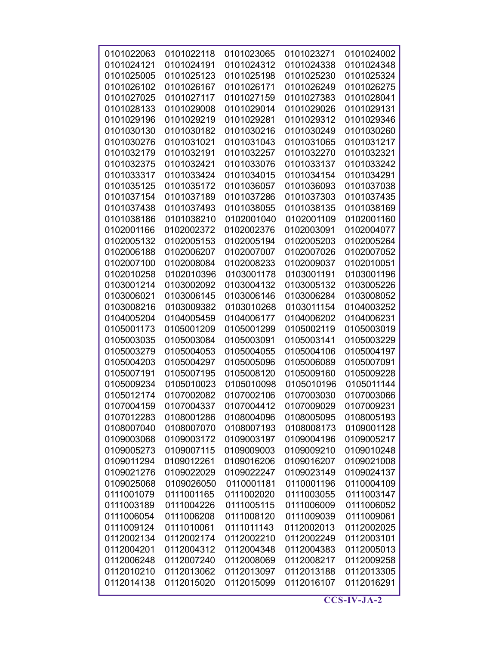| 0101022063 | 0101022118 | 0101023065 | 0101023271 | 0101024002 |
|------------|------------|------------|------------|------------|
| 0101024121 | 0101024191 | 0101024312 | 0101024338 | 0101024348 |
| 0101025005 | 0101025123 | 0101025198 | 0101025230 | 0101025324 |
| 0101026102 | 0101026167 | 0101026171 | 0101026249 | 0101026275 |
| 0101027025 | 0101027117 | 0101027159 | 0101027383 | 0101028041 |
| 0101028133 | 0101029008 | 0101029014 | 0101029026 | 0101029131 |
| 0101029196 | 0101029219 | 0101029281 | 0101029312 | 0101029346 |
| 0101030130 | 0101030182 | 0101030216 | 0101030249 | 0101030260 |
| 0101030276 | 0101031021 | 0101031043 | 0101031065 | 0101031217 |
| 0101032179 | 0101032191 | 0101032257 | 0101032270 | 0101032321 |
| 0101032375 | 0101032421 | 0101033076 | 0101033137 | 0101033242 |
| 0101033317 | 0101033424 | 0101034015 | 0101034154 | 0101034291 |
| 0101035125 | 0101035172 | 0101036057 | 0101036093 | 0101037038 |
| 0101037154 | 0101037189 | 0101037286 | 0101037303 | 0101037435 |
| 0101037438 | 0101037493 | 0101038055 | 0101038135 | 0101038169 |
| 0101038186 | 0101038210 | 0102001040 | 0102001109 | 0102001160 |
| 0102001166 | 0102002372 | 0102002376 | 0102003091 | 0102004077 |
| 0102005132 | 0102005153 | 0102005194 | 0102005203 | 0102005264 |
| 0102006188 | 0102006207 | 0102007007 | 0102007026 | 0102007052 |
| 0102007100 | 0102008084 | 0102008233 | 0102009037 | 0102010051 |
| 0102010258 | 0102010396 | 0103001178 | 0103001191 | 0103001196 |
| 0103001214 | 0103002092 | 0103004132 | 0103005132 | 0103005226 |
| 0103006021 | 0103006145 | 0103006146 | 0103006284 | 0103008052 |
| 0103008216 | 0103009382 | 0103010268 | 0103011154 | 0104003252 |
| 0104005204 | 0104005459 | 0104006177 | 0104006202 | 0104006231 |
| 0105001173 | 0105001209 | 0105001299 | 0105002119 | 0105003019 |
| 0105003035 | 0105003084 | 0105003091 | 0105003141 | 0105003229 |
| 0105003279 | 0105004053 | 0105004055 | 0105004106 | 0105004197 |
| 0105004203 | 0105004297 | 0105005096 | 0105006089 | 0105007091 |
| 0105007191 | 0105007195 | 0105008120 | 0105009160 | 0105009228 |
| 0105009234 | 0105010023 | 0105010098 | 0105010196 | 0105011144 |
| 0105012174 | 0107002082 | 0107002106 | 0107003030 | 0107003066 |
| 0107004159 | 0107004337 | 0107004412 | 0107009029 | 0107009231 |
| 0107012283 | 0108001286 | 0108004096 | 0108005095 | 0108005193 |
| 0108007040 | 0108007070 | 0108007193 | 0108008173 | 0109001128 |
| 0109003068 | 0109003172 | 0109003197 | 0109004196 | 0109005217 |
| 0109005273 | 0109007115 | 0109009003 | 0109009210 | 0109010248 |
| 0109011294 | 0109012261 | 0109016206 | 0109016207 | 0109021008 |
| 0109021276 | 0109022029 | 0109022247 | 0109023149 | 0109024137 |
| 0109025068 | 0109026050 | 0110001181 | 0110001196 | 0110004109 |
| 0111001079 | 0111001165 | 0111002020 | 0111003055 | 0111003147 |
| 0111003189 | 0111004226 | 0111005115 | 0111006009 | 0111006052 |
| 0111006054 | 0111006208 | 0111008120 | 0111009039 | 0111009061 |
| 0111009124 | 0111010061 | 0111011143 | 0112002013 | 0112002025 |
| 0112002134 | 0112002174 | 0112002210 | 0112002249 | 0112003101 |
| 0112004201 | 0112004312 | 0112004348 | 0112004383 | 0112005013 |
| 0112006248 | 0112007240 | 0112008069 | 0112008217 | 0112009258 |
| 0112010210 | 0112013062 | 0112013097 | 0112013188 | 0112013305 |
| 0112014138 | 0112015020 | 0112015099 | 0112016107 | 0112016291 |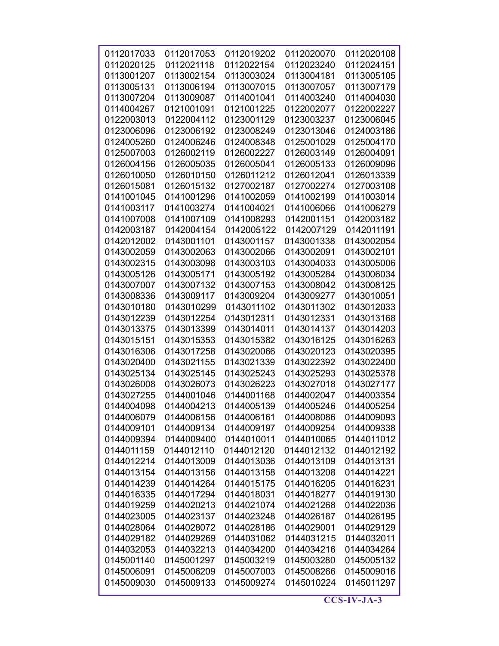| 0112017033               | 0112017053               | 0112019202               | 0112020070               | 0112020108               |
|--------------------------|--------------------------|--------------------------|--------------------------|--------------------------|
| 0112020125               | 0112021118               | 0112022154               | 0112023240               | 0112024151               |
| 0113001207               | 0113002154               | 0113003024               | 0113004181               | 0113005105               |
| 0113005131               | 0113006194               | 0113007015               | 0113007057               | 0113007179               |
| 0113007204               | 0113009087               | 0114001041               | 0114003240               | 0114004030               |
| 0114004267               | 0121001091               | 0121001225               | 0122002077               | 0122002227               |
| 0122003013               | 0122004112               | 0123001129               | 0123003237               | 0123006045               |
| 0123006096               | 0123006192               | 0123008249               | 0123013046               | 0124003186               |
| 0124005260               | 0124006246               | 0124008348               | 0125001029               | 0125004170               |
| 0125007003               | 0126002119               | 0126002227               | 0126003149               | 0126004091               |
| 0126004156               | 0126005035               | 0126005041               | 0126005133               | 0126009096               |
| 0126010050               | 0126010150               | 0126011212               | 0126012041               | 0126013339               |
| 0126015081               | 0126015132               | 0127002187               | 0127002274               | 0127003108               |
| 0141001045               | 0141001296               | 0141002059               | 0141002199               | 0141003014               |
| 0141003117               | 0141003274               | 0141004021               | 0141006066               | 0141006279               |
| 0141007008               | 0141007109               | 0141008293               | 0142001151               | 0142003182               |
| 0142003187               | 0142004154               | 0142005122               | 0142007129               | 0142011191               |
| 0142012002               | 0143001101               | 0143001157               | 0143001338               | 0143002054               |
| 0143002059               | 0143002063               | 0143002066               | 0143002091               | 0143002101               |
| 0143002315               | 0143003098               | 0143003103               | 0143004033               | 0143005006               |
| 0143005126               | 0143005171               | 0143005192               | 0143005284               | 0143006034               |
| 0143007007               | 0143007132               | 0143007153               | 0143008042               | 0143008125               |
| 0143008336               | 0143009117               | 0143009204               | 0143009277               | 0143010051               |
| 0143010180               | 0143010299               | 0143011102               | 0143011302               | 0143012033               |
| 0143012239               | 0143012254               | 0143012311               | 0143012331               | 0143013168               |
| 0143013375               | 0143013399               | 0143014011               | 0143014137               | 0143014203               |
| 0143015151               | 0143015353               | 0143015382               | 0143016125               | 0143016263               |
| 0143016306               | 0143017258               | 0143020066               | 0143020123               | 0143020395               |
| 0143020400               | 0143021155               | 0143021339               | 0143022392               | 0143022400               |
| 0143025134               | 0143025145               | 0143025243               | 0143025293               | 0143025378               |
| 0143026008               | 0143026073               | 0143026223               | 0143027018               | 0143027177               |
| 0143027255               | 0144001046               | 0144001168               | 0144002047               | 0144003354               |
| 0144004098               | 0144004213               | 0144005139               | 0144005246               | 0144005254               |
| 0144006079               | 0144006156               | 0144006161               | 0144008086               | 0144009093               |
| 0144009101               | 0144009134<br>0144009400 | 0144009197               | 0144009254               | 0144009338               |
| 0144009394               |                          | 0144010011               | 0144010065               | 0144011012               |
| 0144011159<br>0144012214 | 0144012110<br>0144013009 | 0144012120<br>0144013036 | 0144012132<br>0144013109 | 0144012192<br>0144013131 |
| 0144013154               | 0144013156               | 0144013158               |                          | 0144014221               |
| 0144014239               | 0144014264               | 0144015175               | 0144013208<br>0144016205 | 0144016231               |
| 0144016335               | 0144017294               | 0144018031               | 0144018277               | 0144019130               |
| 0144019259               | 0144020213               | 0144021074               | 0144021268               | 0144022036               |
| 0144023005               | 0144023137               | 0144023248               | 0144026187               | 0144026195               |
| 0144028064               | 0144028072               | 0144028186               | 0144029001               | 0144029129               |
| 0144029182               | 0144029269               | 0144031062               | 0144031215               | 0144032011               |
| 0144032053               | 0144032213               | 0144034200               | 0144034216               | 0144034264               |
| 0145001140               | 0145001297               | 0145003219               | 0145003280               | 0145005132               |
| 0145006091               | 0145006209               | 0145007003               | 0145008266               | 0145009016               |
| 0145009030               | 0145009133               | 0145009274               | 0145010224               | 0145011297               |
|                          |                          |                          |                          |                          |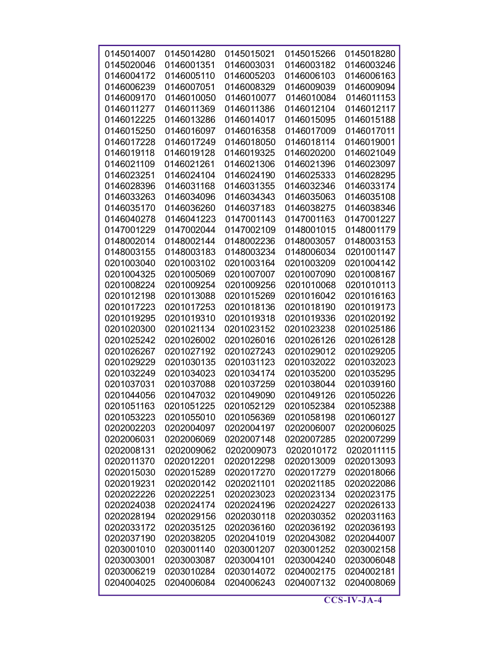| 0145014007 | 0145014280 | 0145015021 | 0145015266 | 0145018280 |
|------------|------------|------------|------------|------------|
| 0145020046 | 0146001351 | 0146003031 | 0146003182 | 0146003246 |
| 0146004172 | 0146005110 | 0146005203 | 0146006103 | 0146006163 |
| 0146006239 | 0146007051 | 0146008329 | 0146009039 | 0146009094 |
| 0146009170 | 0146010050 | 0146010077 | 0146010084 | 0146011153 |
| 0146011277 | 0146011369 | 0146011386 | 0146012104 | 0146012117 |
| 0146012225 | 0146013286 | 0146014017 | 0146015095 | 0146015188 |
| 0146015250 | 0146016097 | 0146016358 | 0146017009 | 0146017011 |
| 0146017228 | 0146017249 | 0146018050 | 0146018114 | 0146019001 |
| 0146019118 | 0146019128 | 0146019325 | 0146020200 | 0146021049 |
| 0146021109 | 0146021261 | 0146021306 | 0146021396 | 0146023097 |
| 0146023251 | 0146024104 | 0146024190 | 0146025333 | 0146028295 |
| 0146028396 | 0146031168 | 0146031355 | 0146032346 | 0146033174 |
| 0146033263 | 0146034096 | 0146034343 | 0146035063 | 0146035108 |
| 0146035170 | 0146036260 | 0146037183 | 0146038275 | 0146038346 |
| 0146040278 | 0146041223 | 0147001143 | 0147001163 | 0147001227 |
| 0147001229 | 0147002044 | 0147002109 | 0148001015 | 0148001179 |
| 0148002014 | 0148002144 | 0148002236 | 0148003057 | 0148003153 |
| 0148003155 | 0148003183 | 0148003234 | 0148006034 | 0201001147 |
| 0201003040 | 0201003102 | 0201003164 | 0201003209 | 0201004142 |
| 0201004325 | 0201005069 | 0201007007 | 0201007090 | 0201008167 |
| 0201008224 | 0201009254 | 0201009256 | 0201010068 | 0201010113 |
| 0201012198 | 0201013088 | 0201015269 | 0201016042 | 0201016163 |
| 0201017223 | 0201017253 | 0201018136 | 0201018190 | 0201019173 |
| 0201019295 | 0201019310 | 0201019318 | 0201019336 | 0201020192 |
| 0201020300 | 0201021134 | 0201023152 | 0201023238 | 0201025186 |
| 0201025242 | 0201026002 | 0201026016 | 0201026126 | 0201026128 |
| 0201026267 | 0201027192 | 0201027243 | 0201029012 | 0201029205 |
| 0201029229 | 0201030135 | 0201031123 | 0201032022 | 0201032023 |
| 0201032249 | 0201034023 | 0201034174 | 0201035200 | 0201035295 |
| 0201037031 | 0201037088 | 0201037259 | 0201038044 | 0201039160 |
| 0201044056 | 0201047032 | 0201049090 | 0201049126 | 0201050226 |
| 0201051163 | 0201051225 | 0201052129 | 0201052384 | 0201052388 |
| 0201053223 | 0201055010 | 0201056369 | 0201058198 | 0201060127 |
| 0202002203 | 0202004097 | 0202004197 | 0202006007 | 0202006025 |
| 0202006031 | 0202006069 | 0202007148 | 0202007285 | 0202007299 |
| 0202008131 | 0202009062 | 0202009073 | 0202010172 | 0202011115 |
| 0202011370 | 0202012201 | 0202012298 | 0202013009 | 0202013093 |
| 0202015030 | 0202015289 | 0202017270 | 0202017279 | 0202018066 |
| 0202019231 | 0202020142 | 0202021101 | 0202021185 | 0202022086 |
| 0202022226 | 0202022251 | 0202023023 | 0202023134 | 0202023175 |
| 0202024038 | 0202024174 | 0202024196 | 0202024227 | 0202026133 |
| 0202028194 | 0202029156 | 0202030118 | 0202030352 | 0202031163 |
| 0202033172 | 0202035125 | 0202036160 | 0202036192 | 0202036193 |
| 0202037190 | 0202038205 | 0202041019 | 0202043082 | 0202044007 |
| 0203001010 | 0203001140 | 0203001207 | 0203001252 | 0203002158 |
| 0203003001 | 0203003087 | 0203004101 | 0203004240 | 0203006048 |
| 0203006219 | 0203010284 | 0203014072 | 0204002175 | 0204002181 |
| 0204004025 | 0204006084 | 0204006243 | 0204007132 | 0204008069 |
|            |            |            |            |            |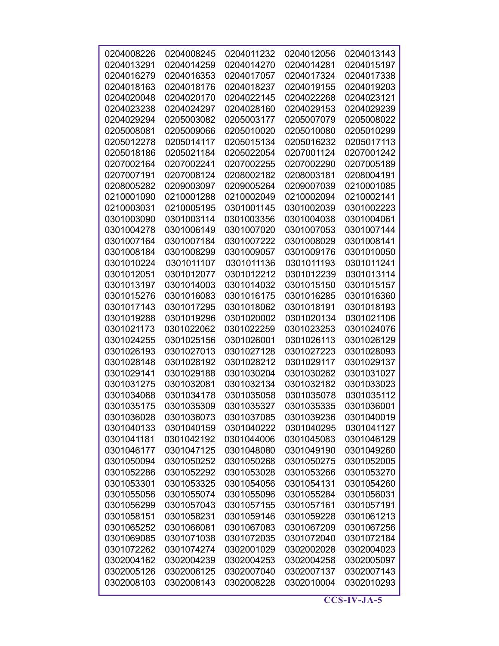| 0204008226 | 0204008245 | 0204011232 | 0204012056 | 0204013143 |
|------------|------------|------------|------------|------------|
| 0204013291 | 0204014259 | 0204014270 | 0204014281 | 0204015197 |
| 0204016279 | 0204016353 | 0204017057 | 0204017324 | 0204017338 |
| 0204018163 | 0204018176 | 0204018237 | 0204019155 | 0204019203 |
| 0204020048 | 0204020170 | 0204022145 | 0204022268 | 0204023121 |
| 0204023238 | 0204024297 | 0204028160 | 0204029153 | 0204029239 |
| 0204029294 | 0205003082 | 0205003177 | 0205007079 | 0205008022 |
| 0205008081 | 0205009066 | 0205010020 | 0205010080 | 0205010299 |
| 0205012278 | 0205014117 | 0205015134 | 0205016232 | 0205017113 |
| 0205018186 | 0205021184 | 0205022054 | 0207001124 | 0207001242 |
| 0207002164 | 0207002241 | 0207002255 | 0207002290 | 0207005189 |
| 0207007191 | 0207008124 | 0208002182 | 0208003181 | 0208004191 |
| 0208005282 | 0209003097 | 0209005264 | 0209007039 | 0210001085 |
| 0210001090 | 0210001288 | 0210002049 | 0210002094 | 0210002141 |
| 0210003031 | 0210005195 | 0301001145 | 0301002039 | 0301002223 |
| 0301003090 | 0301003114 | 0301003356 | 0301004038 | 0301004061 |
| 0301004278 | 0301006149 | 0301007020 | 0301007053 | 0301007144 |
| 0301007164 | 0301007184 | 0301007222 | 0301008029 | 0301008141 |
| 0301008184 | 0301008299 | 0301009057 | 0301009176 | 0301010050 |
| 0301010224 | 0301011107 | 0301011136 | 0301011193 | 0301011241 |
| 0301012051 | 0301012077 | 0301012212 | 0301012239 | 0301013114 |
| 0301013197 | 0301014003 | 0301014032 | 0301015150 | 0301015157 |
| 0301015276 | 0301016083 | 0301016175 | 0301016285 | 0301016360 |
| 0301017143 | 0301017295 | 0301018062 | 0301018191 | 0301018193 |
| 0301019288 | 0301019296 | 0301020002 | 0301020134 | 0301021106 |
| 0301021173 | 0301022062 | 0301022259 | 0301023253 | 0301024076 |
| 0301024255 | 0301025156 | 0301026001 | 0301026113 | 0301026129 |
| 0301026193 | 0301027013 | 0301027128 | 0301027223 | 0301028093 |
| 0301028148 | 0301028192 | 0301028212 | 0301029117 | 0301029137 |
| 0301029141 | 0301029188 | 0301030204 | 0301030262 | 0301031027 |
| 0301031275 | 0301032081 | 0301032134 | 0301032182 | 0301033023 |
| 0301034068 | 0301034178 | 0301035058 | 0301035078 | 0301035112 |
| 0301035175 | 0301035309 | 0301035327 | 0301035335 | 0301036001 |
| 0301036028 | 0301036073 | 0301037085 | 0301039236 | 0301040019 |
| 0301040133 | 0301040159 | 0301040222 | 0301040295 | 0301041127 |
| 0301041181 | 0301042192 | 0301044006 | 0301045083 | 0301046129 |
| 0301046177 | 0301047125 | 0301048080 | 0301049190 | 0301049260 |
| 0301050094 | 0301050252 | 0301050268 | 0301050275 | 0301052005 |
| 0301052286 | 0301052292 | 0301053028 | 0301053266 | 0301053270 |
| 0301053301 | 0301053325 | 0301054056 | 0301054131 | 0301054260 |
| 0301055056 | 0301055074 | 0301055096 | 0301055284 | 0301056031 |
| 0301056299 | 0301057043 | 0301057155 | 0301057161 | 0301057191 |
| 0301058151 | 0301058231 | 0301059146 | 0301059228 | 0301061213 |
| 0301065252 | 0301066081 | 0301067083 | 0301067209 | 0301067256 |
| 0301069085 | 0301071038 | 0301072035 | 0301072040 | 0301072184 |
| 0301072262 | 0301074274 | 0302001029 | 0302002028 | 0302004023 |
| 0302004162 | 0302004239 | 0302004253 | 0302004258 | 0302005097 |
| 0302005126 | 0302006125 | 0302007040 | 0302007137 | 0302007143 |
| 0302008103 | 0302008143 | 0302008228 | 0302010004 | 0302010293 |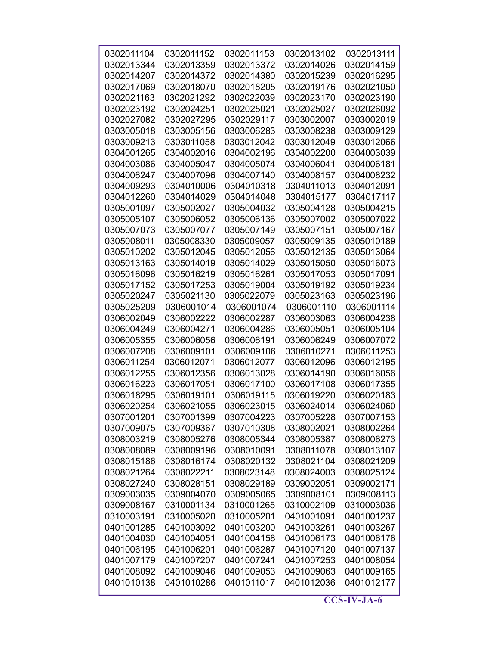| 0302011104 | 0302011152 | 0302011153 | 0302013102 | 0302013111 |
|------------|------------|------------|------------|------------|
| 0302013344 | 0302013359 | 0302013372 | 0302014026 | 0302014159 |
| 0302014207 | 0302014372 | 0302014380 | 0302015239 | 0302016295 |
| 0302017069 | 0302018070 | 0302018205 | 0302019176 | 0302021050 |
| 0302021163 | 0302021292 | 0302022039 | 0302023170 | 0302023190 |
| 0302023192 | 0302024251 | 0302025021 | 0302025027 | 0302026092 |
| 0302027082 | 0302027295 | 0302029117 | 0303002007 | 0303002019 |
| 0303005018 | 0303005156 | 0303006283 | 0303008238 | 0303009129 |
| 0303009213 | 0303011058 | 0303012042 | 0303012049 | 0303012066 |
| 0304001265 | 0304002016 | 0304002196 | 0304002200 | 0304003039 |
| 0304003086 | 0304005047 | 0304005074 | 0304006041 | 0304006181 |
| 0304006247 | 0304007096 | 0304007140 | 0304008157 | 0304008232 |
| 0304009293 | 0304010006 | 0304010318 | 0304011013 | 0304012091 |
| 0304012260 | 0304014029 | 0304014048 | 0304015177 | 0304017117 |
| 0305001097 | 0305002027 | 0305004032 | 0305004128 | 0305004215 |
| 0305005107 | 0305006052 | 0305006136 | 0305007002 | 0305007022 |
| 0305007073 | 0305007077 | 0305007149 | 0305007151 | 0305007167 |
| 0305008011 | 0305008330 | 0305009057 | 0305009135 | 0305010189 |
| 0305010202 | 0305012045 | 0305012056 | 0305012135 | 0305013064 |
| 0305013163 | 0305014019 | 0305014029 | 0305015050 | 0305016073 |
| 0305016096 | 0305016219 | 0305016261 | 0305017053 | 0305017091 |
| 0305017152 | 0305017253 | 0305019004 | 0305019192 | 0305019234 |
| 0305020247 | 0305021130 | 0305022079 | 0305023163 | 0305023196 |
| 0305025209 | 0306001014 | 0306001074 | 0306001110 | 0306001114 |
| 0306002049 | 0306002222 | 0306002287 | 0306003063 | 0306004238 |
| 0306004249 | 0306004271 | 0306004286 | 0306005051 | 0306005104 |
| 0306005355 | 0306006056 | 0306006191 | 0306006249 | 0306007072 |
| 0306007208 | 0306009101 | 0306009106 | 0306010271 | 0306011253 |
| 0306011254 | 0306012071 | 0306012077 | 0306012096 | 0306012195 |
| 0306012255 | 0306012356 | 0306013028 | 0306014190 | 0306016056 |
| 0306016223 | 0306017051 | 0306017100 | 0306017108 | 0306017355 |
| 0306018295 | 0306019101 | 0306019115 | 0306019220 | 0306020183 |
| 0306020254 | 0306021055 | 0306023015 | 0306024014 | 0306024060 |
| 0307001201 | 0307001399 | 0307004223 | 0307005228 | 0307007153 |
| 0307009075 | 0307009367 | 0307010308 | 0308002021 | 0308002264 |
| 0308003219 | 0308005276 | 0308005344 | 0308005387 | 0308006273 |
| 0308008089 | 0308009196 | 0308010091 | 0308011078 | 0308013107 |
| 0308015186 | 0308016174 | 0308020132 | 0308021104 | 0308021209 |
| 0308021264 | 0308022211 | 0308023148 | 0308024003 | 0308025124 |
| 0308027240 | 0308028151 | 0308029189 | 0309002051 | 0309002171 |
| 0309003035 | 0309004070 | 0309005065 | 0309008101 | 0309008113 |
| 0309008167 | 0310001134 | 0310001265 | 0310002109 | 0310003036 |
| 0310003191 | 0310005020 | 0310005201 | 0401001091 | 0401001237 |
| 0401001285 | 0401003092 | 0401003200 | 0401003261 | 0401003267 |
| 0401004030 | 0401004051 | 0401004158 | 0401006173 | 0401006176 |
| 0401006195 | 0401006201 | 0401006287 | 0401007120 | 0401007137 |
| 0401007179 | 0401007207 | 0401007241 | 0401007253 | 0401008054 |
| 0401008092 | 0401009046 | 0401009053 | 0401009063 | 0401009165 |
| 0401010138 | 0401010286 | 0401011017 | 0401012036 | 0401012177 |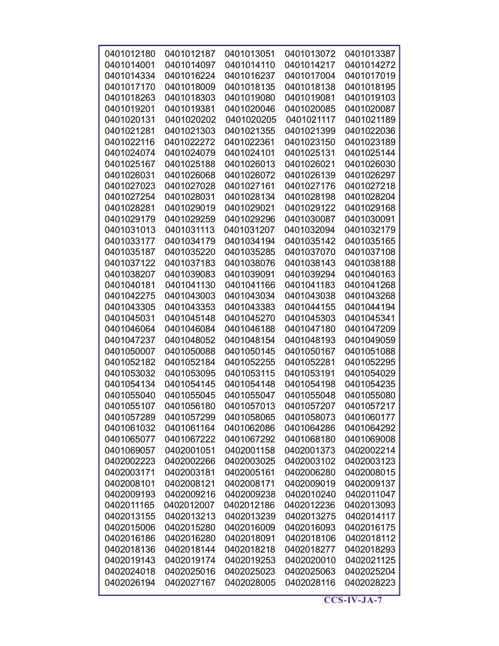| 0401012180 | 0401012187 | 0401013051 | 0401013072 | 0401013387 |
|------------|------------|------------|------------|------------|
| 0401014001 | 0401014097 | 0401014110 | 0401014217 | 0401014272 |
| 0401014334 | 0401016224 | 0401016237 | 0401017004 | 0401017019 |
| 0401017170 | 0401018009 | 0401018135 | 0401018138 | 0401018195 |
| 0401018263 | 0401018303 | 0401019080 | 0401019081 | 0401019103 |
| 0401019201 | 0401019381 | 0401020046 | 0401020085 | 0401020087 |
| 0401020131 | 0401020202 | 0401020205 | 0401021117 | 0401021189 |
| 0401021281 | 0401021303 | 0401021355 | 0401021399 | 0401022036 |
| 0401022116 | 0401022272 | 0401022361 | 0401023150 | 0401023189 |
| 0401024074 | 0401024079 | 0401024101 | 0401025131 | 0401025144 |
| 0401025167 | 0401025188 | 0401026013 | 0401026021 | 0401026030 |
| 0401026031 | 0401026068 | 0401026072 | 0401026139 | 0401026297 |
| 0401027023 | 0401027028 | 0401027161 | 0401027176 | 0401027218 |
| 0401027254 | 0401028031 | 0401028134 | 0401028198 | 0401028204 |
| 0401028281 | 0401029019 | 0401029021 | 0401029122 | 0401029168 |
| 0401029179 | 0401029259 | 0401029296 | 0401030087 | 0401030091 |
| 0401031013 | 0401031113 | 0401031207 | 0401032094 | 0401032179 |
| 0401033177 | 0401034179 | 0401034194 | 0401035142 | 0401035165 |
| 0401035187 | 0401035220 | 0401035285 | 0401037070 | 0401037108 |
| 0401037122 | 0401037183 | 0401038076 | 0401038143 | 0401038188 |
| 0401038207 | 0401039083 | 0401039091 | 0401039294 | 0401040163 |
| 0401040181 | 0401041130 | 0401041166 | 0401041183 | 0401041268 |
| 0401042275 | 0401043003 | 0401043034 | 0401043038 | 0401043268 |
| 0401043305 | 0401043353 | 0401043383 | 0401044155 | 0401044194 |
| 0401045031 | 0401045148 | 0401045270 | 0401045303 | 0401045341 |
| 0401046064 | 0401046084 | 0401046188 | 0401047180 | 0401047209 |
| 0401047237 | 0401048052 | 0401048154 | 0401048193 | 0401049059 |
| 0401050007 | 0401050088 | 0401050145 | 0401050167 | 0401051088 |
| 0401052182 | 0401052184 | 0401052255 | 0401052281 | 0401052295 |
| 0401053032 | 0401053095 | 0401053115 | 0401053191 | 0401054029 |
| 0401054134 | 0401054145 | 0401054148 | 0401054198 | 0401054235 |
| 0401055040 | 0401055045 | 0401055047 | 0401055048 | 0401055080 |
| 0401055107 | 0401056180 | 0401057013 | 0401057207 | 0401057217 |
| 0401057289 | 0401057299 | 0401058065 | 0401058073 | 0401060177 |
| 0401061032 | 0401061164 | 0401062086 | 0401064286 | 0401064292 |
| 0401065077 | 0401067222 | 0401067292 | 0401068180 | 0401069008 |
| 0401069057 | 0402001051 | 0402001158 | 0402001373 | 0402002214 |
| 0402002223 | 0402002266 | 0402003025 | 0402003102 | 0402003123 |
| 0402003171 | 0402003181 | 0402005161 | 0402006280 | 0402008015 |
| 0402008101 | 0402008121 | 0402008171 | 0402009019 | 0402009137 |
| 0402009193 | 0402009216 | 0402009238 | 0402010240 | 0402011047 |
| 0402011165 | 0402012007 | 0402012186 | 0402012236 | 0402013093 |
| 0402013155 | 0402013213 | 0402013239 | 0402013275 | 0402014117 |
| 0402015006 | 0402015280 | 0402016009 | 0402016093 | 0402016175 |
| 0402016186 | 0402016280 | 0402018091 | 0402018106 | 0402018112 |
| 0402018136 | 0402018144 | 0402018218 | 0402018277 | 0402018293 |
| 0402019143 | 0402019174 | 0402019253 | 0402020010 | 0402021125 |
| 0402024018 | 0402025016 | 0402025023 | 0402025063 | 0402025204 |
| 0402026194 | 0402027167 | 0402028005 | 0402028116 | 0402028223 |
|            |            |            |            |            |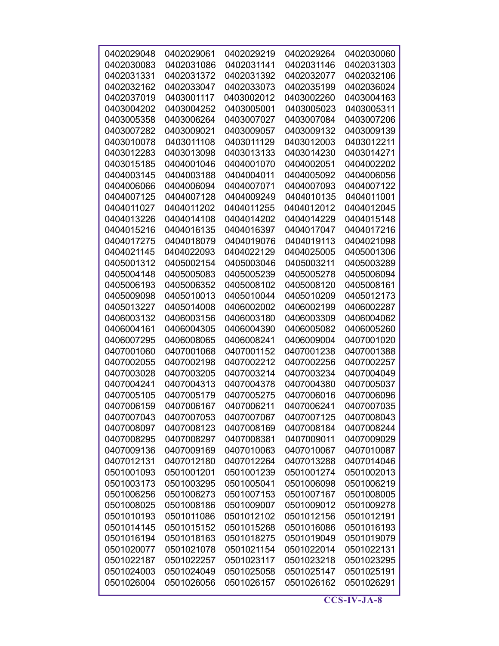| 0402029048 | 0402029061 | 0402029219 | 0402029264 | 0402030060 |
|------------|------------|------------|------------|------------|
| 0402030083 | 0402031086 | 0402031141 | 0402031146 | 0402031303 |
| 0402031331 | 0402031372 | 0402031392 | 0402032077 | 0402032106 |
| 0402032162 | 0402033047 | 0402033073 | 0402035199 | 0402036024 |
| 0402037019 | 0403001117 | 0403002012 | 0403002260 | 0403004163 |
| 0403004202 | 0403004252 | 0403005001 | 0403005023 | 0403005311 |
| 0403005358 | 0403006264 | 0403007027 | 0403007084 | 0403007206 |
| 0403007282 | 0403009021 | 0403009057 | 0403009132 | 0403009139 |
| 0403010078 | 0403011108 | 0403011129 | 0403012003 | 0403012211 |
| 0403012283 | 0403013098 | 0403013133 | 0403014230 | 0403014271 |
| 0403015185 | 0404001046 | 0404001070 | 0404002051 | 0404002202 |
| 0404003145 | 0404003188 | 0404004011 | 0404005092 | 0404006056 |
|            |            | 0404007071 | 0404007093 | 0404007122 |
| 0404006066 | 0404006094 |            |            |            |
| 0404007125 | 0404007128 | 0404009249 | 0404010135 | 0404011001 |
| 0404011027 | 0404011202 | 0404011255 | 0404012012 | 0404012045 |
| 0404013226 | 0404014108 | 0404014202 | 0404014229 | 0404015148 |
| 0404015216 | 0404016135 | 0404016397 | 0404017047 | 0404017216 |
| 0404017275 | 0404018079 | 0404019076 | 0404019113 | 0404021098 |
| 0404021145 | 0404022093 | 0404022129 | 0404025005 | 0405001306 |
| 0405001312 | 0405002154 | 0405003046 | 0405003211 | 0405003289 |
| 0405004148 | 0405005083 | 0405005239 | 0405005278 | 0405006094 |
| 0405006193 | 0405006352 | 0405008102 | 0405008120 | 0405008161 |
| 0405009098 | 0405010013 | 0405010044 | 0405010209 | 0405012173 |
| 0405013227 | 0405014008 | 0406002002 | 0406002199 | 0406002287 |
| 0406003132 | 0406003156 | 0406003180 | 0406003309 | 0406004062 |
| 0406004161 | 0406004305 | 0406004390 | 0406005082 | 0406005260 |
| 0406007295 | 0406008065 | 0406008241 | 0406009004 | 0407001020 |
| 0407001060 | 0407001068 | 0407001152 | 0407001238 | 0407001388 |
| 0407002055 | 0407002198 | 0407002212 | 0407002256 | 0407002257 |
| 0407003028 | 0407003205 | 0407003214 | 0407003234 | 0407004049 |
| 0407004241 | 0407004313 | 0407004378 | 0407004380 | 0407005037 |
| 0407005105 | 0407005179 | 0407005275 | 0407006016 | 0407006096 |
| 0407006159 | 0407006167 | 0407006211 | 0407006241 | 0407007035 |
| 0407007043 | 0407007053 | 0407007067 | 0407007125 | 0407008043 |
| 0407008097 | 0407008123 | 0407008169 | 0407008184 | 0407008244 |
| 0407008295 | 0407008297 | 0407008381 | 0407009011 | 0407009029 |
| 0407009136 | 0407009169 | 0407010063 | 0407010067 | 0407010087 |
| 0407012131 | 0407012180 | 0407012264 | 0407013288 | 0407014046 |
| 0501001093 | 0501001201 | 0501001239 | 0501001274 | 0501002013 |
| 0501003173 | 0501003295 | 0501005041 | 0501006098 | 0501006219 |
| 0501006256 | 0501006273 | 0501007153 | 0501007167 | 0501008005 |
| 0501008025 | 0501008186 | 0501009007 | 0501009012 | 0501009278 |
| 0501010193 | 0501011086 | 0501012102 | 0501012156 | 0501012191 |
| 0501014145 | 0501015152 | 0501015268 | 0501016086 | 0501016193 |
| 0501016194 | 0501018163 | 0501018275 | 0501019049 | 0501019079 |
| 0501020077 | 0501021078 | 0501021154 | 0501022014 | 0501022131 |
| 0501022187 | 0501022257 | 0501023117 | 0501023218 | 0501023295 |
| 0501024003 | 0501024049 | 0501025058 | 0501025147 | 0501025191 |
|            |            |            |            |            |
| 0501026004 | 0501026056 | 0501026157 | 0501026162 | 0501026291 |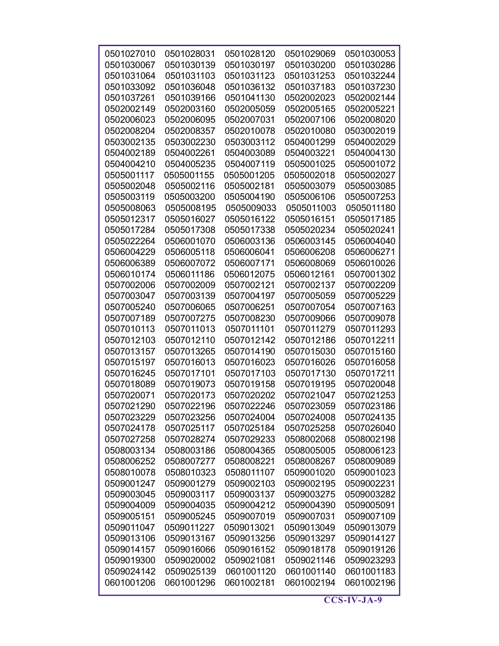| 0501027010 | 0501028031 | 0501028120 | 0501029069 | 0501030053 |
|------------|------------|------------|------------|------------|
| 0501030067 | 0501030139 | 0501030197 | 0501030200 | 0501030286 |
| 0501031064 | 0501031103 | 0501031123 | 0501031253 | 0501032244 |
| 0501033092 | 0501036048 | 0501036132 | 0501037183 | 0501037230 |
|            |            |            |            |            |
| 0501037261 | 0501039166 | 0501041130 | 0502002023 | 0502002144 |
| 0502002149 | 0502003160 | 0502005059 | 0502005165 | 0502005221 |
| 0502006023 | 0502006095 | 0502007031 | 0502007106 | 0502008020 |
| 0502008204 | 0502008357 | 0502010078 | 0502010080 | 0503002019 |
| 0503002135 | 0503002230 | 0503003112 | 0504001299 | 0504002029 |
| 0504002189 | 0504002261 | 0504003089 | 0504003221 | 0504004130 |
| 0504004210 | 0504005235 | 0504007119 | 0505001025 | 0505001072 |
| 0505001117 | 0505001155 | 0505001205 | 0505002018 | 0505002027 |
| 0505002048 | 0505002116 | 0505002181 | 0505003079 | 0505003085 |
| 0505003119 | 0505003200 | 0505004190 | 0505006106 | 0505007253 |
| 0505008063 | 0505008195 | 0505009033 | 0505011003 | 0505011180 |
| 0505012317 | 0505016027 | 0505016122 | 0505016151 | 0505017185 |
| 0505017284 | 0505017308 | 0505017338 | 0505020234 | 0505020241 |
| 0505022264 | 0506001070 | 0506003136 | 0506003145 | 0506004040 |
| 0506004229 | 0506005118 | 0506006041 | 0506006208 | 0506006271 |
| 0506006389 | 0506007072 | 0506007171 | 0506008069 | 0506010026 |
| 0506010174 | 0506011186 | 0506012075 | 0506012161 | 0507001302 |
| 0507002006 | 0507002009 | 0507002121 | 0507002137 | 0507002209 |
| 0507003047 | 0507003139 | 0507004197 | 0507005059 | 0507005229 |
| 0507005240 | 0507006065 | 0507006251 | 0507007054 | 0507007163 |
| 0507007189 | 0507007275 | 0507008230 | 0507009066 | 0507009078 |
| 0507010113 | 0507011013 | 0507011101 | 0507011279 | 0507011293 |
| 0507012103 | 0507012110 | 0507012142 | 0507012186 | 0507012211 |
| 0507013157 | 0507013265 | 0507014190 | 0507015030 | 0507015160 |
| 0507015197 | 0507016013 | 0507016023 | 0507016026 | 0507016058 |
| 0507016245 | 0507017101 | 0507017103 | 0507017130 | 0507017211 |
| 0507018089 | 0507019073 | 0507019158 | 0507019195 | 0507020048 |
| 0507020071 | 0507020173 | 0507020202 | 0507021047 | 0507021253 |
| 0507021290 | 0507022196 | 0507022246 | 0507023059 | 0507023186 |
| 0507023229 | 0507023256 | 0507024004 | 0507024008 | 0507024135 |
| 0507024178 | 0507025117 | 0507025184 | 0507025258 | 0507026040 |
| 0507027258 | 0507028274 | 0507029233 | 0508002068 | 0508002198 |
| 0508003134 | 0508003186 | 0508004365 | 0508005005 | 0508006123 |
| 0508006252 | 0508007277 | 0508008221 | 0508008267 | 0508009089 |
| 0508010078 | 0508010323 | 0508011107 | 0509001020 | 0509001023 |
| 0509001247 | 0509001279 | 0509002103 | 0509002195 | 0509002231 |
| 0509003045 | 0509003117 | 0509003137 | 0509003275 | 0509003282 |
| 0509004009 | 0509004035 | 0509004212 | 0509004390 | 0509005091 |
| 0509005151 | 0509005245 | 0509007019 | 0509007031 | 0509007109 |
| 0509011047 | 0509011227 | 0509013021 | 0509013049 | 0509013079 |
| 0509013106 | 0509013167 | 0509013256 | 0509013297 | 0509014127 |
| 0509014157 | 0509016066 | 0509016152 | 0509018178 | 0509019126 |
| 0509019300 | 0509020002 | 0509021081 | 0509021146 | 0509023293 |
| 0509024142 | 0509025139 | 0601001120 | 0601001140 | 0601001183 |
| 0601001206 | 0601001296 | 0601002181 | 0601002194 | 0601002196 |
|            |            |            |            |            |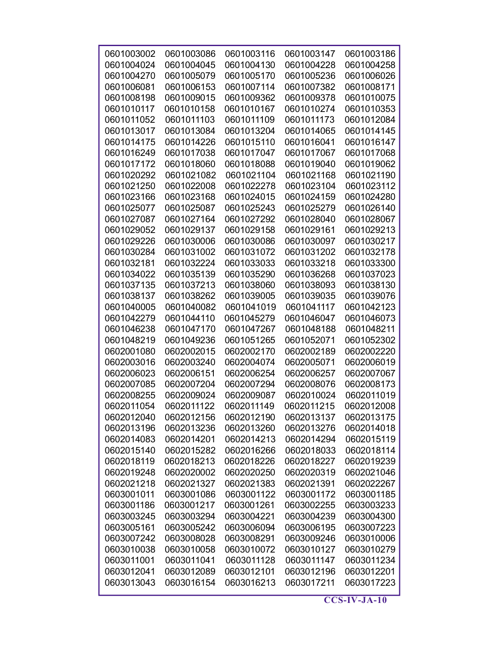| 0601003002 | 0601003086 | 0601003116 | 0601003147 | 0601003186 |
|------------|------------|------------|------------|------------|
| 0601004024 | 0601004045 | 0601004130 | 0601004228 | 0601004258 |
| 0601004270 | 0601005079 | 0601005170 | 0601005236 | 0601006026 |
| 0601006081 | 0601006153 | 0601007114 | 0601007382 | 0601008171 |
| 0601008198 | 0601009015 | 0601009362 | 0601009378 | 0601010075 |
| 0601010117 | 0601010158 | 0601010167 | 0601010274 | 0601010353 |
| 0601011052 | 0601011103 | 0601011109 | 0601011173 | 0601012084 |
| 0601013017 | 0601013084 | 0601013204 | 0601014065 | 0601014145 |
| 0601014175 | 0601014226 | 0601015110 | 0601016041 | 0601016147 |
| 0601016249 | 0601017038 | 0601017047 | 0601017067 | 0601017068 |
| 0601017172 | 0601018060 | 0601018088 | 0601019040 | 0601019062 |
| 0601020292 | 0601021082 | 0601021104 | 0601021168 | 0601021190 |
| 0601021250 | 0601022008 | 0601022278 | 0601023104 | 0601023112 |
| 0601023166 | 0601023168 | 0601024015 | 0601024159 | 0601024280 |
| 0601025077 | 0601025087 | 0601025243 | 0601025279 | 0601026140 |
| 0601027087 | 0601027164 | 0601027292 | 0601028040 | 0601028067 |
| 0601029052 | 0601029137 | 0601029158 | 0601029161 | 0601029213 |
| 0601029226 | 0601030006 | 0601030086 | 0601030097 | 0601030217 |
| 0601030284 | 0601031002 | 0601031072 | 0601031202 | 0601032178 |
| 0601032181 | 0601032224 | 0601033033 | 0601033218 | 0601033300 |
| 0601034022 | 0601035139 | 0601035290 | 0601036268 | 0601037023 |
| 0601037135 | 0601037213 | 0601038060 | 0601038093 | 0601038130 |
| 0601038137 | 0601038262 | 0601039005 | 0601039035 | 0601039076 |
| 0601040005 | 0601040082 | 0601041019 | 0601041117 | 0601042123 |
| 0601042279 | 0601044110 | 0601045279 | 0601046047 | 0601046073 |
| 0601046238 | 0601047170 | 0601047267 | 0601048188 | 0601048211 |
| 0601048219 | 0601049236 | 0601051265 | 0601052071 | 0601052302 |
| 0602001080 | 0602002015 | 0602002170 | 0602002189 | 0602002220 |
| 0602003016 | 0602003240 | 0602004074 | 0602005071 | 0602006019 |
| 0602006023 | 0602006151 | 0602006254 | 0602006257 | 0602007067 |
| 0602007085 | 0602007204 | 0602007294 | 0602008076 | 0602008173 |
| 0602008255 | 0602009024 | 0602009087 | 0602010024 | 0602011019 |
| 0602011054 | 0602011122 | 0602011149 | 0602011215 | 0602012008 |
| 0602012040 | 0602012156 | 0602012190 | 0602013137 | 0602013175 |
| 0602013196 | 0602013236 | 0602013260 | 0602013276 | 0602014018 |
| 0602014083 | 0602014201 | 0602014213 | 0602014294 | 0602015119 |
| 0602015140 | 0602015282 | 0602016266 | 0602018033 | 0602018114 |
| 0602018119 | 0602018213 | 0602018226 | 0602018227 | 0602019239 |
| 0602019248 | 0602020002 | 0602020250 | 0602020319 | 0602021046 |
| 0602021218 | 0602021327 | 0602021383 | 0602021391 | 0602022267 |
| 0603001011 | 0603001086 | 0603001122 | 0603001172 | 0603001185 |
| 0603001186 | 0603001217 | 0603001261 | 0603002255 | 0603003233 |
| 0603003245 | 0603003294 | 0603004221 | 0603004239 | 0603004300 |
| 0603005161 | 0603005242 | 0603006094 | 0603006195 | 0603007223 |
| 0603007242 | 0603008028 | 0603008291 | 0603009246 | 0603010006 |
| 0603010038 | 0603010058 | 0603010072 | 0603010127 | 0603010279 |
| 0603011001 | 0603011041 | 0603011128 | 0603011147 | 0603011234 |
| 0603012041 | 0603012089 | 0603012101 | 0603012196 | 0603012201 |
| 0603013043 | 0603016154 | 0603016213 | 0603017211 | 0603017223 |
|            |            |            |            |            |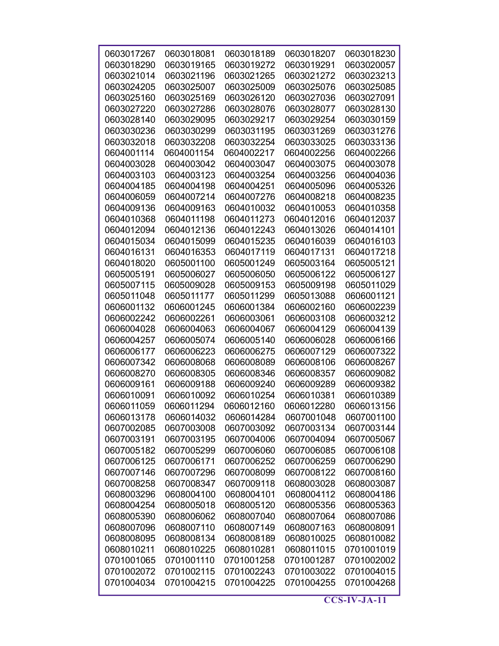| 0603017267 | 0603018081 | 0603018189 | 0603018207 | 0603018230 |
|------------|------------|------------|------------|------------|
| 0603018290 | 0603019165 | 0603019272 | 0603019291 | 0603020057 |
| 0603021014 | 0603021196 | 0603021265 | 0603021272 | 0603023213 |
| 0603024205 | 0603025007 | 0603025009 | 0603025076 | 0603025085 |
| 0603025160 | 0603025169 | 0603026120 | 0603027036 | 0603027091 |
| 0603027220 | 0603027286 | 0603028076 | 0603028077 | 0603028130 |
| 0603028140 | 0603029095 | 0603029217 | 0603029254 | 0603030159 |
| 0603030236 | 0603030299 | 0603031195 | 0603031269 | 0603031276 |
| 0603032018 | 0603032208 | 0603032254 | 0603033025 | 0603033136 |
| 0604001114 | 0604001154 | 0604002217 | 0604002256 | 0604002266 |
| 0604003028 | 0604003042 | 0604003047 | 0604003075 | 0604003078 |
| 0604003103 | 0604003123 | 0604003254 | 0604003256 | 0604004036 |
| 0604004185 | 0604004198 | 0604004251 | 0604005096 | 0604005326 |
| 0604006059 | 0604007214 | 0604007276 | 0604008218 | 0604008235 |
| 0604009136 | 0604009163 | 0604010032 | 0604010053 | 0604010358 |
| 0604010368 | 0604011198 | 0604011273 | 0604012016 | 0604012037 |
| 0604012094 | 0604012136 | 0604012243 | 0604013026 | 0604014101 |
| 0604015034 | 0604015099 | 0604015235 | 0604016039 | 0604016103 |
| 0604016131 | 0604016353 | 0604017119 | 0604017131 | 0604017218 |
| 0604018020 | 0605001100 | 0605001249 | 0605003164 | 0605005121 |
| 0605005191 | 0605006027 | 0605006050 | 0605006122 | 0605006127 |
| 0605007115 | 0605009028 | 0605009153 | 0605009198 | 0605011029 |
| 0605011048 | 0605011177 | 0605011299 | 0605013088 | 0606001121 |
| 0606001132 | 0606001245 | 0606001384 | 0606002160 | 0606002239 |
| 0606002242 | 0606002261 | 0606003061 | 0606003108 | 0606003212 |
| 0606004028 | 0606004063 | 0606004067 | 0606004129 | 0606004139 |
| 0606004257 | 0606005074 | 0606005140 | 0606006028 | 0606006166 |
| 0606006177 | 0606006223 | 0606006275 | 0606007129 | 0606007322 |
| 0606007342 | 0606008068 | 0606008089 | 0606008106 | 0606008267 |
| 0606008270 | 0606008305 | 0606008346 | 0606008357 | 0606009082 |
| 0606009161 | 0606009188 | 0606009240 | 0606009289 | 0606009382 |
| 0606010091 | 0606010092 | 0606010254 | 0606010381 | 0606010389 |
| 0606011059 | 0606011294 | 0606012160 | 0606012280 | 0606013156 |
| 0606013178 | 0606014032 | 0606014284 | 0607001048 | 0607001100 |
| 0607002085 | 0607003008 | 0607003092 | 0607003134 | 0607003144 |
| 0607003191 | 0607003195 | 0607004006 | 0607004094 | 0607005067 |
| 0607005182 | 0607005299 | 0607006060 | 0607006085 | 0607006108 |
| 0607006125 | 0607006171 | 0607006252 | 0607006259 | 0607006290 |
| 0607007146 | 0607007296 | 0607008099 | 0607008122 | 0607008160 |
| 0607008258 | 0607008347 | 0607009118 | 0608003028 | 0608003087 |
| 0608003296 | 0608004100 | 0608004101 | 0608004112 | 0608004186 |
| 0608004254 | 0608005018 | 0608005120 | 0608005356 | 0608005363 |
| 0608005390 | 0608006062 | 0608007040 | 0608007064 | 0608007086 |
| 0608007096 | 0608007110 | 0608007149 | 0608007163 | 0608008091 |
| 0608008095 | 0608008134 | 0608008189 | 0608010025 | 0608010082 |
| 0608010211 | 0608010225 | 0608010281 | 0608011015 | 0701001019 |
| 0701001065 | 0701001110 | 0701001258 | 0701001287 | 0701002002 |
| 0701002072 | 0701002115 | 0701002243 | 0701003022 | 0701004015 |
| 0701004034 | 0701004215 | 0701004225 | 0701004255 | 0701004268 |
|            |            |            |            |            |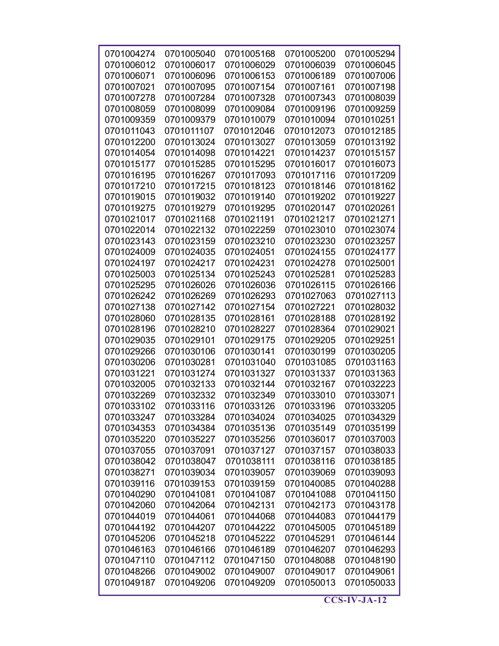| 0701004274               | 0701005040               | 0701005168               | 0701005200               | 0701005294               |
|--------------------------|--------------------------|--------------------------|--------------------------|--------------------------|
| 0701006012               | 0701006017               | 0701006029               | 0701006039               | 0701006045               |
| 0701006071               | 0701006096               | 0701006153               | 0701006189               | 0701007006               |
| 0701007021               | 0701007095               | 0701007154               | 0701007161               | 0701007198               |
| 0701007278               | 0701007284               | 0701007328               | 0701007343               | 0701008039               |
| 0701008059               | 0701008099               | 0701009084               | 0701009196               | 0701009259               |
| 0701009359               | 0701009379               | 0701010079               | 0701010094               | 0701010251               |
| 0701011043               | 0701011107               | 0701012046               | 0701012073               | 0701012185               |
| 0701012200               | 0701013024               | 0701013027               | 0701013059               | 0701013192               |
| 0701014054               | 0701014098               | 0701014221               | 0701014237               | 0701015157               |
| 0701015177               | 0701015285               | 0701015295               | 0701016017               | 0701016073               |
| 0701016195               | 0701016267               | 0701017093               | 0701017116               | 0701017209               |
| 0701017210               | 0701017215               | 0701018123               | 0701018146               | 0701018162               |
| 0701019015               | 0701019032               | 0701019140               | 0701019202               | 0701019227               |
| 0701019275               | 0701019279               | 0701019295               | 0701020147               | 0701020261               |
| 0701021017               | 0701021168               | 0701021191               | 0701021217               | 0701021271               |
| 0701022014               | 0701022132               | 0701022259               | 0701023010               | 0701023074               |
| 0701023143               | 0701023159               | 0701023210               | 0701023230               | 0701023257               |
| 0701024009               | 0701024035               | 0701024051               | 0701024155               | 0701024177               |
| 0701024197               | 0701024217               | 0701024231               | 0701024278               | 0701025001               |
| 0701025003               | 0701025134               | 0701025243               | 0701025281               | 0701025283               |
| 0701025295               | 0701026026               | 0701026036               | 0701026115               | 0701026166               |
| 0701026242               | 0701026269               | 0701026293               | 0701027063               | 0701027113               |
| 0701027138               | 0701027142               | 0701027154               | 0701027221               | 0701028032               |
| 0701028060               | 0701028135               | 0701028161               | 0701028188               | 0701028192               |
| 0701028196               | 0701028210               | 0701028227               | 0701028364               | 0701029021               |
| 0701029035               | 0701029101               | 0701029175               | 0701029205               | 0701029251               |
| 0701029266               | 0701030106               | 0701030141               | 0701030199               | 0701030205               |
| 0701030206               | 0701030281               | 0701031040               | 0701031085               | 0701031163               |
| 0701031221               | 0701031274               | 0701031327               | 0701031337               | 0701031363               |
| 0701032005               | 0701032133               | 0701032144               | 0701032167               | 0701032223               |
| 0701032269               | 0701032332               | 0701032349               | 0701033010               | 0701033071               |
| 0701033102               | 0701033116               | 0701033126               | 0701033196               | 0701033205               |
| 0701033247               | 0701033284               | 0701034024               | 0701034025               | 0701034329               |
| 0701034353               | 0701034384               | 0701035136               | 0701035149               | 0701035199               |
| 0701035220               | 0701035227               | 0701035256               | 0701036017               | 0701037003               |
| 0701037055               | 0701037091               | 0701037127               | 0701037157               | 0701038033               |
| 0701038042               | 0701038047               | 0701038111               | 0701038116               | 0701038185               |
| 0701038271               | 0701039034               | 0701039057               | 0701039069               | 0701039093               |
| 0701039116               | 0701039153               | 0701039159               | 0701040085               | 0701040288               |
| 0701040290               | 0701041081               | 0701041087               | 0701041088               | 0701041150               |
| 0701042060               | 0701042064               | 0701042131               | 0701042173               | 0701043178               |
| 0701044019               | 0701044061               | 0701044068               | 0701044083               | 0701044179               |
| 0701044192               | 0701044207               | 0701044222               | 0701045005               | 0701045189               |
| 0701045206<br>0701046163 | 0701045218<br>0701046166 | 0701045222<br>0701046189 | 0701045291<br>0701046207 | 0701046144<br>0701046293 |
| 0701047110               | 0701047112               | 0701047150               | 0701048088               | 0701048190               |
| 0701048266               | 0701049002               | 0701049007               | 0701049017               | 0701049061               |
| 0701049187               | 0701049206               | 0701049209               | 0701050013               | 0701050033               |
|                          |                          |                          |                          |                          |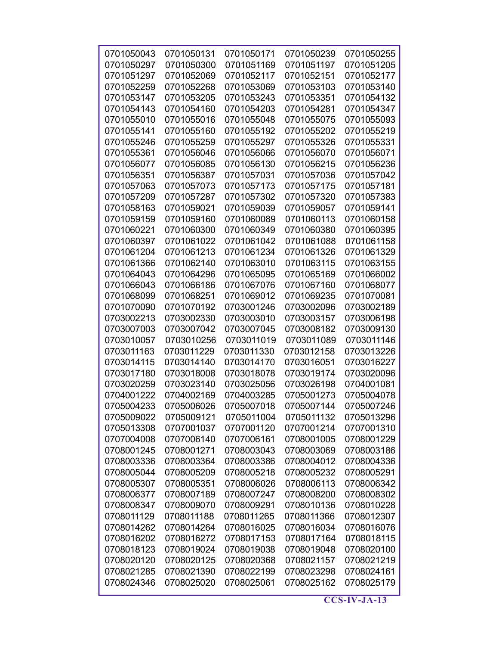| 0701050043 | 0701050131 | 0701050171 | 0701050239 | 0701050255 |
|------------|------------|------------|------------|------------|
| 0701050297 | 0701050300 | 0701051169 | 0701051197 | 0701051205 |
| 0701051297 | 0701052069 | 0701052117 | 0701052151 | 0701052177 |
| 0701052259 | 0701052268 | 0701053069 | 0701053103 | 0701053140 |
| 0701053147 | 0701053205 | 0701053243 | 0701053351 | 0701054132 |
| 0701054143 | 0701054160 | 0701054203 | 0701054281 | 0701054347 |
| 0701055010 | 0701055016 | 0701055048 | 0701055075 | 0701055093 |
| 0701055141 | 0701055160 | 0701055192 | 0701055202 | 0701055219 |
| 0701055246 | 0701055259 | 0701055297 | 0701055326 | 0701055331 |
| 0701055361 | 0701056046 | 0701056066 | 0701056070 | 0701056071 |
| 0701056077 | 0701056085 | 0701056130 | 0701056215 | 0701056236 |
| 0701056351 | 0701056387 | 0701057031 | 0701057036 | 0701057042 |
| 0701057063 | 0701057073 | 0701057173 | 0701057175 | 0701057181 |
| 0701057209 | 0701057287 | 0701057302 | 0701057320 | 0701057383 |
| 0701058163 | 0701059021 | 0701059039 | 0701059057 | 0701059141 |
| 0701059159 | 0701059160 | 0701060089 | 0701060113 | 0701060158 |
| 0701060221 | 0701060300 | 0701060349 | 0701060380 | 0701060395 |
| 0701060397 | 0701061022 | 0701061042 | 0701061088 | 0701061158 |
| 0701061204 | 0701061213 | 0701061234 | 0701061326 | 0701061329 |
| 0701061366 | 0701062140 | 0701063010 | 0701063115 | 0701063155 |
| 0701064043 | 0701064296 | 0701065095 | 0701065169 | 0701066002 |
| 0701066043 | 0701066186 | 0701067076 | 0701067160 | 0701068077 |
| 0701068099 | 0701068251 | 0701069012 | 0701069235 | 0701070081 |
| 0701070090 | 0701070192 | 0703001246 | 0703002096 | 0703002189 |
| 0703002213 | 0703002330 | 0703003010 | 0703003157 | 0703006198 |
| 0703007003 | 0703007042 | 0703007045 | 0703008182 | 0703009130 |
| 0703010057 | 0703010256 | 0703011019 | 0703011089 | 0703011146 |
| 0703011163 | 0703011229 | 0703011330 | 0703012158 | 0703013226 |
| 0703014115 | 0703014140 | 0703014170 | 0703016051 | 0703016227 |
| 0703017180 | 0703018008 | 0703018078 | 0703019174 | 0703020096 |
| 0703020259 | 0703023140 | 0703025056 | 0703026198 | 0704001081 |
| 0704001222 | 0704002169 | 0704003285 | 0705001273 | 0705004078 |
| 0705004233 | 0705006026 | 0705007018 | 0705007144 | 0705007246 |
| 0705009022 | 0705009121 | 0705011004 | 0705011132 | 0705013296 |
| 0705013308 | 0707001037 | 0707001120 | 0707001214 | 0707001310 |
| 0707004008 | 0707006140 | 0707006161 | 0708001005 | 0708001229 |
| 0708001245 | 0708001271 | 0708003043 | 0708003069 | 0708003186 |
| 0708003336 | 0708003364 | 0708003386 | 0708004012 | 0708004336 |
| 0708005044 | 0708005209 | 0708005218 | 0708005232 | 0708005291 |
| 0708005307 | 0708005351 | 0708006026 | 0708006113 | 0708006342 |
| 0708006377 | 0708007189 | 0708007247 | 0708008200 | 0708008302 |
| 0708008347 | 0708009070 | 0708009291 | 0708010136 | 0708010228 |
| 0708011129 | 0708011188 | 0708011265 | 0708011366 | 0708012307 |
| 0708014262 | 0708014264 | 0708016025 | 0708016034 | 0708016076 |
| 0708016202 | 0708016272 | 0708017153 | 0708017164 | 0708018115 |
| 0708018123 | 0708019024 | 0708019038 | 0708019048 | 0708020100 |
| 0708020120 | 0708020125 | 0708020368 | 0708021157 | 0708021219 |
| 0708021285 | 0708021390 | 0708022199 | 0708023298 | 0708024161 |
| 0708024346 | 0708025020 | 0708025061 | 0708025162 | 0708025179 |
|            |            |            |            |            |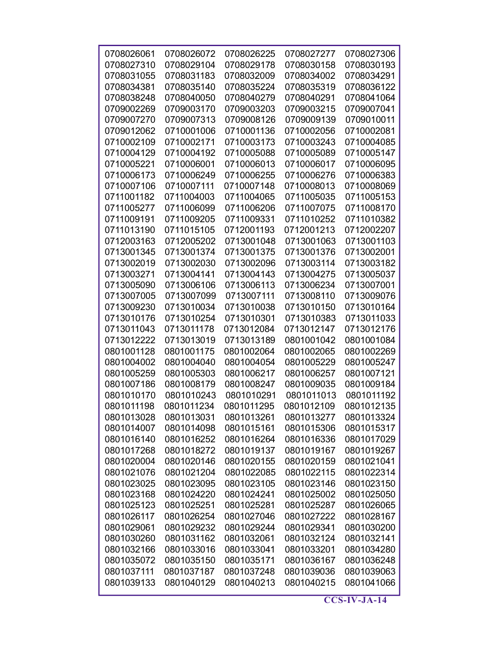| 0708026061 | 0708026072 | 0708026225 | 0708027277 | 0708027306 |
|------------|------------|------------|------------|------------|
| 0708027310 | 0708029104 | 0708029178 | 0708030158 | 0708030193 |
| 0708031055 | 0708031183 | 0708032009 | 0708034002 | 0708034291 |
| 0708034381 | 0708035140 | 0708035224 | 0708035319 | 0708036122 |
| 0708038248 | 0708040050 | 0708040279 | 0708040291 | 0708041064 |
| 0709002269 | 0709003170 | 0709003203 | 0709003215 | 0709007041 |
| 0709007270 | 0709007313 | 0709008126 | 0709009139 | 0709010011 |
| 0709012062 | 0710001006 | 0710001136 | 0710002056 | 0710002081 |
| 0710002109 | 0710002171 | 0710003173 | 0710003243 | 0710004085 |
| 0710004129 | 0710004192 | 0710005088 | 0710005089 | 0710005147 |
| 0710005221 | 0710006001 | 0710006013 | 0710006017 | 0710006095 |
| 0710006173 | 0710006249 | 0710006255 | 0710006276 | 0710006383 |
| 0710007106 | 0710007111 | 0710007148 | 0710008013 | 0710008069 |
| 0711001182 | 0711004003 | 0711004065 | 0711005035 | 0711005153 |
| 0711005277 | 0711006099 | 0711006206 | 0711007075 | 0711008170 |
| 0711009191 | 0711009205 | 0711009331 | 0711010252 | 0711010382 |
| 0711013190 | 0711015105 | 0712001193 | 0712001213 | 0712002207 |
| 0712003163 | 0712005202 | 0713001048 | 0713001063 | 0713001103 |
| 0713001345 | 0713001374 | 0713001375 | 0713001376 | 0713002001 |
| 0713002019 | 0713002030 | 0713002096 | 0713003114 | 0713003182 |
| 0713003271 | 0713004141 | 0713004143 | 0713004275 | 0713005037 |
| 0713005090 | 0713006106 | 0713006113 | 0713006234 | 0713007001 |
| 0713007005 | 0713007099 | 0713007111 | 0713008110 | 0713009076 |
| 0713009230 | 0713010034 | 0713010038 | 0713010150 | 0713010164 |
| 0713010176 | 0713010254 | 0713010301 | 0713010383 | 0713011033 |
| 0713011043 | 0713011178 | 0713012084 | 0713012147 | 0713012176 |
| 0713012222 | 0713013019 | 0713013189 | 0801001042 | 0801001084 |
| 0801001128 | 0801001175 | 0801002064 | 0801002065 | 0801002269 |
| 0801004002 | 0801004040 | 0801004054 | 0801005229 | 0801005247 |
| 0801005259 | 0801005303 | 0801006217 | 0801006257 | 0801007121 |
| 0801007186 | 0801008179 | 0801008247 | 0801009035 | 0801009184 |
| 0801010170 | 0801010243 | 0801010291 | 0801011013 | 0801011192 |
| 0801011198 | 0801011234 | 0801011295 | 0801012109 | 0801012135 |
| 0801013028 | 0801013031 | 0801013261 | 0801013277 | 0801013324 |
| 0801014007 | 0801014098 | 0801015161 | 0801015306 | 0801015317 |
| 0801016140 | 0801016252 | 0801016264 | 0801016336 | 0801017029 |
| 0801017268 | 0801018272 | 0801019137 | 0801019167 | 0801019267 |
| 0801020004 | 0801020146 | 0801020155 | 0801020159 | 0801021041 |
| 0801021076 | 0801021204 | 0801022085 | 0801022115 | 0801022314 |
| 0801023025 | 0801023095 | 0801023105 | 0801023146 | 0801023150 |
| 0801023168 | 0801024220 | 0801024241 | 0801025002 | 0801025050 |
| 0801025123 | 0801025251 | 0801025281 | 0801025287 | 0801026065 |
| 0801026117 | 0801026254 | 0801027046 | 0801027222 | 0801028167 |
| 0801029061 | 0801029232 | 0801029244 | 0801029341 | 0801030200 |
| 0801030260 | 0801031162 | 0801032061 | 0801032124 | 0801032141 |
| 0801032166 | 0801033016 | 0801033041 | 0801033201 | 0801034280 |
| 0801035072 | 0801035150 | 0801035171 | 0801036167 | 0801036248 |
| 0801037111 | 0801037187 | 0801037248 | 0801039036 | 0801039063 |
| 0801039133 | 0801040129 | 0801040213 | 0801040215 | 0801041066 |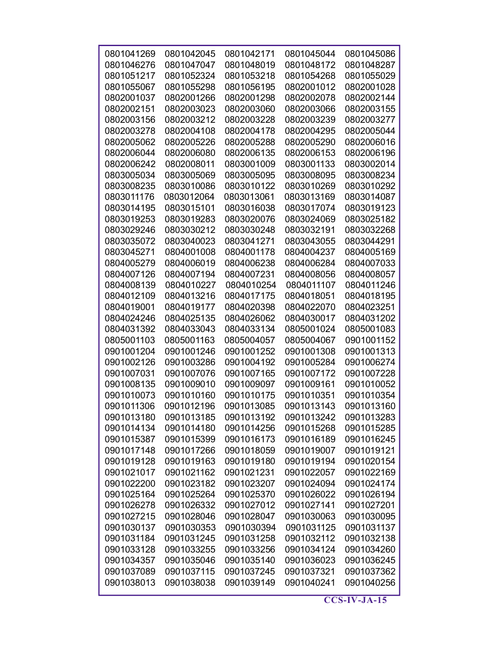| 0801041269 | 0801042045 | 0801042171 | 0801045044 | 0801045086 |
|------------|------------|------------|------------|------------|
| 0801046276 | 0801047047 | 0801048019 | 0801048172 | 0801048287 |
| 0801051217 | 0801052324 | 0801053218 | 0801054268 | 0801055029 |
| 0801055067 | 0801055298 | 0801056195 | 0802001012 | 0802001028 |
| 0802001037 | 0802001266 | 0802001298 | 0802002078 | 0802002144 |
| 0802002151 | 0802003023 | 0802003060 | 0802003066 | 0802003155 |
| 0802003156 | 0802003212 | 0802003228 | 0802003239 | 0802003277 |
| 0802003278 | 0802004108 | 0802004178 | 0802004295 | 0802005044 |
| 0802005062 | 0802005226 | 0802005288 | 0802005290 | 0802006016 |
| 0802006044 | 0802006080 | 0802006135 | 0802006153 | 0802006196 |
| 0802006242 | 0802008011 | 0803001009 | 0803001133 | 0803002014 |
| 0803005034 | 0803005069 | 0803005095 | 0803008095 | 0803008234 |
| 0803008235 | 0803010086 | 0803010122 | 0803010269 | 0803010292 |
| 0803011176 | 0803012064 | 0803013061 | 0803013169 | 0803014087 |
| 0803014195 | 0803015101 | 0803016038 | 0803017074 | 0803019123 |
| 0803019253 | 0803019283 | 0803020076 | 0803024069 | 0803025182 |
| 0803029246 | 0803030212 | 0803030248 | 0803032191 | 0803032268 |
| 0803035072 | 0803040023 | 0803041271 | 0803043055 | 0803044291 |
| 0803045271 | 0804001008 | 0804001178 | 0804004237 | 0804005169 |
| 0804005279 | 0804006019 | 0804006238 | 0804006284 | 0804007033 |
| 0804007126 | 0804007194 | 0804007231 | 0804008056 | 0804008057 |
| 0804008139 | 0804010227 | 0804010254 | 0804011107 | 0804011246 |
| 0804012109 | 0804013216 | 0804017175 | 0804018051 | 0804018195 |
| 0804019001 | 0804019177 | 0804020398 | 0804022070 | 0804023251 |
| 0804024246 | 0804025135 | 0804026062 | 0804030017 | 0804031202 |
| 0804031392 | 0804033043 | 0804033134 | 0805001024 | 0805001083 |
| 0805001103 | 0805001163 | 0805004057 | 0805004067 | 0901001152 |
| 0901001204 | 0901001246 | 0901001252 | 0901001308 | 0901001313 |
| 0901002126 | 0901003286 | 0901004192 | 0901005284 | 0901006274 |
| 0901007031 | 0901007076 | 0901007165 | 0901007172 | 0901007228 |
| 0901008135 | 0901009010 | 0901009097 | 0901009161 | 0901010052 |
| 0901010073 | 0901010160 | 0901010175 | 0901010351 | 0901010354 |
| 0901011306 | 0901012196 | 0901013085 | 0901013143 | 0901013160 |
| 0901013180 | 0901013185 | 0901013192 | 0901013242 | 0901013283 |
| 0901014134 | 0901014180 | 0901014256 | 0901015268 | 0901015285 |
| 0901015387 | 0901015399 | 0901016173 | 0901016189 | 0901016245 |
| 0901017148 | 0901017266 | 0901018059 | 0901019007 | 0901019121 |
| 0901019128 | 0901019163 | 0901019180 | 0901019194 | 0901020154 |
| 0901021017 | 0901021162 | 0901021231 | 0901022057 | 0901022169 |
| 0901022200 | 0901023182 | 0901023207 | 0901024094 | 0901024174 |
| 0901025164 | 0901025264 | 0901025370 | 0901026022 | 0901026194 |
| 0901026278 | 0901026332 | 0901027012 | 0901027141 | 0901027201 |
| 0901027215 | 0901028046 | 0901028047 | 0901030063 | 0901030095 |
| 0901030137 | 0901030353 | 0901030394 | 0901031125 | 0901031137 |
| 0901031184 | 0901031245 | 0901031258 | 0901032112 | 0901032138 |
| 0901033128 | 0901033255 | 0901033256 | 0901034124 | 0901034260 |
| 0901034357 | 0901035046 | 0901035140 | 0901036023 | 0901036245 |
| 0901037089 | 0901037115 | 0901037245 | 0901037321 | 0901037362 |
| 0901038013 | 0901038038 | 0901039149 | 0901040241 | 0901040256 |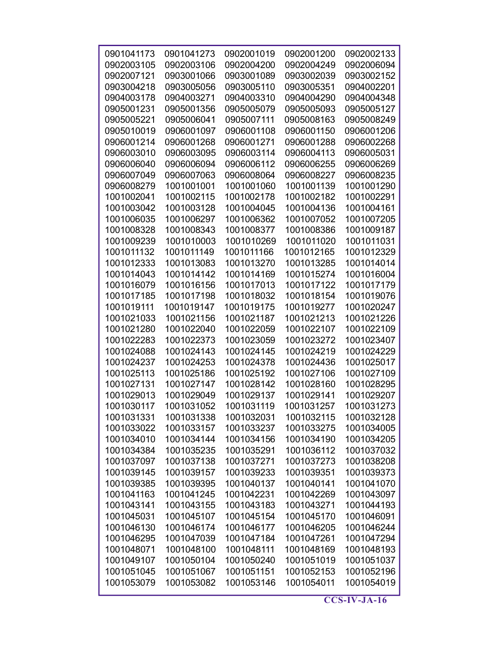| 0901041173 | 0901041273 | 0902001019 | 0902001200 | 0902002133 |
|------------|------------|------------|------------|------------|
| 0902003105 | 0902003106 | 0902004200 | 0902004249 | 0902006094 |
| 0902007121 | 0903001066 | 0903001089 | 0903002039 | 0903002152 |
| 0903004218 | 0903005056 | 0903005110 | 0903005351 | 0904002201 |
| 0904003178 | 0904003271 | 0904003310 | 0904004290 | 0904004348 |
| 0905001231 | 0905001356 | 0905005079 | 0905005093 | 0905005127 |
| 0905005221 | 0905006041 | 0905007111 | 0905008163 | 0905008249 |
| 0905010019 | 0906001097 | 0906001108 | 0906001150 | 0906001206 |
| 0906001214 | 0906001268 | 0906001271 | 0906001288 | 0906002268 |
| 0906003010 | 0906003095 | 0906003114 | 0906004113 | 0906005031 |
| 0906006040 | 0906006094 | 0906006112 | 0906006255 | 0906006269 |
| 0906007049 | 0906007063 | 0906008064 | 0906008227 | 0906008235 |
| 0906008279 | 1001001001 | 1001001060 | 1001001139 | 1001001290 |
| 1001002041 | 1001002115 | 1001002178 | 1001002182 | 1001002291 |
| 1001003042 | 1001003128 | 1001004045 | 1001004136 | 1001004161 |
| 1001006035 | 1001006297 | 1001006362 | 1001007052 | 1001007205 |
| 1001008328 | 1001008343 | 1001008377 | 1001008386 | 1001009187 |
| 1001009239 | 1001010003 | 1001010269 | 1001011020 | 1001011031 |
| 1001011132 | 1001011149 | 1001011166 | 1001012165 | 1001012329 |
| 1001012333 | 1001013083 | 1001013270 | 1001013285 | 1001014014 |
| 1001014043 | 1001014142 | 1001014169 | 1001015274 | 1001016004 |
| 1001016079 | 1001016156 | 1001017013 | 1001017122 | 1001017179 |
| 1001017185 | 1001017198 | 1001018032 | 1001018154 | 1001019076 |
| 1001019111 | 1001019147 | 1001019175 | 1001019277 | 1001020247 |
| 1001021033 | 1001021156 | 1001021187 | 1001021213 | 1001021226 |
| 1001021280 | 1001022040 | 1001022059 | 1001022107 | 1001022109 |
| 1001022283 | 1001022373 | 1001023059 | 1001023272 | 1001023407 |
| 1001024088 | 1001024143 | 1001024145 | 1001024219 | 1001024229 |
| 1001024237 | 1001024253 | 1001024378 | 1001024436 | 1001025017 |
| 1001025113 | 1001025186 | 1001025192 | 1001027106 | 1001027109 |
| 1001027131 | 1001027147 | 1001028142 | 1001028160 | 1001028295 |
| 1001029013 | 1001029049 | 1001029137 | 1001029141 | 1001029207 |
| 1001030117 | 1001031052 | 1001031119 | 1001031257 | 1001031273 |
| 1001031331 | 1001031338 | 1001032031 | 1001032115 | 1001032128 |
| 1001033022 | 1001033157 | 1001033237 | 1001033275 | 1001034005 |
| 1001034010 | 1001034144 | 1001034156 | 1001034190 | 1001034205 |
| 1001034384 | 1001035235 | 1001035291 | 1001036112 | 1001037032 |
| 1001037097 | 1001037138 | 1001037271 | 1001037273 | 1001038208 |
| 1001039145 | 1001039157 | 1001039233 | 1001039351 | 1001039373 |
| 1001039385 | 1001039395 | 1001040137 | 1001040141 | 1001041070 |
| 1001041163 | 1001041245 | 1001042231 | 1001042269 | 1001043097 |
| 1001043141 | 1001043155 | 1001043183 | 1001043271 | 1001044193 |
| 1001045031 | 1001045107 | 1001045154 | 1001045170 | 1001046091 |
| 1001046130 | 1001046174 | 1001046177 | 1001046205 | 1001046244 |
| 1001046295 | 1001047039 | 1001047184 | 1001047261 | 1001047294 |
| 1001048071 | 1001048100 | 1001048111 | 1001048169 | 1001048193 |
| 1001049107 | 1001050104 | 1001050240 | 1001051019 | 1001051037 |
| 1001051045 | 1001051067 | 1001051151 | 1001052153 | 1001052196 |
| 1001053079 | 1001053082 | 1001053146 | 1001054011 | 1001054019 |
|            |            |            |            |            |

 $\overline{\text{CCS-IV-JA-16}}$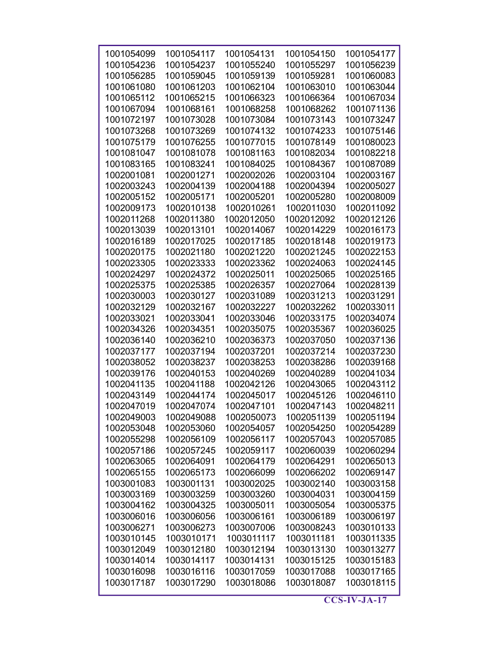| 1001054099 | 1001054117 | 1001054131 | 1001054150 | 1001054177 |
|------------|------------|------------|------------|------------|
| 1001054236 | 1001054237 | 1001055240 | 1001055297 | 1001056239 |
| 1001056285 | 1001059045 | 1001059139 | 1001059281 | 1001060083 |
| 1001061080 | 1001061203 | 1001062104 | 1001063010 | 1001063044 |
|            |            |            |            |            |
| 1001065112 | 1001065215 | 1001066323 | 1001066364 | 1001067034 |
| 1001067094 | 1001068161 | 1001068258 | 1001068262 | 1001071136 |
| 1001072197 | 1001073028 | 1001073084 | 1001073143 | 1001073247 |
| 1001073268 | 1001073269 | 1001074132 | 1001074233 | 1001075146 |
| 1001075179 | 1001076255 | 1001077015 | 1001078149 | 1001080023 |
| 1001081047 | 1001081078 | 1001081163 | 1001082034 | 1001082218 |
| 1001083165 | 1001083241 | 1001084025 | 1001084367 | 1001087089 |
| 1002001081 | 1002001271 | 1002002026 | 1002003104 | 1002003167 |
| 1002003243 | 1002004139 | 1002004188 | 1002004394 | 1002005027 |
| 1002005152 | 1002005171 | 1002005201 | 1002005280 | 1002008009 |
| 1002009173 | 1002010138 | 1002010261 | 1002011030 | 1002011092 |
| 1002011268 | 1002011380 | 1002012050 | 1002012092 | 1002012126 |
| 1002013039 | 1002013101 | 1002014067 | 1002014229 | 1002016173 |
| 1002016189 | 1002017025 | 1002017185 | 1002018148 | 1002019173 |
| 1002020175 | 1002021180 | 1002021220 | 1002021245 | 1002022153 |
| 1002023305 | 1002023333 | 1002023362 | 1002024063 | 1002024145 |
| 1002024297 | 1002024372 | 1002025011 | 1002025065 | 1002025165 |
| 1002025375 | 1002025385 | 1002026357 | 1002027064 | 1002028139 |
| 1002030003 | 1002030127 | 1002031089 | 1002031213 | 1002031291 |
| 1002032129 | 1002032167 | 1002032227 | 1002032262 | 1002033011 |
| 1002033021 | 1002033041 | 1002033046 | 1002033175 | 1002034074 |
| 1002034326 | 1002034351 | 1002035075 | 1002035367 | 1002036025 |
| 1002036140 | 1002036210 | 1002036373 | 1002037050 | 1002037136 |
| 1002037177 | 1002037194 | 1002037201 | 1002037214 | 1002037230 |
| 1002038052 | 1002038237 | 1002038253 | 1002038286 | 1002039168 |
| 1002039176 | 1002040153 | 1002040269 | 1002040289 | 1002041034 |
| 1002041135 | 1002041188 | 1002042126 | 1002043065 | 1002043112 |
| 1002043149 | 1002044174 | 1002045017 | 1002045126 | 1002046110 |
| 1002047019 | 1002047074 | 1002047101 | 1002047143 | 1002048211 |
| 1002049003 | 1002049088 | 1002050073 | 1002051139 | 1002051194 |
| 1002053048 | 1002053060 | 1002054057 | 1002054250 | 1002054289 |
| 1002055298 | 1002056109 | 1002056117 | 1002057043 | 1002057085 |
| 1002057186 | 1002057245 | 1002059117 | 1002060039 | 1002060294 |
| 1002063065 | 1002064091 | 1002064179 | 1002064291 | 1002065013 |
| 1002065155 | 1002065173 | 1002066099 | 1002066202 | 1002069147 |
| 1003001083 | 1003001131 | 1003002025 | 1003002140 | 1003003158 |
| 1003003169 | 1003003259 | 1003003260 | 1003004031 | 1003004159 |
| 1003004162 | 1003004325 | 1003005011 | 1003005054 | 1003005375 |
| 1003006016 | 1003006056 | 1003006161 | 1003006189 | 1003006197 |
| 1003006271 | 1003006273 | 1003007006 | 1003008243 | 1003010133 |
| 1003010145 | 1003010171 | 1003011117 | 1003011181 | 1003011335 |
| 1003012049 | 1003012180 | 1003012194 | 1003013130 | 1003013277 |
| 1003014014 | 1003014117 | 1003014131 | 1003015125 | 1003015183 |
| 1003016098 | 1003016116 | 1003017059 | 1003017088 | 1003017165 |
| 1003017187 | 1003017290 | 1003018086 | 1003018087 | 1003018115 |
|            |            |            |            |            |

 $\overline{\text{CCS-IV-JA-17}}$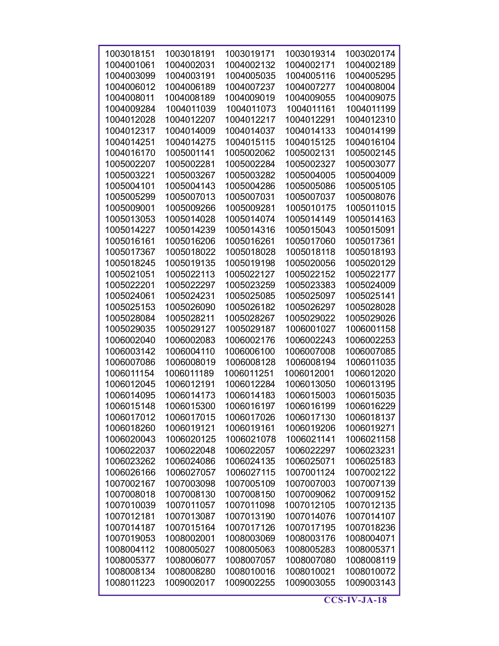| 1003018151 | 1003018191 | 1003019171 | 1003019314 | 1003020174 |
|------------|------------|------------|------------|------------|
| 1004001061 | 1004002031 | 1004002132 | 1004002171 | 1004002189 |
| 1004003099 | 1004003191 | 1004005035 | 1004005116 | 1004005295 |
| 1004006012 | 1004006189 | 1004007237 | 1004007277 | 1004008004 |
| 1004008011 | 1004008189 | 1004009019 | 1004009055 | 1004009075 |
| 1004009284 | 1004011039 | 1004011073 | 1004011161 | 1004011199 |
| 1004012028 | 1004012207 | 1004012217 | 1004012291 | 1004012310 |
| 1004012317 | 1004014009 | 1004014037 | 1004014133 | 1004014199 |
| 1004014251 | 1004014275 | 1004015115 | 1004015125 | 1004016104 |
| 1004016170 | 1005001141 | 1005002062 | 1005002131 | 1005002145 |
| 1005002207 | 1005002281 | 1005002284 | 1005002327 | 1005003077 |
|            |            |            |            |            |
| 1005003221 | 1005003267 | 1005003282 | 1005004005 | 1005004009 |
| 1005004101 | 1005004143 | 1005004286 | 1005005086 | 1005005105 |
| 1005005299 | 1005007013 | 1005007031 | 1005007037 | 1005008076 |
| 1005009001 | 1005009266 | 1005009281 | 1005010175 | 1005011015 |
| 1005013053 | 1005014028 | 1005014074 | 1005014149 | 1005014163 |
| 1005014227 | 1005014239 | 1005014316 | 1005015043 | 1005015091 |
| 1005016161 | 1005016206 | 1005016261 | 1005017060 | 1005017361 |
| 1005017367 | 1005018022 | 1005018028 | 1005018118 | 1005018193 |
| 1005018245 | 1005019135 | 1005019198 | 1005020056 | 1005020129 |
| 1005021051 | 1005022113 | 1005022127 | 1005022152 | 1005022177 |
| 1005022201 | 1005022297 | 1005023259 | 1005023383 | 1005024009 |
| 1005024061 | 1005024231 | 1005025085 | 1005025097 | 1005025141 |
| 1005025153 | 1005026090 | 1005026182 | 1005026297 | 1005028028 |
| 1005028084 | 1005028211 | 1005028267 | 1005029022 | 1005029026 |
| 1005029035 | 1005029127 | 1005029187 | 1006001027 | 1006001158 |
| 1006002040 | 1006002083 | 1006002176 | 1006002243 | 1006002253 |
|            |            |            |            |            |
| 1006003142 | 1006004110 | 1006006100 | 1006007008 | 1006007085 |
| 1006007086 | 1006008019 | 1006008128 | 1006008194 | 1006011035 |
| 1006011154 | 1006011189 | 1006011251 | 1006012001 | 1006012020 |
| 1006012045 | 1006012191 | 1006012284 | 1006013050 | 1006013195 |
| 1006014095 | 1006014173 | 1006014183 | 1006015003 | 1006015035 |
| 1006015148 | 1006015300 | 1006016197 | 1006016199 | 1006016229 |
| 1006017012 | 1006017015 | 1006017026 | 1006017130 | 1006018137 |
| 1006018260 | 1006019121 | 1006019161 | 1006019206 | 1006019271 |
| 1006020043 | 1006020125 | 1006021078 | 1006021141 | 1006021158 |
| 1006022037 | 1006022048 | 1006022057 | 1006022297 | 1006023231 |
| 1006023262 | 1006024086 | 1006024135 | 1006025071 | 1006025183 |
| 1006026166 | 1006027057 | 1006027115 | 1007001124 | 1007002122 |
| 1007002167 | 1007003098 | 1007005109 | 1007007003 | 1007007139 |
| 1007008018 | 1007008130 | 1007008150 | 1007009062 | 1007009152 |
| 1007010039 | 1007011057 | 1007011098 | 1007012105 | 1007012135 |
| 1007012181 | 1007013087 | 1007013190 | 1007014076 | 1007014107 |
| 1007014187 | 1007015164 | 1007017126 | 1007017195 | 1007018236 |
| 1007019053 | 1008002001 | 1008003069 | 1008003176 | 1008004071 |
|            |            |            |            |            |
| 1008004112 | 1008005027 | 1008005063 | 1008005283 | 1008005371 |
| 1008005377 | 1008006077 | 1008007057 | 1008007080 | 1008008119 |
| 1008008134 | 1008008280 | 1008010016 | 1008010021 | 1008010072 |
| 1008011223 | 1009002017 | 1009002255 | 1009003055 | 1009003143 |
|            |            |            |            |            |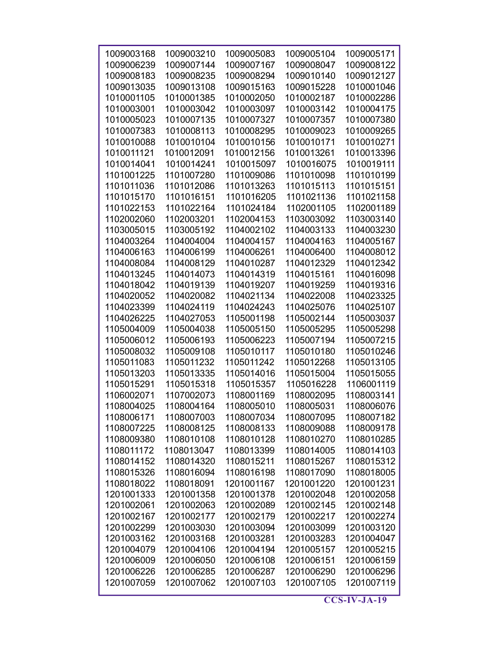| 1009003168 | 1009003210 | 1009005083 | 1009005104 | 1009005171               |
|------------|------------|------------|------------|--------------------------|
| 1009006239 | 1009007144 | 1009007167 | 1009008047 | 1009008122               |
| 1009008183 | 1009008235 | 1009008294 | 1009010140 | 1009012127               |
| 1009013035 | 1009013108 |            | 1009015228 |                          |
|            | 1010001385 | 1009015163 | 1010002187 | 1010001046<br>1010002286 |
| 1010001105 |            | 1010002050 |            |                          |
| 1010003001 | 1010003042 | 1010003097 | 1010003142 | 1010004175               |
| 1010005023 | 1010007135 | 1010007327 | 1010007357 | 1010007380               |
| 1010007383 | 1010008113 | 1010008295 | 1010009023 | 1010009265               |
| 1010010088 | 1010010104 | 1010010156 | 1010010171 | 1010010271               |
| 1010011121 | 1010012091 | 1010012156 | 1010013261 | 1010013396               |
| 1010014041 | 1010014241 | 1010015097 | 1010016075 | 1010019111               |
| 1101001225 | 1101007280 | 1101009086 | 1101010098 | 1101010199               |
| 1101011036 | 1101012086 | 1101013263 | 1101015113 | 1101015151               |
| 1101015170 | 1101016151 | 1101016205 | 1101021136 | 1101021158               |
| 1101022153 | 1101022164 | 1101024184 | 1102001105 | 1102001189               |
| 1102002060 | 1102003201 | 1102004153 | 1103003092 | 1103003140               |
| 1103005015 | 1103005192 | 1104002102 | 1104003133 | 1104003230               |
| 1104003264 | 1104004004 | 1104004157 | 1104004163 | 1104005167               |
| 1104006163 | 1104006199 | 1104006261 | 1104006400 | 1104008012               |
| 1104008084 | 1104008129 | 1104010287 | 1104012329 | 1104012342               |
| 1104013245 | 1104014073 | 1104014319 | 1104015161 | 1104016098               |
| 1104018042 | 1104019139 | 1104019207 | 1104019259 | 1104019316               |
| 1104020052 | 1104020082 | 1104021134 | 1104022008 | 1104023325               |
| 1104023399 | 1104024119 | 1104024243 | 1104025076 | 1104025107               |
| 1104026225 | 1104027053 | 1105001198 | 1105002144 | 1105003037               |
| 1105004009 | 1105004038 | 1105005150 | 1105005295 | 1105005298               |
| 1105006012 | 1105006193 | 1105006223 | 1105007194 | 1105007215               |
| 1105008032 | 1105009108 | 1105010117 | 1105010180 | 1105010246               |
| 1105011083 | 1105011232 | 1105011242 | 1105012268 | 1105013105               |
| 1105013203 | 1105013335 | 1105014016 | 1105015004 | 1105015055               |
| 1105015291 | 1105015318 | 1105015357 | 1105016228 | 1106001119               |
| 1106002071 | 1107002073 | 1108001169 | 1108002095 | 1108003141               |
| 1108004025 | 1108004164 | 1108005010 | 1108005031 | 1108006076               |
| 1108006171 | 1108007003 | 1108007034 | 1108007095 | 1108007182               |
| 1108007225 | 1108008125 | 1108008133 | 1108009088 | 1108009178               |
| 1108009380 | 1108010108 | 1108010128 | 1108010270 | 1108010285               |
| 1108011172 | 1108013047 | 1108013399 | 1108014005 | 1108014103               |
| 1108014152 | 1108014320 | 1108015211 | 1108015267 | 1108015312               |
| 1108015326 | 1108016094 | 1108016198 | 1108017090 | 1108018005               |
| 1108018022 | 1108018091 | 1201001167 | 1201001220 | 1201001231               |
| 1201001333 | 1201001358 | 1201001378 | 1201002048 | 1201002058               |
| 1201002061 | 1201002063 | 1201002089 | 1201002145 | 1201002148               |
| 1201002167 | 1201002177 | 1201002179 | 1201002217 | 1201002274               |
|            | 1201003030 | 1201003094 | 1201003099 | 1201003120               |
| 1201002299 |            |            |            |                          |
| 1201003162 | 1201003168 | 1201003281 | 1201003283 | 1201004047               |
| 1201004079 | 1201004106 | 1201004194 | 1201005157 | 1201005215               |
| 1201006009 | 1201006050 | 1201006108 | 1201006151 | 1201006159               |
| 1201006226 | 1201006285 | 1201006287 | 1201006290 | 1201006296               |
| 1201007059 | 1201007062 | 1201007103 | 1201007105 | 1201007119               |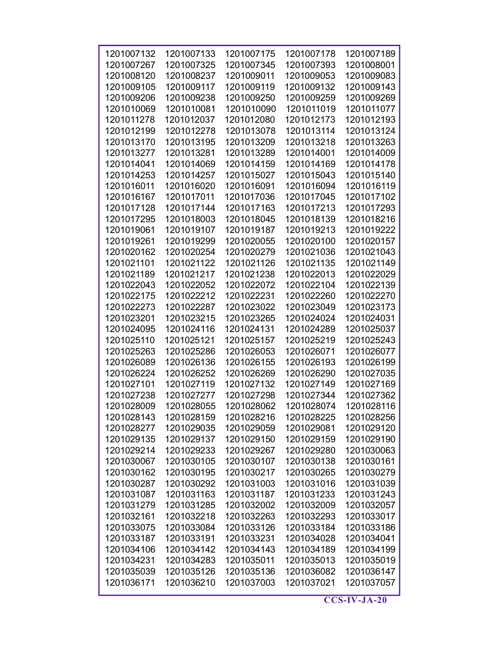| 1201007132 | 1201007133 | 1201007175 | 1201007178 | 1201007189 |
|------------|------------|------------|------------|------------|
|            |            |            |            |            |
| 1201007267 | 1201007325 | 1201007345 | 1201007393 | 1201008001 |
| 1201008120 | 1201008237 | 1201009011 | 1201009053 | 1201009083 |
| 1201009105 | 1201009117 | 1201009119 | 1201009132 | 1201009143 |
| 1201009206 | 1201009238 | 1201009250 | 1201009259 | 1201009269 |
| 1201010069 | 1201010081 | 1201010090 | 1201011019 | 1201011077 |
| 1201011278 | 1201012037 | 1201012080 | 1201012173 | 1201012193 |
| 1201012199 | 1201012278 | 1201013078 | 1201013114 | 1201013124 |
| 1201013170 | 1201013195 | 1201013209 | 1201013218 | 1201013263 |
| 1201013277 | 1201013281 | 1201013289 | 1201014001 | 1201014009 |
| 1201014041 | 1201014069 | 1201014159 | 1201014169 | 1201014178 |
| 1201014253 | 1201014257 | 1201015027 | 1201015043 | 1201015140 |
| 1201016011 | 1201016020 | 1201016091 | 1201016094 | 1201016119 |
| 1201016167 | 1201017011 | 1201017036 | 1201017045 | 1201017102 |
| 1201017128 | 1201017144 | 1201017163 | 1201017213 | 1201017293 |
| 1201017295 | 1201018003 | 1201018045 | 1201018139 | 1201018216 |
| 1201019061 | 1201019107 | 1201019187 | 1201019213 | 1201019222 |
| 1201019261 | 1201019299 | 1201020055 | 1201020100 | 1201020157 |
| 1201020162 | 1201020254 | 1201020279 | 1201021036 | 1201021043 |
| 1201021101 | 1201021122 | 1201021126 | 1201021135 | 1201021149 |
| 1201021189 | 1201021217 | 1201021238 | 1201022013 | 1201022029 |
|            |            |            |            |            |
| 1201022043 | 1201022052 | 1201022072 | 1201022104 | 1201022139 |
| 1201022175 | 1201022212 | 1201022231 | 1201022260 | 1201022270 |
| 1201022273 | 1201022287 | 1201023022 | 1201023049 | 1201023173 |
| 1201023201 | 1201023215 | 1201023265 | 1201024024 | 1201024031 |
| 1201024095 | 1201024116 | 1201024131 | 1201024289 | 1201025037 |
| 1201025110 | 1201025121 | 1201025157 | 1201025219 | 1201025243 |
| 1201025263 | 1201025286 | 1201026053 | 1201026071 | 1201026077 |
| 1201026089 | 1201026136 | 1201026155 | 1201026193 | 1201026199 |
| 1201026224 | 1201026252 | 1201026269 | 1201026290 | 1201027035 |
| 1201027101 | 1201027119 | 1201027132 | 1201027149 | 1201027169 |
| 1201027238 | 1201027277 | 1201027298 | 1201027344 | 1201027362 |
| 1201028009 | 1201028055 | 1201028062 | 1201028074 | 1201028116 |
| 1201028143 | 1201028159 | 1201028216 | 1201028225 | 1201028256 |
| 1201028277 | 1201029035 | 1201029059 | 1201029081 | 1201029120 |
| 1201029135 | 1201029137 | 1201029150 | 1201029159 | 1201029190 |
| 1201029214 | 1201029233 | 1201029267 | 1201029280 | 1201030063 |
| 1201030067 | 1201030105 | 1201030107 | 1201030138 | 1201030161 |
| 1201030162 | 1201030195 | 1201030217 | 1201030265 | 1201030279 |
| 1201030287 | 1201030292 | 1201031003 | 1201031016 | 1201031039 |
| 1201031087 | 1201031163 | 1201031187 | 1201031233 | 1201031243 |
| 1201031279 | 1201031285 | 1201032002 | 1201032009 | 1201032057 |
| 1201032161 | 1201032218 | 1201032263 | 1201032293 | 1201033017 |
| 1201033075 | 1201033084 | 1201033126 | 1201033184 | 1201033186 |
| 1201033187 | 1201033191 | 1201033231 | 1201034028 | 1201034041 |
|            |            |            |            |            |
| 1201034106 | 1201034142 | 1201034143 | 1201034189 | 1201034199 |
| 1201034231 | 1201034283 | 1201035011 | 1201035013 | 1201035019 |
| 1201035039 | 1201035126 | 1201035136 | 1201036082 | 1201036147 |
| 1201036171 | 1201036210 | 1201037003 | 1201037021 | 1201037057 |

 $\overline{\text{CCS-IV-JA-20}}$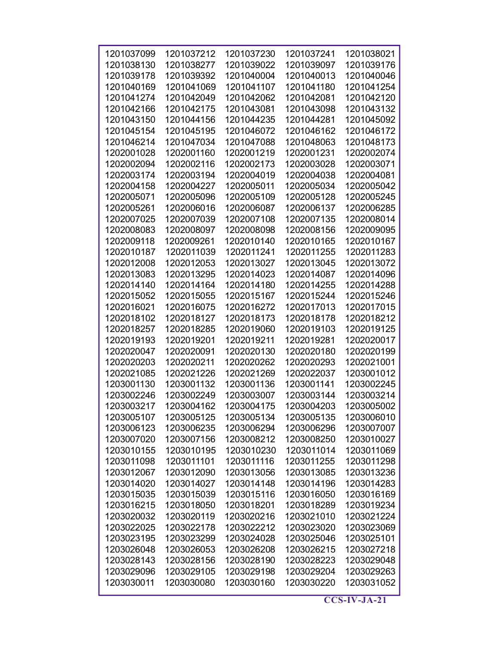| 1201037099 | 1201037212 | 1201037230 | 1201037241 | 1201038021 |
|------------|------------|------------|------------|------------|
| 1201038130 | 1201038277 | 1201039022 | 1201039097 | 1201039176 |
| 1201039178 | 1201039392 | 1201040004 | 1201040013 | 1201040046 |
| 1201040169 | 1201041069 | 1201041107 | 1201041180 | 1201041254 |
| 1201041274 | 1201042049 | 1201042062 | 1201042081 | 1201042120 |
| 1201042166 | 1201042175 | 1201043081 | 1201043098 | 1201043132 |
| 1201043150 | 1201044156 | 1201044235 | 1201044281 | 1201045092 |
| 1201045154 | 1201045195 | 1201046072 | 1201046162 | 1201046172 |
| 1201046214 | 1201047034 | 1201047088 | 1201048063 | 1201048173 |
| 1202001028 | 1202001160 | 1202001219 | 1202001231 | 1202002074 |
| 1202002094 | 1202002116 | 1202002173 | 1202003028 | 1202003071 |
| 1202003174 | 1202003194 | 1202004019 | 1202004038 | 1202004081 |
| 1202004158 | 1202004227 | 1202005011 | 1202005034 | 1202005042 |
| 1202005071 | 1202005096 | 1202005109 | 1202005128 | 1202005245 |
| 1202005261 | 1202006016 | 1202006087 | 1202006137 | 1202006285 |
| 1202007025 | 1202007039 | 1202007108 | 1202007135 | 1202008014 |
| 1202008083 | 1202008097 | 1202008098 | 1202008156 | 1202009095 |
| 1202009118 | 1202009261 | 1202010140 | 1202010165 | 1202010167 |
| 1202010187 | 1202011039 | 1202011241 | 1202011255 | 1202011283 |
| 1202012008 | 1202012053 | 1202013027 | 1202013045 | 1202013072 |
| 1202013083 | 1202013295 | 1202014023 | 1202014087 | 1202014096 |
| 1202014140 | 1202014164 | 1202014180 | 1202014255 | 1202014288 |
| 1202015052 | 1202015055 | 1202015167 | 1202015244 | 1202015246 |
| 1202016021 | 1202016075 | 1202016272 | 1202017013 | 1202017015 |
| 1202018102 | 1202018127 | 1202018173 | 1202018178 | 1202018212 |
| 1202018257 | 1202018285 | 1202019060 | 1202019103 | 1202019125 |
| 1202019193 | 1202019201 | 1202019211 | 1202019281 | 1202020017 |
| 1202020047 | 1202020091 | 1202020130 | 1202020180 | 1202020199 |
| 1202020203 | 1202020211 | 1202020262 | 1202020293 | 1202021001 |
| 1202021085 | 1202021226 | 1202021269 | 1202022037 | 1203001012 |
| 1203001130 | 1203001132 | 1203001136 | 1203001141 | 1203002245 |
| 1203002246 | 1203002249 | 1203003007 | 1203003144 | 1203003214 |
| 1203003217 | 1203004162 | 1203004175 | 1203004203 | 1203005002 |
| 1203005107 | 1203005125 | 1203005134 | 1203005135 | 1203006010 |
| 1203006123 | 1203006235 | 1203006294 | 1203006296 | 1203007007 |
| 1203007020 | 1203007156 | 1203008212 | 1203008250 | 1203010027 |
| 1203010155 | 1203010195 | 1203010230 | 1203011014 | 1203011069 |
| 1203011098 | 1203011101 | 1203011116 | 1203011255 | 1203011298 |
| 1203012067 | 1203012090 | 1203013056 | 1203013085 | 1203013236 |
| 1203014020 | 1203014027 | 1203014148 | 1203014196 | 1203014283 |
| 1203015035 | 1203015039 | 1203015116 | 1203016050 | 1203016169 |
| 1203016215 | 1203018050 | 1203018201 | 1203018289 | 1203019234 |
| 1203020032 | 1203020119 | 1203020216 | 1203021010 | 1203021224 |
| 1203022025 | 1203022178 | 1203022212 | 1203023020 | 1203023069 |
| 1203023195 | 1203023299 | 1203024028 | 1203025046 | 1203025101 |
| 1203026048 | 1203026053 | 1203026208 | 1203026215 | 1203027218 |
| 1203028143 | 1203028156 | 1203028190 | 1203028223 | 1203029048 |
| 1203029096 | 1203029105 | 1203029198 | 1203029204 | 1203029263 |
| 1203030011 | 1203030080 | 1203030160 | 1203030220 | 1203031052 |
|            |            |            |            |            |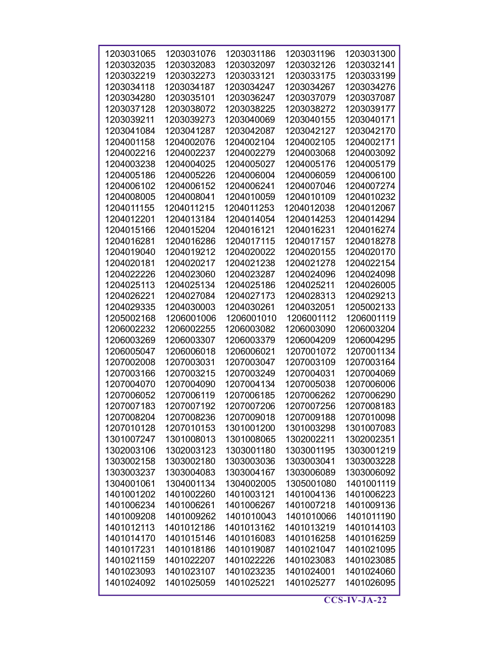| 1203031065 | 1203031076 | 1203031186 | 1203031196 | 1203031300 |
|------------|------------|------------|------------|------------|
| 1203032035 | 1203032083 | 1203032097 | 1203032126 | 1203032141 |
|            |            |            |            |            |
| 1203032219 | 1203032273 | 1203033121 | 1203033175 | 1203033199 |
| 1203034118 | 1203034187 | 1203034247 | 1203034267 | 1203034276 |
| 1203034280 | 1203035101 | 1203036247 | 1203037079 | 1203037087 |
| 1203037128 | 1203038072 | 1203038225 | 1203038272 | 1203039177 |
| 1203039211 | 1203039273 | 1203040069 | 1203040155 | 1203040171 |
| 1203041084 | 1203041287 | 1203042087 | 1203042127 | 1203042170 |
| 1204001158 | 1204002076 | 1204002104 | 1204002105 | 1204002171 |
| 1204002216 | 1204002237 | 1204002279 | 1204003068 | 1204003092 |
| 1204003238 | 1204004025 | 1204005027 | 1204005176 | 1204005179 |
| 1204005186 | 1204005226 | 1204006004 | 1204006059 | 1204006100 |
| 1204006102 | 1204006152 | 1204006241 | 1204007046 | 1204007274 |
| 1204008005 | 1204008041 | 1204010059 | 1204010109 | 1204010232 |
| 1204011155 | 1204011215 | 1204011253 | 1204012038 | 1204012067 |
| 1204012201 | 1204013184 | 1204014054 | 1204014253 | 1204014294 |
| 1204015166 | 1204015204 | 1204016121 | 1204016231 | 1204016274 |
| 1204016281 | 1204016286 | 1204017115 | 1204017157 | 1204018278 |
| 1204019040 | 1204019212 | 1204020022 | 1204020155 | 1204020170 |
| 1204020181 | 1204020217 | 1204021238 | 1204021278 | 1204022154 |
| 1204022226 | 1204023060 | 1204023287 | 1204024096 | 1204024098 |
| 1204025113 | 1204025134 | 1204025186 | 1204025211 | 1204026005 |
| 1204026221 | 1204027084 | 1204027173 | 1204028313 | 1204029213 |
| 1204029335 | 1204030003 | 1204030261 | 1204032051 | 1205002133 |
| 1205002168 | 1206001006 | 1206001010 | 1206001112 | 1206001119 |
| 1206002232 | 1206002255 | 1206003082 | 1206003090 | 1206003204 |
| 1206003269 | 1206003307 | 1206003379 | 1206004209 | 1206004295 |
| 1206005047 | 1206006018 | 1206006021 | 1207001072 | 1207001134 |
| 1207002008 | 1207003031 | 1207003047 | 1207003109 | 1207003164 |
| 1207003166 | 1207003215 | 1207003249 | 1207004031 | 1207004069 |
| 1207004070 | 1207004090 | 1207004134 | 1207005038 | 1207006006 |
| 1207006052 | 1207006119 | 1207006185 | 1207006262 | 1207006290 |
| 1207007183 | 1207007192 | 1207007206 | 1207007256 | 1207008183 |
| 1207008204 | 1207008236 | 1207009018 | 1207009188 | 1207010098 |
| 1207010128 | 1207010153 | 1301001200 | 1301003298 | 1301007083 |
| 1301007247 | 1301008013 | 1301008065 | 1302002211 | 1302002351 |
| 1302003106 | 1302003123 | 1303001180 | 1303001195 | 1303001219 |
| 1303002158 | 1303002180 | 1303003036 | 1303003041 | 1303003228 |
| 1303003237 | 1303004083 | 1303004167 | 1303006089 | 1303006092 |
| 1304001061 | 1304001134 | 1304002005 | 1305001080 | 1401001119 |
| 1401001202 | 1401002260 | 1401003121 | 1401004136 | 1401006223 |
| 1401006234 | 1401006261 | 1401006267 | 1401007218 | 1401009136 |
| 1401009208 | 1401009262 | 1401010043 | 1401010066 | 1401011190 |
| 1401012113 | 1401012186 | 1401013162 | 1401013219 | 1401014103 |
| 1401014170 | 1401015146 | 1401016083 | 1401016258 | 1401016259 |
| 1401017231 | 1401018186 | 1401019087 | 1401021047 | 1401021095 |
| 1401021159 | 1401022207 | 1401022226 | 1401023083 | 1401023085 |
| 1401023093 | 1401023107 | 1401023235 | 1401024001 | 1401024060 |
| 1401024092 | 1401025059 | 1401025221 | 1401025277 | 1401026095 |
|            |            |            |            |            |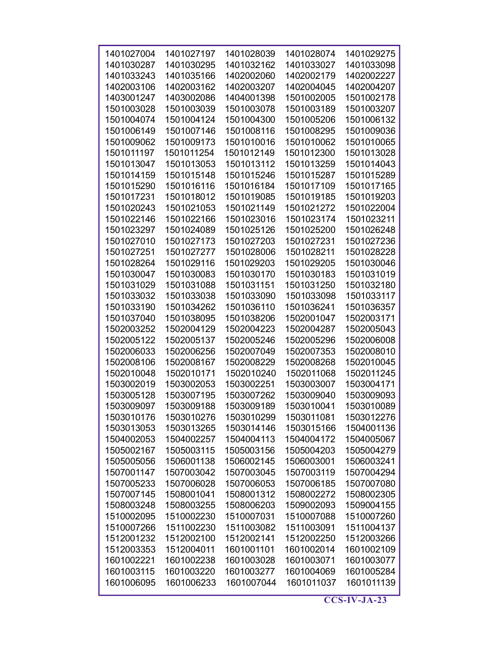| 1401027004 | 1401027197 | 1401028039 | 1401028074 | 1401029275 |
|------------|------------|------------|------------|------------|
| 1401030287 | 1401030295 | 1401032162 | 1401033027 | 1401033098 |
| 1401033243 | 1401035166 | 1402002060 | 1402002179 | 1402002227 |
| 1402003106 | 1402003162 | 1402003207 | 1402004045 | 1402004207 |
| 1403001247 | 1403002086 | 1404001398 | 1501002005 | 1501002178 |
| 1501003028 | 1501003039 | 1501003078 | 1501003189 | 1501003207 |
| 1501004074 | 1501004124 | 1501004300 | 1501005206 | 1501006132 |
| 1501006149 | 1501007146 | 1501008116 | 1501008295 | 1501009036 |
| 1501009062 | 1501009173 | 1501010016 | 1501010062 | 1501010065 |
| 1501011197 | 1501011254 | 1501012149 | 1501012300 | 1501013028 |
|            |            |            |            |            |
| 1501013047 | 1501013053 | 1501013112 | 1501013259 | 1501014043 |
| 1501014159 | 1501015148 | 1501015246 | 1501015287 | 1501015289 |
| 1501015290 | 1501016116 | 1501016184 | 1501017109 | 1501017165 |
| 1501017231 | 1501018012 | 1501019085 | 1501019185 | 1501019203 |
| 1501020243 | 1501021053 | 1501021149 | 1501021272 | 1501022004 |
| 1501022146 | 1501022166 | 1501023016 | 1501023174 | 1501023211 |
| 1501023297 | 1501024089 | 1501025126 | 1501025200 | 1501026248 |
| 1501027010 | 1501027173 | 1501027203 | 1501027231 | 1501027236 |
| 1501027251 | 1501027277 | 1501028006 | 1501028211 | 1501028228 |
| 1501028264 | 1501029116 | 1501029203 | 1501029205 | 1501030046 |
| 1501030047 | 1501030083 | 1501030170 | 1501030183 | 1501031019 |
| 1501031029 | 1501031088 | 1501031151 | 1501031250 | 1501032180 |
| 1501033032 | 1501033038 | 1501033090 | 1501033098 | 1501033117 |
| 1501033190 | 1501034262 | 1501036110 | 1501036241 | 1501036357 |
| 1501037040 | 1501038095 | 1501038206 | 1502001047 | 1502003171 |
| 1502003252 | 1502004129 | 1502004223 | 1502004287 | 1502005043 |
|            |            |            |            |            |
| 1502005122 | 1502005137 | 1502005246 | 1502005296 | 1502006008 |
| 1502006033 | 1502006256 | 1502007049 | 1502007353 | 1502008010 |
| 1502008106 | 1502008167 | 1502008229 | 1502008268 | 1502010045 |
| 1502010048 | 1502010171 | 1502010240 | 1502011068 | 1502011245 |
| 1503002019 | 1503002053 | 1503002251 | 1503003007 | 1503004171 |
| 1503005128 | 1503007195 | 1503007262 | 1503009040 | 1503009093 |
| 1503009097 | 1503009188 | 1503009189 | 1503010041 | 1503010089 |
| 1503010176 | 1503010276 | 1503010299 | 1503011081 | 1503012276 |
| 1503013053 | 1503013265 | 1503014146 | 1503015166 | 1504001136 |
| 1504002053 | 1504002257 | 1504004113 | 1504004172 | 1504005067 |
| 1505002167 | 1505003115 | 1505003156 | 1505004203 | 1505004279 |
| 1505005056 | 1506001138 | 1506002145 | 1506003001 | 1506003241 |
| 1507001147 | 1507003042 | 1507003045 | 1507003119 | 1507004294 |
| 1507005233 | 1507006028 | 1507006053 | 1507006185 | 1507007080 |
| 1507007145 | 1508001041 | 1508001312 | 1508002272 | 1508002305 |
| 1508003248 | 1508003255 | 1508006203 | 1509002093 | 1509004155 |
| 1510002095 | 1510002230 | 1510007031 | 1510007088 | 1510007260 |
| 1510007266 | 1511002230 | 1511003082 | 1511003091 | 1511004137 |
|            | 1512002100 | 1512002141 | 1512002250 | 1512003266 |
| 1512001232 |            |            |            |            |
| 1512003353 | 1512004011 | 1601001101 | 1601002014 | 1601002109 |
| 1601002221 | 1601002238 | 1601003028 | 1601003071 | 1601003077 |
| 1601003115 | 1601003220 | 1601003277 | 1601004069 | 1601005284 |
| 1601006095 | 1601006233 | 1601007044 | 1601011037 | 1601011139 |
|            |            |            |            |            |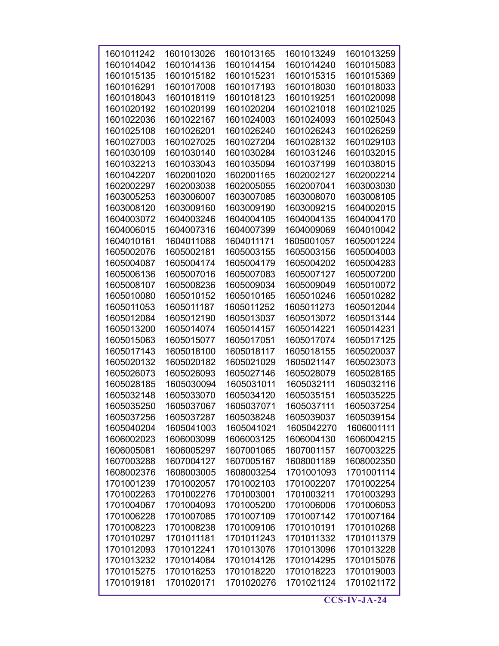| 1601011242 | 1601013026 | 1601013165 | 1601013249 | 1601013259 |
|------------|------------|------------|------------|------------|
|            |            |            |            |            |
| 1601014042 | 1601014136 | 1601014154 | 1601014240 | 1601015083 |
| 1601015135 | 1601015182 | 1601015231 | 1601015315 | 1601015369 |
| 1601016291 | 1601017008 | 1601017193 | 1601018030 | 1601018033 |
| 1601018043 | 1601018119 | 1601018123 | 1601019251 | 1601020098 |
| 1601020192 | 1601020199 | 1601020204 | 1601021018 | 1601021025 |
| 1601022036 | 1601022167 | 1601024003 | 1601024093 | 1601025043 |
| 1601025108 | 1601026201 | 1601026240 | 1601026243 | 1601026259 |
| 1601027003 | 1601027025 | 1601027204 | 1601028132 | 1601029103 |
| 1601030109 | 1601030140 | 1601030284 | 1601031246 | 1601032015 |
| 1601032213 | 1601033043 | 1601035094 | 1601037199 | 1601038015 |
| 1601042207 | 1602001020 | 1602001165 | 1602002127 | 1602002214 |
| 1602002297 | 1602003038 | 1602005055 | 1602007041 | 1603003030 |
| 1603005253 | 1603006007 | 1603007085 | 1603008070 | 1603008105 |
| 1603008120 | 1603009160 | 1603009190 | 1603009215 | 1604002015 |
| 1604003072 | 1604003246 | 1604004105 | 1604004135 | 1604004170 |
| 1604006015 | 1604007316 | 1604007399 | 1604009069 | 1604010042 |
| 1604010161 | 1604011088 | 1604011171 | 1605001057 | 1605001224 |
| 1605002076 | 1605002181 | 1605003155 | 1605003156 | 1605004003 |
| 1605004087 | 1605004174 | 1605004179 | 1605004202 | 1605004283 |
|            |            |            |            |            |
| 1605006136 | 1605007016 | 1605007083 | 1605007127 | 1605007200 |
| 1605008107 | 1605008236 | 1605009034 | 1605009049 | 1605010072 |
| 1605010080 | 1605010152 | 1605010165 | 1605010246 | 1605010282 |
| 1605011053 | 1605011187 | 1605011252 | 1605011273 | 1605012044 |
| 1605012084 | 1605012190 | 1605013037 | 1605013072 | 1605013144 |
| 1605013200 | 1605014074 | 1605014157 | 1605014221 | 1605014231 |
| 1605015063 | 1605015077 | 1605017051 | 1605017074 | 1605017125 |
| 1605017143 | 1605018100 | 1605018117 | 1605018155 | 1605020037 |
| 1605020132 | 1605020182 | 1605021029 | 1605021147 | 1605023073 |
| 1605026073 | 1605026093 | 1605027146 | 1605028079 | 1605028165 |
| 1605028185 | 1605030094 | 1605031011 | 1605032111 | 1605032116 |
| 1605032148 | 1605033070 | 1605034120 | 1605035151 | 1605035225 |
| 1605035250 | 1605037067 | 1605037071 | 1605037111 | 1605037254 |
| 1605037256 | 1605037287 | 1605038248 | 1605039037 | 1605039154 |
| 1605040204 | 1605041003 | 1605041021 | 1605042270 | 1606001111 |
| 1606002023 | 1606003099 | 1606003125 | 1606004130 | 1606004215 |
| 1606005081 | 1606005297 | 1607001065 | 1607001157 | 1607003225 |
| 1607003288 | 1607004127 | 1607005167 | 1608001189 | 1608002350 |
| 1608002376 | 1608003005 | 1608003254 | 1701001093 | 1701001114 |
| 1701001239 | 1701002057 | 1701002103 | 1701002207 | 1701002254 |
| 1701002263 | 1701002276 | 1701003001 | 1701003211 | 1701003293 |
| 1701004067 | 1701004093 | 1701005200 | 1701006006 | 1701006053 |
| 1701006228 | 1701007085 | 1701007109 | 1701007142 | 1701007164 |
| 1701008223 | 1701008238 | 1701009106 | 1701010191 | 1701010268 |
| 1701010297 | 1701011181 | 1701011243 | 1701011332 | 1701011379 |
| 1701012093 | 1701012241 | 1701013076 | 1701013096 | 1701013228 |
|            |            |            |            |            |
| 1701013232 | 1701014084 | 1701014126 | 1701014295 | 1701015076 |
| 1701015275 | 1701016253 | 1701018220 | 1701018223 | 1701019003 |
| 1701019181 | 1701020171 | 1701020276 | 1701021124 | 1701021172 |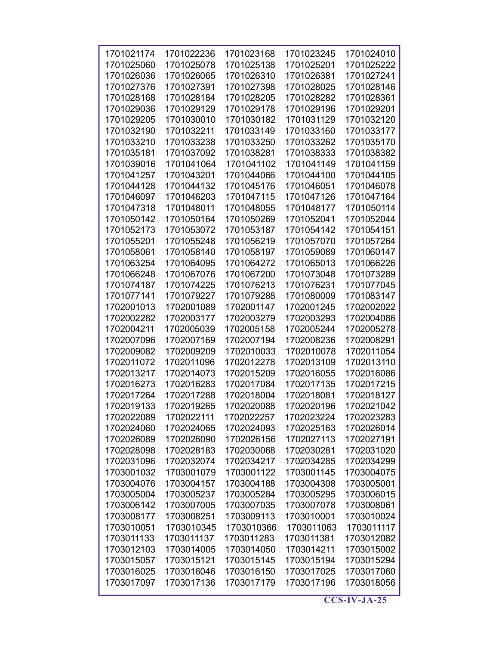| 1701021174 | 1701022236 | 1701023168 | 1701023245 | 1701024010 |
|------------|------------|------------|------------|------------|
| 1701025060 | 1701025078 | 1701025138 | 1701025201 | 1701025222 |
| 1701026036 | 1701026065 | 1701026310 | 1701026381 | 1701027241 |
| 1701027376 | 1701027391 | 1701027398 | 1701028025 | 1701028146 |
| 1701028168 | 1701028184 | 1701028205 | 1701028282 | 1701028361 |
| 1701029036 | 1701029129 | 1701029178 | 1701029196 | 1701029201 |
| 1701029205 | 1701030010 | 1701030182 | 1701031129 | 1701032120 |
| 1701032190 | 1701032211 | 1701033149 | 1701033160 | 1701033177 |
| 1701033210 | 1701033238 | 1701033250 | 1701033262 | 1701035170 |
| 1701035181 | 1701037092 | 1701038281 | 1701038333 | 1701038382 |
| 1701039016 | 1701041064 | 1701041102 | 1701041149 | 1701041159 |
| 1701041257 | 1701043201 | 1701044066 | 1701044100 | 1701044105 |
| 1701044128 | 1701044132 | 1701045176 | 1701046051 | 1701046078 |
| 1701046097 | 1701046203 | 1701047115 | 1701047126 | 1701047164 |
| 1701047318 | 1701048011 | 1701048055 | 1701048177 | 1701050114 |
| 1701050142 | 1701050164 | 1701050269 | 1701052041 | 1701052044 |
| 1701052173 | 1701053072 | 1701053187 | 1701054142 | 1701054151 |
| 1701055201 | 1701055248 | 1701056219 | 1701057070 | 1701057264 |
| 1701058061 | 1701058140 | 1701058197 | 1701059089 | 1701060147 |
| 1701063254 | 1701064095 | 1701064272 | 1701065013 | 1701066226 |
| 1701066248 | 1701067076 | 1701067200 | 1701073048 | 1701073289 |
| 1701074187 | 1701074225 | 1701076213 | 1701076231 | 1701077045 |
| 1701077141 | 1701079227 | 1701079288 | 1701080009 | 1701083147 |
| 1702001013 | 1702001089 | 1702001147 | 1702001245 | 1702002022 |
| 1702002282 | 1702003177 | 1702003279 | 1702003293 | 1702004086 |
| 1702004211 | 1702005039 | 1702005158 | 1702005244 | 1702005278 |
| 1702007096 | 1702007169 | 1702007194 | 1702008236 | 1702008291 |
| 1702009082 | 1702009209 | 1702010033 | 1702010078 | 1702011054 |
| 1702011072 | 1702011096 | 1702012278 | 1702013109 | 1702013110 |
| 1702013217 | 1702014073 | 1702015209 | 1702016055 | 1702016086 |
| 1702016273 | 1702016283 | 1702017084 | 1702017135 | 1702017215 |
| 1702017264 | 1702017288 | 1702018004 | 1702018081 | 1702018127 |
| 1702019133 | 1702019265 | 1702020088 | 1702020196 | 1702021042 |
| 1702022089 | 1702022111 | 1702022257 | 1702023224 | 1702023283 |
| 1702024060 | 1702024065 | 1702024093 | 1702025163 | 1702026014 |
| 1702026089 | 1702026090 | 1702026156 | 1702027113 | 1702027191 |
| 1702028098 | 1702028183 | 1702030068 | 1702030281 | 1702031020 |
| 1702031096 | 1702032074 | 1702034217 | 1702034285 | 1702034299 |
| 1703001032 | 1703001079 | 1703001122 | 1703001145 | 1703004075 |
| 1703004076 | 1703004157 | 1703004188 | 1703004308 | 1703005001 |
| 1703005004 | 1703005237 | 1703005284 | 1703005295 | 1703006015 |
| 1703006142 | 1703007005 | 1703007035 | 1703007078 | 1703008061 |
| 1703008177 | 1703008251 | 1703009113 | 1703010001 | 1703010024 |
| 1703010051 | 1703010345 | 1703010366 | 1703011063 | 1703011117 |
| 1703011133 | 1703011137 | 1703011283 | 1703011381 | 1703012082 |
| 1703012103 | 1703014005 | 1703014050 | 1703014211 | 1703015002 |
| 1703015057 | 1703015121 | 1703015145 | 1703015194 | 1703015294 |
| 1703016025 | 1703016046 | 1703016150 | 1703017025 | 1703017060 |
| 1703017097 | 1703017136 | 1703017179 | 1703017196 | 1703018056 |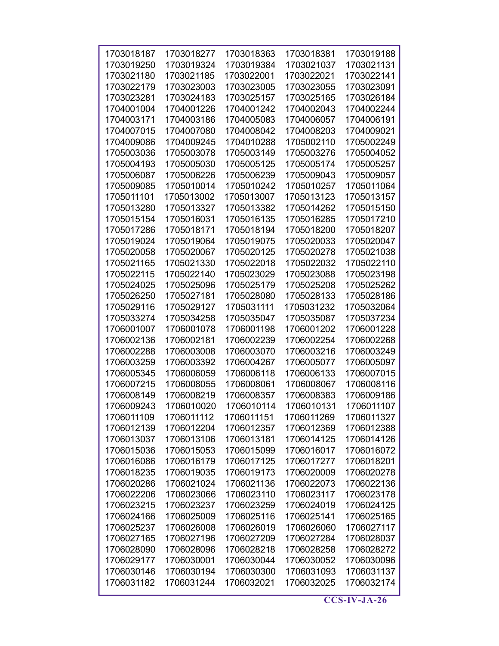| 1703018187 | 1703018277 | 1703018363               | 1703018381 | 1703019188 |
|------------|------------|--------------------------|------------|------------|
| 1703019250 | 1703019324 | 1703019384               | 1703021037 | 1703021131 |
| 1703021180 | 1703021185 | 1703022001               | 1703022021 | 1703022141 |
| 1703022179 | 1703023003 |                          | 1703023055 | 1703023091 |
| 1703023281 |            | 1703023005<br>1703025157 |            |            |
|            | 1703024183 |                          | 1703025165 | 1703026184 |
| 1704001004 | 1704001226 | 1704001242               | 1704002043 | 1704002244 |
| 1704003171 | 1704003186 | 1704005083               | 1704006057 | 1704006191 |
| 1704007015 | 1704007080 | 1704008042               | 1704008203 | 1704009021 |
| 1704009086 | 1704009245 | 1704010288               | 1705002110 | 1705002249 |
| 1705003036 | 1705003078 | 1705003149               | 1705003276 | 1705004052 |
| 1705004193 | 1705005030 | 1705005125               | 1705005174 | 1705005257 |
| 1705006087 | 1705006226 | 1705006239               | 1705009043 | 1705009057 |
| 1705009085 | 1705010014 | 1705010242               | 1705010257 | 1705011064 |
| 1705011101 | 1705013002 | 1705013007               | 1705013123 | 1705013157 |
| 1705013280 | 1705013327 | 1705013382               | 1705014262 | 1705015150 |
| 1705015154 | 1705016031 | 1705016135               | 1705016285 | 1705017210 |
| 1705017286 | 1705018171 | 1705018194               | 1705018200 | 1705018207 |
| 1705019024 | 1705019064 | 1705019075               | 1705020033 | 1705020047 |
| 1705020058 | 1705020067 | 1705020125               | 1705020278 | 1705021038 |
| 1705021165 | 1705021330 | 1705022018               | 1705022032 | 1705022110 |
| 1705022115 | 1705022140 | 1705023029               | 1705023088 | 1705023198 |
| 1705024025 | 1705025096 | 1705025179               | 1705025208 | 1705025262 |
| 1705026250 | 1705027181 | 1705028080               | 1705028133 | 1705028186 |
| 1705029116 | 1705029127 | 1705031111               | 1705031232 | 1705032064 |
| 1705033274 | 1705034258 | 1705035047               | 1705035087 | 1705037234 |
| 1706001007 | 1706001078 | 1706001198               | 1706001202 | 1706001228 |
| 1706002136 | 1706002181 | 1706002239               | 1706002254 | 1706002268 |
| 1706002288 | 1706003008 | 1706003070               | 1706003216 | 1706003249 |
| 1706003259 | 1706003392 | 1706004267               | 1706005077 | 1706005097 |
| 1706005345 | 1706006059 | 1706006118               | 1706006133 | 1706007015 |
| 1706007215 | 1706008055 | 1706008061               | 1706008067 | 1706008116 |
| 1706008149 | 1706008219 | 1706008357               | 1706008383 | 1706009186 |
| 1706009243 | 1706010020 | 1706010114               | 1706010131 | 1706011107 |
| 1706011109 | 1706011112 | 1706011151               | 1706011269 | 1706011327 |
| 1706012139 | 1706012204 | 1706012357               | 1706012369 | 1706012388 |
| 1706013037 | 1706013106 | 1706013181               | 1706014125 | 1706014126 |
| 1706015036 | 1706015053 | 1706015099               | 1706016017 | 1706016072 |
| 1706016086 | 1706016179 | 1706017125               | 1706017277 | 1706018201 |
| 1706018235 | 1706019035 | 1706019173               | 1706020009 | 1706020278 |
| 1706020286 | 1706021024 | 1706021136               | 1706022073 | 1706022136 |
| 1706022206 | 1706023066 | 1706023110               | 1706023117 | 1706023178 |
| 1706023215 | 1706023237 | 1706023259               | 1706024019 | 1706024125 |
| 1706024166 | 1706025009 | 1706025116               | 1706025141 | 1706025165 |
| 1706025237 | 1706026008 | 1706026019               | 1706026060 | 1706027117 |
| 1706027165 | 1706027196 | 1706027209               | 1706027284 | 1706028037 |
| 1706028090 | 1706028096 | 1706028218               | 1706028258 | 1706028272 |
| 1706029177 | 1706030001 | 1706030044               | 1706030052 | 1706030096 |
| 1706030146 | 1706030194 | 1706030300               | 1706031093 | 1706031137 |
| 1706031182 | 1706031244 | 1706032021               | 1706032025 | 1706032174 |
|            |            |                          |            |            |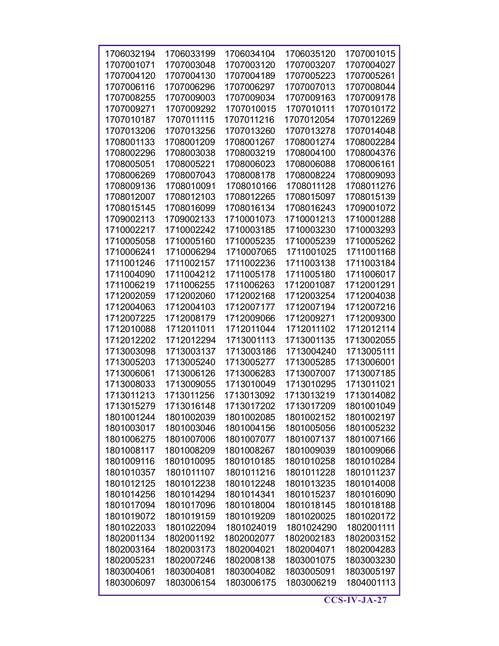| 1706032194 | 1706033199 | 1706034104 | 1706035120 | 1707001015 |
|------------|------------|------------|------------|------------|
|            |            |            |            |            |
| 1707001071 | 1707003048 | 1707003120 | 1707003207 | 1707004027 |
| 1707004120 | 1707004130 | 1707004189 | 1707005223 | 1707005261 |
| 1707006116 | 1707006296 | 1707006297 | 1707007013 | 1707008044 |
| 1707008255 | 1707009003 | 1707009034 | 1707009163 | 1707009178 |
| 1707009271 | 1707009292 | 1707010015 | 1707010111 | 1707010172 |
| 1707010187 | 1707011115 | 1707011216 | 1707012054 | 1707012269 |
| 1707013206 | 1707013256 | 1707013260 | 1707013278 | 1707014048 |
| 1708001133 | 1708001209 | 1708001267 | 1708001274 | 1708002284 |
| 1708002296 | 1708003038 | 1708003219 | 1708004100 | 1708004376 |
| 1708005051 | 1708005221 | 1708006023 | 1708006088 | 1708006161 |
| 1708006269 | 1708007043 | 1708008178 | 1708008224 | 1708009093 |
| 1708009136 | 1708010091 | 1708010166 | 1708011128 | 1708011276 |
| 1708012007 | 1708012103 | 1708012265 | 1708015097 | 1708015139 |
| 1708015145 | 1708016099 | 1708016134 | 1708016243 | 1709001072 |
| 1709002113 | 1709002133 | 1710001073 | 1710001213 | 1710001288 |
| 1710002217 | 1710002242 | 1710003185 | 1710003230 | 1710003293 |
| 1710005058 | 1710005160 | 1710005235 | 1710005239 | 1710005262 |
| 1710006241 | 1710006294 | 1710007065 | 1711001025 | 1711001168 |
| 1711001246 | 1711002157 | 1711002236 | 1711003138 | 1711003184 |
| 1711004090 | 1711004212 | 1711005178 | 1711005180 | 1711006017 |
| 1711006219 | 1711006255 | 1711006263 | 1712001087 | 1712001291 |
| 1712002059 | 1712002060 | 1712002168 | 1712003254 | 1712004038 |
| 1712004063 | 1712004103 | 1712007177 | 1712007194 | 1712007216 |
| 1712007225 | 1712008179 | 1712009066 | 1712009271 | 1712009300 |
| 1712010088 | 1712011011 | 1712011044 | 1712011102 | 1712012114 |
| 1712012202 | 1712012294 | 1713001113 | 1713001135 | 1713002055 |
| 1713003098 | 1713003137 | 1713003186 | 1713004240 | 1713005111 |
| 1713005203 | 1713005240 | 1713005277 | 1713005285 | 1713006001 |
| 1713006061 | 1713006126 | 1713006283 | 1713007007 | 1713007185 |
| 1713008033 | 1713009055 | 1713010049 | 1713010295 | 1713011021 |
|            |            | 1713013092 |            | 1713014082 |
| 1713011213 | 1713011256 |            | 1713013219 |            |
| 1713015279 | 1713016148 | 1713017202 | 1713017209 | 1801001049 |
| 1801001244 | 1801002039 | 1801002085 | 1801002152 | 1801002197 |
| 1801003017 | 1801003046 | 1801004156 | 1801005056 | 1801005232 |
| 1801006275 | 1801007006 | 1801007077 | 1801007137 | 1801007166 |
| 1801008117 | 1801008209 | 1801008267 | 1801009039 | 1801009066 |
| 1801009116 | 1801010095 | 1801010185 | 1801010258 | 1801010284 |
| 1801010357 | 1801011107 | 1801011216 | 1801011228 | 1801011237 |
| 1801012125 | 1801012238 | 1801012248 | 1801013235 | 1801014008 |
| 1801014256 | 1801014294 | 1801014341 | 1801015237 | 1801016090 |
| 1801017094 | 1801017096 | 1801018004 | 1801018145 | 1801018188 |
| 1801019072 | 1801019159 | 1801019209 | 1801020025 | 1801020172 |
| 1801022033 | 1801022094 | 1801024019 | 1801024290 | 1802001111 |
| 1802001134 | 1802001192 | 1802002077 | 1802002183 | 1802003152 |
| 1802003164 | 1802003173 | 1802004021 | 1802004071 | 1802004283 |
| 1802005231 | 1802007246 | 1802008138 | 1803001075 | 1803003230 |
| 1803004061 | 1803004081 | 1803004082 | 1803005091 | 1803005197 |
| 1803006097 | 1803006154 | 1803006175 | 1803006219 | 1804001113 |
|            |            |            |            |            |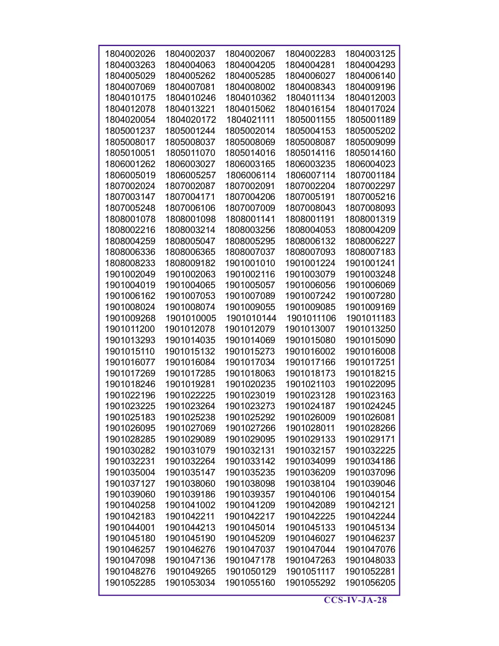| 1804002026 | 1804002037 | 1804002067 | 1804002283 | 1804003125 |
|------------|------------|------------|------------|------------|
| 1804003263 | 1804004063 | 1804004205 | 1804004281 | 1804004293 |
| 1804005029 | 1804005262 | 1804005285 | 1804006027 | 1804006140 |
| 1804007069 | 1804007081 | 1804008002 | 1804008343 | 1804009196 |
| 1804010175 | 1804010246 | 1804010362 | 1804011134 | 1804012003 |
| 1804012078 | 1804013221 | 1804015062 | 1804016154 | 1804017024 |
| 1804020054 | 1804020172 | 1804021111 | 1805001155 | 1805001189 |
| 1805001237 | 1805001244 | 1805002014 | 1805004153 | 1805005202 |
| 1805008017 | 1805008037 | 1805008069 | 1805008087 | 1805009099 |
| 1805010051 | 1805011070 | 1805014016 | 1805014116 | 1805014160 |
| 1806001262 | 1806003027 | 1806003165 | 1806003235 | 1806004023 |
| 1806005019 | 1806005257 | 1806006114 | 1806007114 | 1807001184 |
| 1807002024 | 1807002087 | 1807002091 | 1807002204 | 1807002297 |
| 1807003147 | 1807004171 | 1807004206 | 1807005191 | 1807005216 |
|            | 1807006106 | 1807007009 | 1807008043 | 1807008093 |
| 1807005248 | 1808001098 |            |            | 1808001319 |
| 1808001078 |            | 1808001141 | 1808001191 |            |
| 1808002216 | 1808003214 | 1808003256 | 1808004053 | 1808004209 |
| 1808004259 | 1808005047 | 1808005295 | 1808006132 | 1808006227 |
| 1808006336 | 1808006365 | 1808007037 | 1808007093 | 1808007183 |
| 1808008233 | 1808009182 | 1901001010 | 1901001224 | 1901001241 |
| 1901002049 | 1901002063 | 1901002116 | 1901003079 | 1901003248 |
| 1901004019 | 1901004065 | 1901005057 | 1901006056 | 1901006069 |
| 1901006162 | 1901007053 | 1901007089 | 1901007242 | 1901007280 |
| 1901008024 | 1901008074 | 1901009055 | 1901009085 | 1901009169 |
| 1901009268 | 1901010005 | 1901010144 | 1901011106 | 1901011183 |
| 1901011200 | 1901012078 | 1901012079 | 1901013007 | 1901013250 |
| 1901013293 | 1901014035 | 1901014069 | 1901015080 | 1901015090 |
| 1901015110 | 1901015132 | 1901015273 | 1901016002 | 1901016008 |
| 1901016077 | 1901016084 | 1901017034 | 1901017166 | 1901017251 |
| 1901017269 | 1901017285 | 1901018063 | 1901018173 | 1901018215 |
| 1901018246 | 1901019281 | 1901020235 | 1901021103 | 1901022095 |
| 1901022196 | 1901022225 | 1901023019 | 1901023128 | 1901023163 |
| 1901023225 | 1901023264 | 1901023273 | 1901024187 | 1901024245 |
| 1901025183 | 1901025238 | 1901025292 | 1901026009 | 1901026081 |
| 1901026095 | 1901027069 | 1901027266 | 1901028011 | 1901028266 |
| 1901028285 | 1901029089 | 1901029095 | 1901029133 | 1901029171 |
| 1901030282 | 1901031079 | 1901032131 | 1901032157 | 1901032225 |
| 1901032231 | 1901032264 | 1901033142 | 1901034099 | 1901034186 |
| 1901035004 | 1901035147 | 1901035235 | 1901036209 | 1901037096 |
| 1901037127 | 1901038060 | 1901038098 | 1901038104 | 1901039046 |
| 1901039060 | 1901039186 | 1901039357 | 1901040106 | 1901040154 |
| 1901040258 | 1901041002 | 1901041209 | 1901042089 | 1901042121 |
| 1901042183 | 1901042211 | 1901042217 | 1901042225 | 1901042244 |
| 1901044001 | 1901044213 | 1901045014 | 1901045133 | 1901045134 |
| 1901045180 | 1901045190 | 1901045209 | 1901046027 | 1901046237 |
| 1901046257 | 1901046276 | 1901047037 | 1901047044 | 1901047076 |
| 1901047098 | 1901047136 | 1901047178 | 1901047263 | 1901048033 |
| 1901048276 | 1901049265 | 1901050129 | 1901051117 | 1901052281 |
| 1901052285 | 1901053034 | 1901055160 | 1901055292 | 1901056205 |
|            |            |            |            |            |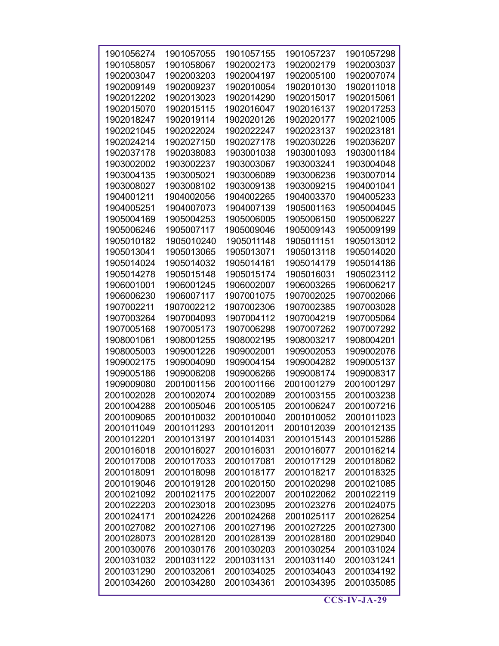| 1901056274 | 1901057055 | 1901057155 | 1901057237 | 1901057298 |
|------------|------------|------------|------------|------------|
| 1901058057 | 1901058067 | 1902002173 | 1902002179 | 1902003037 |
|            |            |            | 1902005100 |            |
| 1902003047 | 1902003203 | 1902004197 |            | 1902007074 |
| 1902009149 | 1902009237 | 1902010054 | 1902010130 | 1902011018 |
| 1902012202 | 1902013023 | 1902014290 | 1902015017 | 1902015061 |
| 1902015070 | 1902015115 | 1902016047 | 1902016137 | 1902017253 |
| 1902018247 | 1902019114 | 1902020126 | 1902020177 | 1902021005 |
| 1902021045 | 1902022024 | 1902022247 | 1902023137 | 1902023181 |
| 1902024214 | 1902027150 | 1902027178 | 1902030226 | 1902036207 |
| 1902037178 | 1902038083 | 1903001038 | 1903001093 | 1903001184 |
| 1903002002 | 1903002237 | 1903003067 | 1903003241 | 1903004048 |
| 1903004135 | 1903005021 | 1903006089 | 1903006236 | 1903007014 |
| 1903008027 | 1903008102 | 1903009138 | 1903009215 | 1904001041 |
| 1904001211 | 1904002056 | 1904002265 | 1904003370 | 1904005233 |
| 1904005251 | 1904007073 | 1904007139 | 1905001163 | 1905004045 |
| 1905004169 | 1905004253 | 1905006005 | 1905006150 | 1905006227 |
| 1905006246 | 1905007117 | 1905009046 | 1905009143 | 1905009199 |
| 1905010182 | 1905010240 | 1905011148 | 1905011151 | 1905013012 |
| 1905013041 | 1905013065 | 1905013071 | 1905013118 | 1905014020 |
| 1905014024 | 1905014032 | 1905014161 | 1905014179 | 1905014186 |
| 1905014278 | 1905015148 | 1905015174 | 1905016031 | 1905023112 |
| 1906001001 | 1906001245 | 1906002007 | 1906003265 | 1906006217 |
| 1906006230 | 1906007117 | 1907001075 | 1907002025 | 1907002066 |
| 1907002211 | 1907002212 | 1907002306 | 1907002385 | 1907003028 |
| 1907003264 | 1907004093 | 1907004112 | 1907004219 | 1907005064 |
| 1907005168 | 1907005173 | 1907006298 | 1907007262 | 1907007292 |
| 1908001061 | 1908001255 | 1908002195 | 1908003217 | 1908004201 |
| 1908005003 | 1909001226 | 1909002001 | 1909002053 | 1909002076 |
| 1909002175 | 1909004090 | 1909004154 | 1909004282 | 1909005137 |
| 1909005186 | 1909006208 | 1909006266 | 1909008174 | 1909008317 |
| 1909009080 | 2001001156 | 2001001166 | 2001001279 | 2001001297 |
| 2001002028 | 2001002074 | 2001002089 | 2001003155 | 2001003238 |
| 2001004288 | 2001005046 | 2001005105 | 2001006247 | 2001007216 |
| 2001009065 | 2001010032 | 2001010040 | 2001010052 | 2001011023 |
| 2001011049 | 2001011293 | 2001012011 | 2001012039 | 2001012135 |
| 2001012201 | 2001013197 | 2001014031 | 2001015143 | 2001015286 |
| 2001016018 | 2001016027 | 2001016031 | 2001016077 | 2001016214 |
| 2001017008 | 2001017033 | 2001017081 | 2001017129 | 2001018062 |
| 2001018091 | 2001018098 | 2001018177 | 2001018217 | 2001018325 |
| 2001019046 | 2001019128 | 2001020150 | 2001020298 | 2001021085 |
| 2001021092 | 2001021175 | 2001022007 | 2001022062 | 2001022119 |
| 2001022203 | 2001023018 | 2001023095 | 2001023276 | 2001024075 |
| 2001024171 | 2001024226 | 2001024268 | 2001025117 | 2001026254 |
| 2001027082 | 2001027106 | 2001027196 | 2001027225 | 2001027300 |
| 2001028073 | 2001028120 | 2001028139 | 2001028180 | 2001029040 |
| 2001030076 | 2001030176 | 2001030203 | 2001030254 | 2001031024 |
| 2001031032 | 2001031122 | 2001031131 | 2001031140 | 2001031241 |
| 2001031290 | 2001032061 | 2001034025 | 2001034043 | 2001034192 |
| 2001034260 | 2001034280 | 2001034361 | 2001034395 | 2001035085 |
|            |            |            |            |            |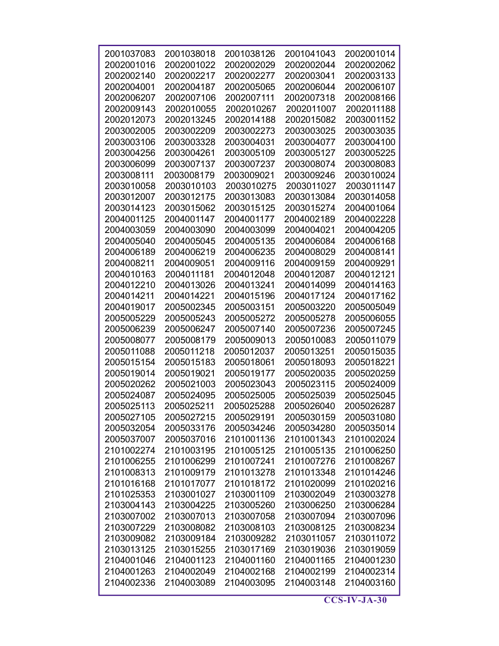| 2001037083               | 2001038018               | 2001038126               | 2001041043               | 2002001014               |
|--------------------------|--------------------------|--------------------------|--------------------------|--------------------------|
| 2002001016               | 2002001022               | 2002002029               | 2002002044               | 2002002062               |
| 2002002140               | 2002002217               | 2002002277               | 2002003041               | 2002003133               |
| 2002004001               | 2002004187               | 2002005065               | 2002006044               | 2002006107               |
| 2002006207               | 2002007106               | 2002007111               | 2002007318               | 2002008166               |
| 2002009143               | 2002010055               | 2002010267               | 2002011007               | 2002011188               |
| 2002012073               | 2002013245               | 2002014188               | 2002015082               | 2003001152               |
| 2003002005               | 2003002209               | 2003002273               | 2003003025               | 2003003035               |
| 2003003106               | 2003003328               | 2003004031               | 2003004077               | 2003004100               |
| 2003004256               | 2003004261               | 2003005109               | 2003005127               | 2003005225               |
| 2003006099               | 2003007137               | 2003007237               | 2003008074               | 2003008083               |
| 2003008111               | 2003008179               | 2003009021               | 2003009246               | 2003010024               |
| 2003010058               | 2003010103               | 2003010275               | 2003011027               | 2003011147               |
| 2003012007               | 2003012175               | 2003013083               | 2003013084               | 2003014058               |
| 2003014123               | 2003015062               | 2003015125               | 2003015274               | 2004001064               |
| 2004001125               | 2004001147               | 2004001177               | 2004002189               | 2004002228               |
| 2004003059               | 2004003090               | 2004003099               | 2004004021               | 2004004205               |
| 2004005040               | 2004005045               | 2004005135               | 2004006084               | 2004006168               |
| 2004006189               | 2004006219               | 2004006235               | 2004008029               | 2004008141               |
| 2004008211               | 2004009051               | 2004009116               | 2004009159               | 2004009291               |
| 2004010163               | 2004011181               | 2004012048               | 2004012087               | 2004012121               |
| 2004012210               | 2004013026               | 2004013241               | 2004014099               | 2004014163               |
| 2004014211               | 2004014221               | 2004015196               | 2004017124               | 2004017162               |
| 2004019017               | 2005002345               | 2005003151               | 2005003220               | 2005005049               |
| 2005005229               | 2005005243               | 2005005272               | 2005005278               | 2005006055               |
| 2005006239               | 2005006247               | 2005007140               | 2005007236               | 2005007245               |
| 2005008077               | 2005008179               | 2005009013               | 2005010083               | 2005011079               |
| 2005011088               | 2005011218               | 2005012037               | 2005013251               | 2005015035               |
| 2005015154               | 2005015183               | 2005018061               | 2005018093               | 2005018221               |
| 2005019014               | 2005019021               | 2005019177               | 2005020035               | 2005020259               |
| 2005020262               | 2005021003               | 2005023043               | 2005023115               | 2005024009               |
| 2005024087               | 2005024095               | 2005025005               | 2005025039               | 2005025045               |
| 2005025113               | 2005025211               | 2005025288               | 2005026040               | 2005026287               |
| 2005027105               | 2005027215               | 2005029191               | 2005030159               | 2005031080               |
| 2005032054               | 2005033176               | 2005034246               | 2005034280               | 2005035014               |
| 2005037007               | 2005037016               | 2101001136               | 2101001343               | 2101002024               |
| 2101002274               | 2101003195               | 2101005125               | 2101005135               | 2101006250               |
| 2101006255               | 2101006299               | 2101007241               | 2101007276               | 2101008267               |
| 2101008313               | 2101009179               | 2101013278               | 2101013348               | 2101014246               |
| 2101016168               | 2101017077               | 2101018172               | 2101020099               | 2101020216               |
| 2101025353               | 2103001027               | 2103001109               | 2103002049               | 2103003278               |
| 2103004143               | 2103004225               | 2103005260               | 2103006250               | 2103006284               |
| 2103007002               | 2103007013               | 2103007058               | 2103007094               | 2103007096               |
| 2103007229               | 2103008082               | 2103008103               | 2103008125               | 2103008234               |
| 2103009082               | 2103009184               | 2103009282               | 2103011057               | 2103011072               |
| 2103013125<br>2104001046 | 2103015255<br>2104001123 | 2103017169<br>2104001160 | 2103019036<br>2104001165 | 2103019059<br>2104001230 |
| 2104001263               | 2104002049               | 2104002168               | 2104002199               | 2104002314               |
| 2104002336               | 2104003089               | 2104003095               | 2104003148               | 2104003160               |
|                          |                          |                          |                          |                          |

 $\overline{\text{CCS-IV-JA-30}}$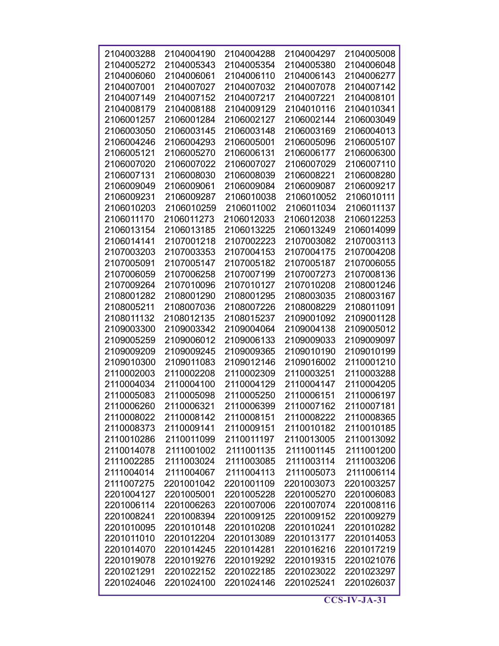| 2104003288 | 2104004190 | 2104004288 | 2104004297 | 2104005008 |
|------------|------------|------------|------------|------------|
| 2104005272 | 2104005343 | 2104005354 | 2104005380 | 2104006048 |
| 2104006060 | 2104006061 | 2104006110 | 2104006143 | 2104006277 |
| 2104007001 | 2104007027 | 2104007032 | 2104007078 | 2104007142 |
| 2104007149 | 2104007152 | 2104007217 | 2104007221 | 2104008101 |
| 2104008179 | 2104008188 | 2104009129 | 2104010116 | 2104010341 |
| 2106001257 | 2106001284 | 2106002127 | 2106002144 | 2106003049 |
| 2106003050 | 2106003145 | 2106003148 | 2106003169 | 2106004013 |
| 2106004246 | 2106004293 | 2106005001 | 2106005096 | 2106005107 |
| 2106005121 | 2106005270 | 2106006131 | 2106006177 | 2106006300 |
| 2106007020 | 2106007022 | 2106007027 | 2106007029 | 2106007110 |
| 2106007131 | 2106008030 | 2106008039 | 2106008221 | 2106008280 |
| 2106009049 | 2106009061 | 2106009084 | 2106009087 | 2106009217 |
| 2106009231 | 2106009287 | 2106010038 | 2106010052 | 2106010111 |
| 2106010203 | 2106010259 | 2106011002 | 2106011034 | 2106011137 |
| 2106011170 | 2106011273 | 2106012033 | 2106012038 | 2106012253 |
| 2106013154 | 2106013185 | 2106013225 | 2106013249 | 2106014099 |
| 2106014141 | 2107001218 | 2107002223 | 2107003082 | 2107003113 |
| 2107003203 | 2107003353 | 2107004153 | 2107004175 | 2107004208 |
| 2107005091 | 2107005147 | 2107005182 | 2107005187 | 2107006055 |
| 2107006059 | 2107006258 | 2107007199 | 2107007273 | 2107008136 |
| 2107009264 | 2107010096 | 2107010127 | 2107010208 | 2108001246 |
| 2108001282 | 2108001290 | 2108001295 | 2108003035 | 2108003167 |
| 2108005211 | 2108007036 | 2108007226 | 2108008229 | 2108011091 |
| 2108011132 | 2108012135 | 2108015237 | 2109001092 | 2109001128 |
| 2109003300 | 2109003342 | 2109004064 | 2109004138 | 2109005012 |
| 2109005259 | 2109006012 | 2109006133 | 2109009033 | 2109009097 |
| 2109009209 | 2109009245 | 2109009365 | 2109010190 | 2109010199 |
| 2109010300 | 2109011083 | 2109012146 | 2109016002 | 2110001210 |
| 2110002003 | 2110002208 | 2110002309 | 2110003251 | 2110003288 |
| 2110004034 | 2110004100 | 2110004129 | 2110004147 | 2110004205 |
| 2110005083 | 2110005098 | 2110005250 | 2110006151 | 2110006197 |
| 2110006260 | 2110006321 | 2110006399 | 2110007162 | 2110007181 |
| 2110008022 | 2110008142 | 2110008151 | 2110008222 | 2110008365 |
| 2110008373 | 2110009141 | 2110009151 | 2110010182 | 2110010185 |
| 2110010286 | 2110011099 | 2110011197 | 2110013005 | 2110013092 |
| 2110014078 | 2111001002 | 2111001135 | 2111001145 | 2111001200 |
| 2111002285 | 2111003024 | 2111003085 | 2111003114 | 2111003206 |
| 2111004014 | 2111004067 | 2111004113 | 2111005073 | 2111006114 |
| 2111007275 | 2201001042 | 2201001109 | 2201003073 | 2201003257 |
| 2201004127 | 2201005001 | 2201005228 | 2201005270 | 2201006083 |
| 2201006114 | 2201006263 | 2201007006 | 2201007074 | 2201008116 |
| 2201008241 | 2201008394 | 2201009125 | 2201009152 | 2201009279 |
| 2201010095 | 2201010148 | 2201010208 | 2201010241 | 2201010282 |
| 2201011010 | 2201012204 | 2201013089 | 2201013177 | 2201014053 |
| 2201014070 | 2201014245 | 2201014281 | 2201016216 | 2201017219 |
| 2201019078 | 2201019276 | 2201019292 | 2201019315 | 2201021076 |
| 2201021291 | 2201022152 | 2201022185 | 2201023022 | 2201023297 |
| 2201024046 | 2201024100 | 2201024146 | 2201025241 | 2201026037 |
|            |            |            |            |            |

 $\overline{\text{CCS-IV-JA-31}}$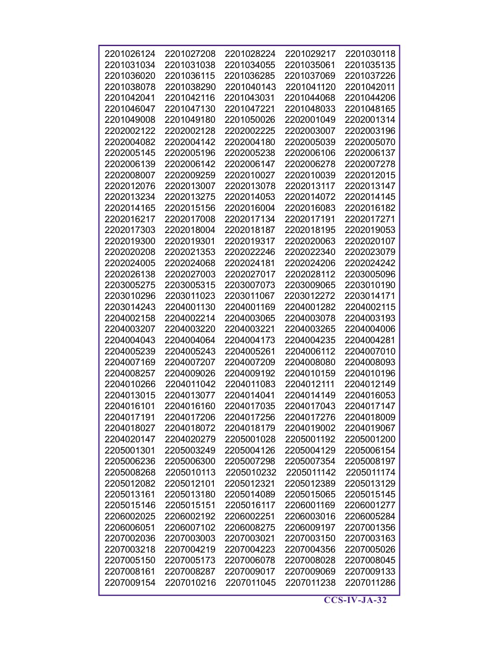| 2201026124 | 2201027208 | 2201028224 |            | 2201030118 |
|------------|------------|------------|------------|------------|
|            |            |            | 2201029217 |            |
| 2201031034 | 2201031038 | 2201034055 | 2201035061 | 2201035135 |
| 2201036020 | 2201036115 | 2201036285 | 2201037069 | 2201037226 |
| 2201038078 | 2201038290 | 2201040143 | 2201041120 | 2201042011 |
| 2201042041 | 2201042116 | 2201043031 | 2201044068 | 2201044206 |
| 2201046047 | 2201047130 | 2201047221 | 2201048033 | 2201048165 |
| 2201049008 | 2201049180 | 2201050026 | 2202001049 | 2202001314 |
| 2202002122 | 2202002128 | 2202002225 | 2202003007 | 2202003196 |
| 2202004082 | 2202004142 | 2202004180 | 2202005039 | 2202005070 |
| 2202005145 | 2202005196 | 2202005238 | 2202006106 | 2202006137 |
| 2202006139 | 2202006142 | 2202006147 | 2202006278 | 2202007278 |
| 2202008007 | 2202009259 | 2202010027 | 2202010039 | 2202012015 |
| 2202012076 | 2202013007 | 2202013078 | 2202013117 | 2202013147 |
| 2202013234 | 2202013275 | 2202014053 | 2202014072 | 2202014145 |
| 2202014165 | 2202015156 | 2202016004 | 2202016083 | 2202016182 |
| 2202016217 | 2202017008 | 2202017134 | 2202017191 | 2202017271 |
| 2202017303 | 2202018004 | 2202018187 | 2202018195 | 2202019053 |
| 2202019300 | 2202019301 | 2202019317 | 2202020063 | 2202020107 |
| 2202020208 | 2202021353 | 2202022246 | 2202022340 | 2202023079 |
| 2202024005 | 2202024068 | 2202024181 | 2202024206 | 2202024242 |
| 2202026138 | 2202027003 | 2202027017 | 2202028112 | 2203005096 |
| 2203005275 | 2203005315 | 2203007073 | 2203009065 | 2203010190 |
| 2203010296 | 2203011023 | 2203011067 | 2203012272 | 2203014171 |
| 2203014243 | 2204001130 | 2204001169 | 2204001282 | 2204002115 |
| 2204002158 | 2204002214 | 2204003065 | 2204003078 | 2204003193 |
| 2204003207 | 2204003220 | 2204003221 | 2204003265 | 2204004006 |
| 2204004043 | 2204004064 | 2204004173 | 2204004235 | 2204004281 |
| 2204005239 | 2204005243 | 2204005261 | 2204006112 | 2204007010 |
| 2204007169 | 2204007207 | 2204007209 | 2204008080 | 2204008093 |
| 2204008257 | 2204009026 | 2204009192 | 2204010159 | 2204010196 |
| 2204010266 | 2204011042 | 2204011083 | 2204012111 | 2204012149 |
| 2204013015 | 2204013077 | 2204014041 | 2204014149 | 2204016053 |
| 2204016101 | 2204016160 | 2204017035 | 2204017043 | 2204017147 |
| 2204017191 | 2204017206 | 2204017256 | 2204017276 | 2204018009 |
| 2204018027 | 2204018072 | 2204018179 | 2204019002 | 2204019067 |
| 2204020147 | 2204020279 | 2205001028 | 2205001192 | 2205001200 |
| 2205001301 | 2205003249 | 2205004126 | 2205004129 | 2205006154 |
| 2205006236 | 2205006300 | 2205007298 | 2205007354 | 2205008197 |
| 2205008268 | 2205010113 | 2205010232 | 2205011142 | 2205011174 |
| 2205012082 | 2205012101 | 2205012321 | 2205012389 | 2205013129 |
| 2205013161 | 2205013180 | 2205014089 | 2205015065 | 2205015145 |
| 2205015146 | 2205015151 | 2205016117 | 2206001169 | 2206001277 |
| 2206002025 | 2206002192 | 2206002251 | 2206003016 | 2206005284 |
| 2206006051 | 2206007102 | 2206008275 | 2206009197 | 2207001356 |
| 2207002036 | 2207003003 | 2207003021 | 2207003150 | 2207003163 |
| 2207003218 | 2207004219 | 2207004223 | 2207004356 | 2207005026 |
| 2207005150 | 2207005173 | 2207006078 | 2207008028 | 2207008045 |
| 2207008161 | 2207008287 | 2207009017 | 2207009069 | 2207009133 |
|            | 2207010216 | 2207011045 | 2207011238 | 2207011286 |
| 2207009154 |            |            |            |            |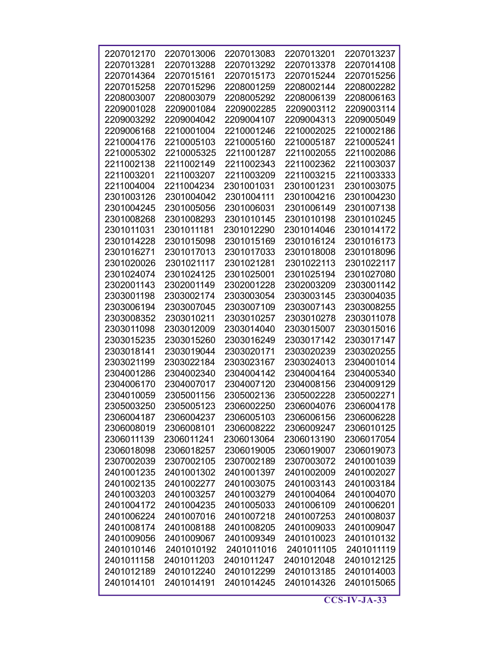| 2207012170 | 2207013006 | 2207013083 | 2207013201 | 2207013237 |
|------------|------------|------------|------------|------------|
|            |            |            |            |            |
| 2207013281 | 2207013288 | 2207013292 | 2207013378 | 2207014108 |
| 2207014364 | 2207015161 | 2207015173 | 2207015244 | 2207015256 |
| 2207015258 | 2207015296 | 2208001259 | 2208002144 | 2208002282 |
| 2208003007 | 2208003079 | 2208005292 | 2208006139 | 2208006163 |
| 2209001028 | 2209001084 | 2209002285 | 2209003112 | 2209003114 |
| 2209003292 | 2209004042 | 2209004107 | 2209004313 | 2209005049 |
| 2209006168 | 2210001004 | 2210001246 | 2210002025 | 2210002186 |
| 2210004176 | 2210005103 | 2210005160 | 2210005187 | 2210005241 |
| 2210005302 | 2210005325 | 2211001287 | 2211002055 | 2211002086 |
| 2211002138 | 2211002149 | 2211002343 | 2211002362 | 2211003037 |
| 2211003201 | 2211003207 | 2211003209 | 2211003215 | 2211003333 |
| 2211004004 | 2211004234 | 2301001031 | 2301001231 | 2301003075 |
| 2301003126 | 2301004042 | 2301004111 | 2301004216 | 2301004230 |
| 2301004245 | 2301005056 | 2301006031 | 2301006149 | 2301007138 |
| 2301008268 | 2301008293 | 2301010145 | 2301010198 | 2301010245 |
| 2301011031 | 2301011181 | 2301012290 | 2301014046 | 2301014172 |
| 2301014228 | 2301015098 | 2301015169 | 2301016124 | 2301016173 |
| 2301016271 | 2301017013 | 2301017033 | 2301018008 | 2301018096 |
| 2301020026 | 2301021117 | 2301021281 | 2301022113 | 2301022117 |
| 2301024074 | 2301024125 | 2301025001 | 2301025194 | 2301027080 |
| 2302001143 | 2302001149 | 2302001228 | 2302003209 | 2303001142 |
| 2303001198 | 2303002174 | 2303003054 | 2303003145 | 2303004035 |
| 2303006194 | 2303007045 | 2303007109 | 2303007143 | 2303008255 |
| 2303008352 | 2303010211 | 2303010257 | 2303010278 | 2303011078 |
| 2303011098 | 2303012009 | 2303014040 | 2303015007 | 2303015016 |
| 2303015235 | 2303015260 | 2303016249 | 2303017142 | 2303017147 |
| 2303018141 | 2303019044 | 2303020171 | 2303020239 | 2303020255 |
| 2303021199 | 2303022184 | 2303023167 | 2303024013 | 2304001014 |
| 2304001286 | 2304002340 | 2304004142 | 2304004164 | 2304005340 |
| 2304006170 | 2304007017 | 2304007120 | 2304008156 | 2304009129 |
| 2304010059 | 2305001156 | 2305002136 | 2305002228 | 2305002271 |
| 2305003250 | 2305005123 | 2306002250 | 2306004076 | 2306004178 |
| 2306004187 | 2306004237 | 2306005103 | 2306006156 | 2306006228 |
| 2306008019 | 2306008101 | 2306008222 | 2306009247 | 2306010125 |
| 2306011139 | 2306011241 | 2306013064 | 2306013190 | 2306017054 |
| 2306018098 | 2306018257 | 2306019005 | 2306019007 | 2306019073 |
|            | 2307002105 |            |            | 2401001039 |
| 2307002039 |            | 2307002189 | 2307003072 |            |
| 2401001235 | 2401001302 | 2401001397 | 2401002009 | 2401002027 |
| 2401002135 | 2401002277 | 2401003075 | 2401003143 | 2401003184 |
| 2401003203 | 2401003257 | 2401003279 | 2401004064 | 2401004070 |
| 2401004172 | 2401004235 | 2401005033 | 2401006109 | 2401006201 |
| 2401006224 | 2401007016 | 2401007218 | 2401007253 | 2401008037 |
| 2401008174 | 2401008188 | 2401008205 | 2401009033 | 2401009047 |
| 2401009056 | 2401009067 | 2401009349 | 2401010023 | 2401010132 |
| 2401010146 | 2401010192 | 2401011016 | 2401011105 | 2401011119 |
| 2401011158 | 2401011203 | 2401011247 | 2401012048 | 2401012125 |
| 2401012189 | 2401012240 | 2401012299 | 2401013185 | 2401014003 |
| 2401014101 | 2401014191 | 2401014245 | 2401014326 | 2401015065 |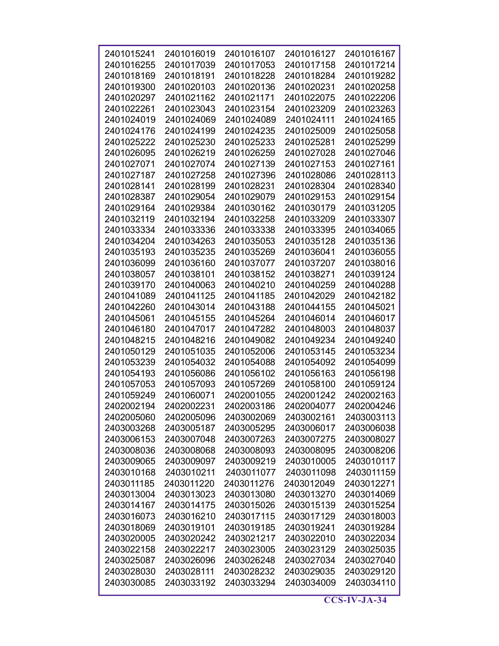| 2401015241 | 2401016019 | 2401016107 | 2401016127 | 2401016167 |
|------------|------------|------------|------------|------------|
| 2401016255 | 2401017039 | 2401017053 | 2401017158 | 2401017214 |
| 2401018169 | 2401018191 | 2401018228 | 2401018284 | 2401019282 |
|            |            |            |            |            |
| 2401019300 | 2401020103 | 2401020136 | 2401020231 | 2401020258 |
| 2401020297 | 2401021162 | 2401021171 | 2401022075 | 2401022206 |
| 2401022261 | 2401023043 | 2401023154 | 2401023209 | 2401023263 |
| 2401024019 | 2401024069 | 2401024089 | 2401024111 | 2401024165 |
| 2401024176 | 2401024199 | 2401024235 | 2401025009 | 2401025058 |
| 2401025222 | 2401025230 | 2401025233 | 2401025281 | 2401025299 |
| 2401026095 | 2401026219 | 2401026259 | 2401027028 | 2401027046 |
| 2401027071 | 2401027074 | 2401027139 | 2401027153 | 2401027161 |
| 2401027187 | 2401027258 | 2401027396 | 2401028086 | 2401028113 |
| 2401028141 | 2401028199 | 2401028231 | 2401028304 | 2401028340 |
| 2401028387 | 2401029054 | 2401029079 | 2401029153 | 2401029154 |
| 2401029164 | 2401029384 | 2401030162 | 2401030179 | 2401031205 |
| 2401032119 | 2401032194 | 2401032258 | 2401033209 | 2401033307 |
| 2401033334 | 2401033336 | 2401033338 | 2401033395 | 2401034065 |
| 2401034204 | 2401034263 | 2401035053 | 2401035128 | 2401035136 |
| 2401035193 | 2401035235 | 2401035269 | 2401036041 | 2401036055 |
| 2401036099 | 2401036160 | 2401037077 | 2401037207 | 2401038016 |
| 2401038057 | 2401038101 | 2401038152 | 2401038271 | 2401039124 |
| 2401039170 | 2401040063 | 2401040210 | 2401040259 | 2401040288 |
| 2401041089 | 2401041125 | 2401041185 | 2401042029 | 2401042182 |
| 2401042260 | 2401043014 | 2401043188 | 2401044155 | 2401045021 |
| 2401045061 | 2401045155 | 2401045264 | 2401046014 | 2401046017 |
| 2401046180 | 2401047017 | 2401047282 | 2401048003 | 2401048037 |
| 2401048215 | 2401048216 | 2401049082 | 2401049234 | 2401049240 |
| 2401050129 | 2401051035 | 2401052006 | 2401053145 | 2401053234 |
| 2401053239 | 2401054032 | 2401054088 | 2401054092 | 2401054099 |
| 2401054193 | 2401056086 | 2401056102 | 2401056163 | 2401056198 |
| 2401057053 | 2401057093 | 2401057269 | 2401058100 | 2401059124 |
| 2401059249 | 2401060071 | 2402001055 | 2402001242 | 2402002163 |
| 2402002194 | 2402002231 | 2402003186 | 2402004077 | 2402004246 |
| 2402005060 | 2402005096 | 2403002069 | 2403002161 | 2403003113 |
| 2403003268 | 2403005187 | 2403005295 | 2403006017 | 2403006038 |
| 2403006153 | 2403007048 | 2403007263 | 2403007275 | 2403008027 |
| 2403008036 | 2403008068 | 2403008093 | 2403008095 | 2403008206 |
| 2403009065 | 2403009097 | 2403009219 | 2403010005 | 2403010117 |
| 2403010168 | 2403010211 | 2403011077 | 2403011098 | 2403011159 |
| 2403011185 | 2403011220 | 2403011276 | 2403012049 | 2403012271 |
| 2403013004 | 2403013023 | 2403013080 | 2403013270 | 2403014069 |
| 2403014167 | 2403014175 | 2403015026 | 2403015139 | 2403015254 |
| 2403016073 | 2403016210 | 2403017115 | 2403017129 | 2403018003 |
| 2403018069 | 2403019101 | 2403019185 | 2403019241 | 2403019284 |
| 2403020005 | 2403020242 | 2403021217 | 2403022010 | 2403022034 |
| 2403022158 | 2403022217 | 2403023005 | 2403023129 | 2403025035 |
| 2403025087 | 2403026096 | 2403026248 | 2403027034 | 2403027040 |
| 2403028030 | 2403028111 | 2403028232 | 2403029035 | 2403029120 |
| 2403030085 | 2403033192 | 2403033294 | 2403034009 | 2403034110 |
|            |            |            |            |            |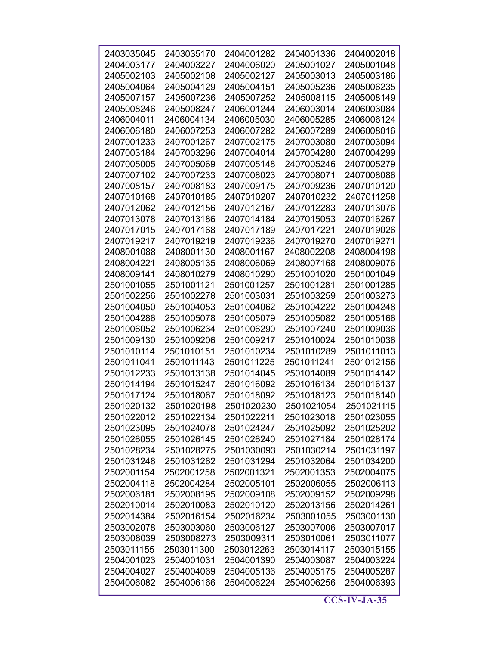| 2403035045 | 2403035170 | 2404001282 | 2404001336 | 2404002018               |
|------------|------------|------------|------------|--------------------------|
| 2404003177 | 2404003227 | 2404006020 | 2405001027 | 2405001048               |
| 2405002103 | 2405002108 | 2405002127 | 2405003013 | 2405003186               |
| 2405004064 | 2405004129 | 2405004151 | 2405005236 | 2405006235               |
| 2405007157 | 2405007236 | 2405007252 | 2405008115 | 2405008149               |
| 2405008246 | 2405008247 | 2406001244 | 2406003014 | 2406003084               |
| 2406004011 | 2406004134 | 2406005030 | 2406005285 | 2406006124               |
| 2406006180 | 2406007253 | 2406007282 | 2406007289 | 2406008016               |
| 2407001233 | 2407001267 | 2407002175 | 2407003080 | 2407003094               |
| 2407003184 | 2407003296 | 2407004014 | 2407004280 | 2407004299               |
| 2407005005 | 2407005069 | 2407005148 | 2407005246 | 2407005279               |
| 2407007102 | 2407007233 | 2407008023 | 2407008071 | 2407008086               |
| 2407008157 | 2407008183 | 2407009175 | 2407009236 | 2407010120               |
| 2407010168 | 2407010185 | 2407010207 | 2407010232 | 2407011258               |
| 2407012062 | 2407012156 | 2407012167 | 2407012283 | 2407013076               |
| 2407013078 | 2407013186 | 2407014184 | 2407015053 | 2407016267               |
| 2407017015 | 2407017168 | 2407017189 | 2407017221 | 2407019026               |
| 2407019217 | 2407019219 | 2407019236 | 2407019270 | 2407019271               |
| 2408001088 | 2408001130 | 2408001167 | 2408002208 | 2408004198               |
| 2408004221 | 2408005135 | 2408006069 | 2408007168 | 2408009076               |
| 2408009141 | 2408010279 | 2408010290 | 2501001020 | 2501001049               |
| 2501001055 |            |            | 2501001281 |                          |
|            | 2501001121 | 2501001257 |            | 2501001285<br>2501003273 |
| 2501002256 | 2501002278 | 2501003031 | 2501003259 |                          |
| 2501004050 | 2501004053 | 2501004062 | 2501004222 | 2501004248               |
| 2501004286 | 2501005078 | 2501005079 | 2501005082 | 2501005166               |
| 2501006052 | 2501006234 | 2501006290 | 2501007240 | 2501009036               |
| 2501009130 | 2501009206 | 2501009217 | 2501010024 | 2501010036               |
| 2501010114 | 2501010151 | 2501010234 | 2501010289 | 2501011013               |
| 2501011041 | 2501011143 | 2501011225 | 2501011241 | 2501012156               |
| 2501012233 | 2501013138 | 2501014045 | 2501014089 | 2501014142               |
| 2501014194 | 2501015247 | 2501016092 | 2501016134 | 2501016137               |
| 2501017124 | 2501018067 | 2501018092 | 2501018123 | 2501018140               |
| 2501020132 | 2501020198 | 2501020230 | 2501021054 | 2501021115               |
| 2501022012 | 2501022134 | 2501022211 | 2501023018 | 2501023055               |
| 2501023095 | 2501024078 | 2501024247 | 2501025092 | 2501025202               |
| 2501026055 | 2501026145 | 2501026240 | 2501027184 | 2501028174               |
| 2501028234 | 2501028275 | 2501030093 | 2501030214 | 2501031197               |
| 2501031248 | 2501031262 | 2501031294 | 2501032064 | 2501034200               |
| 2502001154 | 2502001258 | 2502001321 | 2502001353 | 2502004075               |
| 2502004118 | 2502004284 | 2502005101 | 2502006055 | 2502006113               |
| 2502006181 | 2502008195 | 2502009108 | 2502009152 | 2502009298               |
| 2502010014 | 2502010083 | 2502010120 | 2502013156 | 2502014261               |
| 2502014384 | 2502016154 | 2502016234 | 2503001055 | 2503001130               |
| 2503002078 | 2503003060 | 2503006127 | 2503007006 | 2503007017               |
| 2503008039 | 2503008273 | 2503009311 | 2503010061 | 2503011077               |
| 2503011155 | 2503011300 | 2503012263 | 2503014117 | 2503015155               |
| 2504001023 | 2504001031 | 2504001390 | 2504003087 | 2504003224               |
| 2504004027 | 2504004069 | 2504005136 | 2504005175 | 2504005287               |
| 2504006082 | 2504006166 | 2504006224 | 2504006256 | 2504006393               |
|            |            |            |            |                          |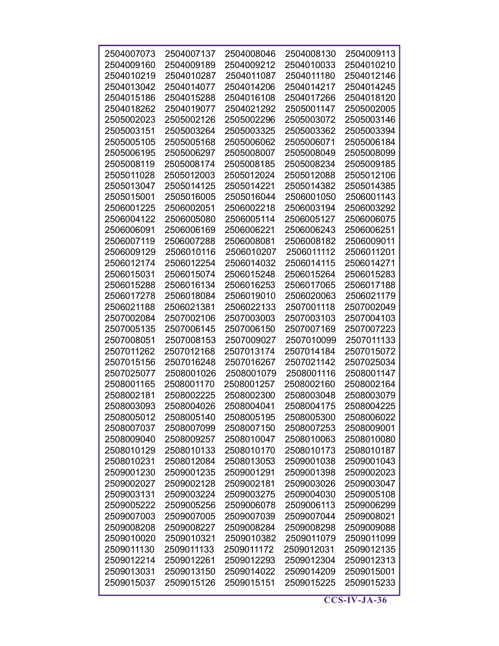| 2504007073 | 2504007137 | 2504008046 | 2504008130 | 2504009113 |
|------------|------------|------------|------------|------------|
| 2504009160 | 2504009189 | 2504009212 | 2504010033 | 2504010210 |
| 2504010219 | 2504010287 | 2504011087 | 2504011180 | 2504012146 |
| 2504013042 | 2504014077 | 2504014206 | 2504014217 | 2504014245 |
| 2504015186 | 2504015288 | 2504016108 | 2504017266 | 2504018120 |
| 2504018262 | 2504019077 | 2504021292 | 2505001147 | 2505002005 |
| 2505002023 | 2505002126 | 2505002296 | 2505003072 | 2505003146 |
| 2505003151 | 2505003264 | 2505003325 | 2505003362 | 2505003394 |
| 2505005105 | 2505005168 | 2505006062 | 2505006071 | 2505006184 |
| 2505006195 | 2505006297 | 2505008007 | 2505008049 | 2505008099 |
| 2505008119 | 2505008174 | 2505008185 | 2505008234 | 2505009185 |
| 2505011028 | 2505012003 | 2505012024 | 2505012088 | 2505012106 |
| 2505013047 | 2505014125 | 2505014221 | 2505014382 | 2505014385 |
| 2505015001 | 2505016005 | 2505016044 | 2506001050 | 2506001143 |
| 2506001225 | 2506002051 | 2506002218 | 2506003194 | 2506003292 |
| 2506004122 | 2506005080 | 2506005114 | 2506005127 | 2506006075 |
| 2506006091 | 2506006169 | 2506006221 | 2506006243 | 2506006251 |
| 2506007119 | 2506007288 | 2506008081 | 2506008182 | 2506009011 |
| 2506009129 | 2506010116 | 2506010207 | 2506011112 | 2506011201 |
| 2506012174 | 2506012254 | 2506014032 | 2506014115 | 2506014271 |
| 2506015031 | 2506015074 | 2506015248 | 2506015264 | 2506015283 |
| 2506015288 | 2506016134 | 2506016253 | 2506017065 | 2506017188 |
| 2506017278 | 2506018084 | 2506019010 | 2506020063 | 2506021179 |
| 2506021188 | 2506021381 | 2506022133 | 2507001118 | 2507002049 |
| 2507002084 | 2507002106 | 2507003003 | 2507003103 | 2507004103 |
| 2507005135 | 2507006145 | 2507006150 | 2507007169 | 2507007223 |
| 2507008051 | 2507008153 | 2507009027 | 2507010099 | 2507011133 |
| 2507011262 | 2507012168 | 2507013174 | 2507014184 | 2507015072 |
| 2507015156 | 2507016248 | 2507016267 | 2507021142 | 2507025034 |
| 2507025077 | 2508001026 | 2508001079 | 2508001116 | 2508001147 |
| 2508001165 | 2508001170 | 2508001257 | 2508002160 | 2508002164 |
| 2508002181 | 2508002225 | 2508002300 | 2508003048 | 2508003079 |
| 2508003093 | 2508004026 | 2508004041 | 2508004175 | 2508004225 |
| 2508005012 | 2508005140 | 2508005195 | 2508005300 | 2508006022 |
| 2508007037 | 2508007099 | 2508007150 | 2508007253 | 2508009001 |
| 2508009040 | 2508009257 | 2508010047 | 2508010063 | 2508010080 |
| 2508010129 | 2508010133 | 2508010170 | 2508010173 | 2508010187 |
| 2508010231 | 2508012084 | 2508013053 | 2509001038 | 2509001043 |
| 2509001230 | 2509001235 | 2509001291 | 2509001398 | 2509002023 |
| 2509002027 | 2509002128 | 2509002181 | 2509003026 | 2509003047 |
| 2509003131 | 2509003224 | 2509003275 | 2509004030 | 2509005108 |
| 2509005222 | 2509005256 | 2509006078 | 2509006113 | 2509006299 |
| 2509007003 | 2509007005 | 2509007039 | 2509007044 | 2509008021 |
| 2509008208 | 2509008227 | 2509008284 | 2509008298 | 2509009088 |
| 2509010020 | 2509010321 | 2509010382 | 2509011079 | 2509011099 |
| 2509011130 | 2509011133 | 2509011172 | 2509012031 | 2509012135 |
| 2509012214 | 2509012261 | 2509012293 | 2509012304 | 2509012313 |
| 2509013031 | 2509013150 | 2509014022 | 2509014209 | 2509015001 |
| 2509015037 | 2509015126 | 2509015151 | 2509015225 | 2509015233 |
|            |            |            |            |            |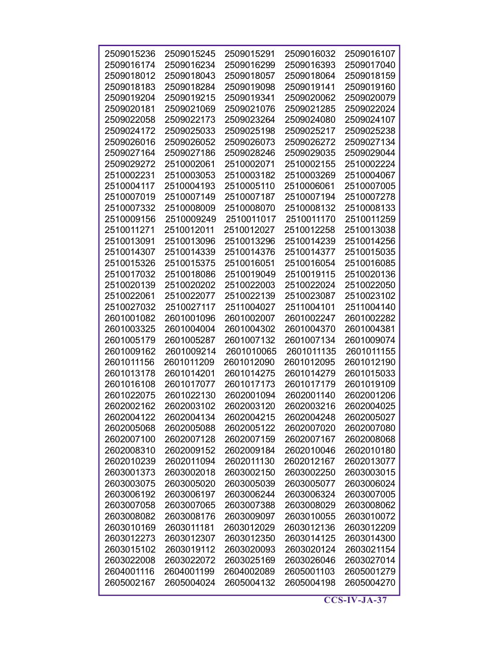| 2509015236               | 2509015245               | 2509015291               | 2509016032               | 2509016107               |
|--------------------------|--------------------------|--------------------------|--------------------------|--------------------------|
| 2509016174               | 2509016234               | 2509016299               | 2509016393               | 2509017040               |
| 2509018012               | 2509018043               | 2509018057               | 2509018064               | 2509018159               |
| 2509018183               | 2509018284               | 2509019098               | 2509019141               | 2509019160               |
| 2509019204               | 2509019215               | 2509019341               | 2509020062               | 2509020079               |
| 2509020181               | 2509021069               | 2509021076               | 2509021285               | 2509022024               |
| 2509022058               | 2509022173               | 2509023264               | 2509024080               | 2509024107               |
| 2509024172               | 2509025033               | 2509025198               | 2509025217               | 2509025238               |
| 2509026016               | 2509026052               | 2509026073               | 2509026272               | 2509027134               |
| 2509027164               | 2509027186               | 2509028246               | 2509029035               | 2509029044               |
| 2509029272               | 2510002061               | 2510002071               | 2510002155               | 2510002224               |
| 2510002231               | 2510003053               | 2510003182               | 2510003269               | 2510004067               |
| 2510004117               | 2510004193               | 2510005110               | 2510006061               | 2510007005               |
| 2510007019               | 2510007149               | 2510007187               | 2510007194               | 2510007278               |
| 2510007332               | 2510008009               | 2510008070               | 2510008132               | 2510008133               |
| 2510009156               | 2510009249               | 2510011017               | 2510011170               | 2510011259               |
| 2510011271               | 2510012011               | 2510012027               | 2510012258               | 2510013038               |
| 2510013091               | 2510013096               | 2510013296               | 2510014239               | 2510014256               |
| 2510014307               | 2510014339               | 2510014376               | 2510014377               | 2510015035               |
| 2510015326               | 2510015375               | 2510016051               | 2510016054               | 2510016085               |
| 2510017032               | 2510018086               | 2510019049               | 2510019115               | 2510020136               |
| 2510020139               | 2510020202               | 2510022003               | 2510022024               | 2510022050               |
| 2510022061               | 2510022077               | 2510022139               | 2510023087               | 2510023102               |
| 2510027032               | 2510027117               | 2511004027               | 2511004101               | 2511004140               |
| 2601001082               | 2601001096               | 2601002007               | 2601002247               | 2601002282               |
| 2601003325               | 2601004004               | 2601004302               | 2601004370               | 2601004381               |
| 2601005179               | 2601005287               | 2601007132               | 2601007134               | 2601009074               |
| 2601009162               | 2601009214               | 2601010065               | 2601011135               | 2601011155               |
| 2601011156               | 2601011209               | 2601012090               | 2601012095               | 2601012190               |
| 2601013178               | 2601014201               | 2601014275               | 2601014279               | 2601015033               |
| 2601016108               | 2601017077               | 2601017173               | 2601017179               | 2601019109               |
| 2601022075               | 2601022130               | 2602001094               | 2602001140               | 2602001206               |
| 2602002162               | 2602003102               | 2602003120               | 2602003216               | 2602004025               |
| 2602004122               | 2602004134               | 2602004215               | 2602004248               | 2602005027               |
| 2602005068               | 2602005088               | 2602005122               | 2602007020               | 2602007080               |
| 2602007100               | 2602007128               | 2602007159               | 2602007167               | 2602008068               |
| 2602008310               | 2602009152               | 2602009184               | 2602010046               | 2602010180               |
| 2602010239               | 2602011094               | 2602011130               | 2602012167               | 2602013077               |
| 2603001373               | 2603002018               | 2603002150               | 2603002250               | 2603003015               |
| 2603003075               | 2603005020               | 2603005039               | 2603005077               | 2603006024               |
| 2603006192               | 2603006197               | 2603006244<br>2603007388 | 2603006324<br>2603008029 | 2603007005               |
| 2603007058<br>2603008082 | 2603007065<br>2603008176 | 2603009097               | 2603010055               | 2603008062<br>2603010072 |
| 2603010169               | 2603011181               | 2603012029               | 2603012136               | 2603012209               |
| 2603012273               | 2603012307               | 2603012350               | 2603014125               | 2603014300               |
| 2603015102               | 2603019112               | 2603020093               | 2603020124               | 2603021154               |
| 2603022008               | 2603022072               | 2603025169               | 2603026046               | 2603027014               |
| 2604001116               | 2604001199               | 2604002089               | 2605001103               | 2605001279               |
| 2605002167               | 2605004024               | 2605004132               | 2605004198               | 2605004270               |
|                          |                          |                          |                          |                          |

 $\overline{\text{CCS-IV-JA-37}}$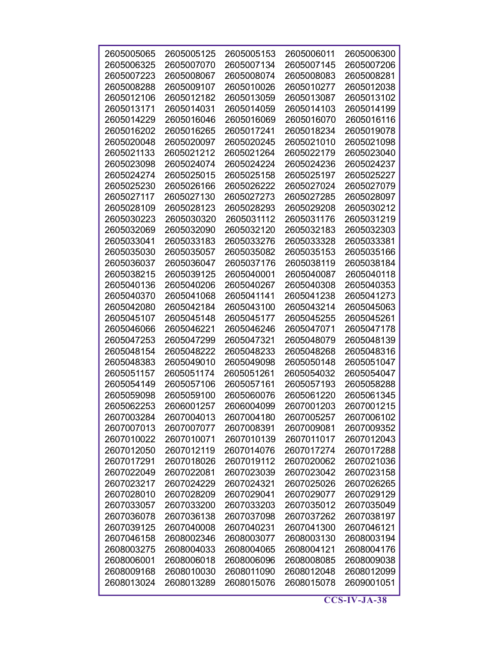| 2605005065 | 2605005125 | 2605005153 | 2605006011 | 2605006300 |
|------------|------------|------------|------------|------------|
| 2605006325 | 2605007070 | 2605007134 | 2605007145 | 2605007206 |
| 2605007223 | 2605008067 | 2605008074 | 2605008083 | 2605008281 |
| 2605008288 | 2605009107 | 2605010026 | 2605010277 | 2605012038 |
| 2605012106 | 2605012182 | 2605013059 | 2605013087 | 2605013102 |
| 2605013171 | 2605014031 | 2605014059 | 2605014103 | 2605014199 |
| 2605014229 | 2605016046 | 2605016069 | 2605016070 | 2605016116 |
| 2605016202 | 2605016265 | 2605017241 | 2605018234 | 2605019078 |
| 2605020048 | 2605020097 | 2605020245 | 2605021010 | 2605021098 |
| 2605021133 | 2605021212 | 2605021264 | 2605022179 | 2605023040 |
| 2605023098 | 2605024074 | 2605024224 | 2605024236 | 2605024237 |
| 2605024274 | 2605025015 | 2605025158 | 2605025197 | 2605025227 |
| 2605025230 | 2605026166 | 2605026222 | 2605027024 | 2605027079 |
| 2605027117 | 2605027130 | 2605027273 | 2605027285 | 2605028097 |
| 2605028109 | 2605028123 | 2605028293 | 2605029208 | 2605030212 |
| 2605030223 | 2605030320 | 2605031112 | 2605031176 | 2605031219 |
| 2605032069 | 2605032090 | 2605032120 | 2605032183 | 2605032303 |
| 2605033041 | 2605033183 | 2605033276 | 2605033328 | 2605033381 |
| 2605035030 | 2605035057 | 2605035082 | 2605035153 | 2605035166 |
| 2605036037 | 2605036047 | 2605037176 | 2605038119 | 2605038184 |
| 2605038215 | 2605039125 | 2605040001 | 2605040087 | 2605040118 |
| 2605040136 | 2605040206 | 2605040267 | 2605040308 | 2605040353 |
| 2605040370 | 2605041068 | 2605041141 | 2605041238 | 2605041273 |
| 2605042080 | 2605042184 | 2605043100 | 2605043214 | 2605045063 |
| 2605045107 | 2605045148 | 2605045177 | 2605045255 | 2605045261 |
| 2605046066 | 2605046221 | 2605046246 | 2605047071 | 2605047178 |
| 2605047253 | 2605047299 | 2605047321 | 2605048079 | 2605048139 |
| 2605048154 | 2605048222 | 2605048233 | 2605048268 | 2605048316 |
| 2605048383 | 2605049010 | 2605049098 | 2605050148 | 2605051047 |
| 2605051157 | 2605051174 | 2605051261 | 2605054032 | 2605054047 |
| 2605054149 | 2605057106 | 2605057161 | 2605057193 | 2605058288 |
| 2605059098 | 2605059100 | 2605060076 | 2605061220 | 2605061345 |
| 2605062253 | 2606001257 | 2606004099 | 2607001203 | 2607001215 |
| 2607003284 | 2607004013 | 2607004180 | 2607005257 | 2607006102 |
| 2607007013 | 2607007077 | 2607008391 | 2607009081 | 2607009352 |
| 2607010022 | 2607010071 | 2607010139 | 2607011017 | 2607012043 |
| 2607012050 | 2607012119 | 2607014076 | 2607017274 | 2607017288 |
| 2607017291 | 2607018026 | 2607019112 | 2607020062 | 2607021036 |
| 2607022049 | 2607022081 | 2607023039 | 2607023042 | 2607023158 |
| 2607023217 | 2607024229 | 2607024321 | 2607025026 | 2607026265 |
| 2607028010 | 2607028209 | 2607029041 | 2607029077 | 2607029129 |
| 2607033057 | 2607033200 | 2607033203 | 2607035012 | 2607035049 |
| 2607036078 | 2607036138 | 2607037098 | 2607037262 | 2607038197 |
| 2607039125 | 2607040008 | 2607040231 | 2607041300 | 2607046121 |
| 2607046158 | 2608002346 | 2608003077 | 2608003130 | 2608003194 |
| 2608003275 | 2608004033 | 2608004065 | 2608004121 | 2608004176 |
| 2608006001 | 2608006018 | 2608006096 | 2608008085 | 2608009038 |
| 2608009168 | 2608010030 | 2608011090 | 2608012048 | 2608012099 |
| 2608013024 | 2608013289 | 2608015076 | 2608015078 | 2609001051 |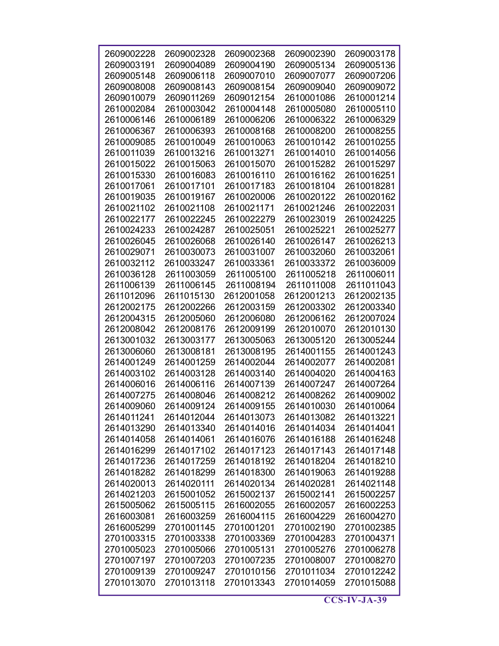| 2609002228 | 2609002328 | 2609002368 | 2609002390 | 2609003178 |
|------------|------------|------------|------------|------------|
| 2609003191 | 2609004089 | 2609004190 | 2609005134 | 2609005136 |
| 2609005148 | 2609006118 | 2609007010 | 2609007077 | 2609007206 |
| 2609008008 | 2609008143 | 2609008154 | 2609009040 | 2609009072 |
| 2609010079 | 2609011269 | 2609012154 | 2610001086 | 2610001214 |
| 2610002084 | 2610003042 | 2610004148 | 2610005080 | 2610005110 |
| 2610006146 | 2610006189 | 2610006206 | 2610006322 | 2610006329 |
| 2610006367 | 2610006393 | 2610008168 | 2610008200 | 2610008255 |
| 2610009085 | 2610010049 | 2610010063 | 2610010142 | 2610010255 |
| 2610011039 | 2610013216 | 2610013271 | 2610014010 | 2610014056 |
| 2610015022 | 2610015063 | 2610015070 | 2610015282 | 2610015297 |
| 2610015330 | 2610016083 | 2610016110 | 2610016162 | 2610016251 |
| 2610017061 | 2610017101 | 2610017183 | 2610018104 | 2610018281 |
| 2610019035 | 2610019167 | 2610020006 | 2610020122 | 2610020162 |
| 2610021102 | 2610021108 | 2610021171 | 2610021246 | 2610022031 |
| 2610022177 | 2610022245 | 2610022279 | 2610023019 | 2610024225 |
| 2610024233 | 2610024287 | 2610025051 | 2610025221 | 2610025277 |
| 2610026045 | 2610026068 | 2610026140 | 2610026147 | 2610026213 |
| 2610029071 | 2610030073 | 2610031007 | 2610032060 | 2610032061 |
| 2610032112 | 2610033247 | 2610033361 | 2610033372 | 2610036009 |
| 2610036128 | 2611003059 | 2611005100 | 2611005218 | 2611006011 |
| 2611006139 | 2611006145 | 2611008194 | 2611011008 | 2611011043 |
| 2611012096 | 2611015130 | 2612001058 | 2612001213 | 2612002135 |
| 2612002175 | 2612002266 | 2612003159 | 2612003302 | 2612003340 |
| 2612004315 | 2612005060 | 2612006080 | 2612006162 | 2612007024 |
| 2612008042 | 2612008176 | 2612009199 | 2612010070 | 2612010130 |
| 2613001032 | 2613003177 | 2613005063 | 2613005120 | 2613005244 |
| 2613006060 | 2613008181 | 2613008195 | 2614001155 | 2614001243 |
| 2614001249 | 2614001259 | 2614002044 | 2614002077 | 2614002081 |
| 2614003102 | 2614003128 | 2614003140 | 2614004020 | 2614004163 |
| 2614006016 | 2614006116 | 2614007139 | 2614007247 | 2614007264 |
| 2614007275 | 2614008046 | 2614008212 | 2614008262 | 2614009002 |
| 2614009060 | 2614009124 | 2614009155 | 2614010030 | 2614010064 |
| 2614011241 | 2614012044 | 2614013073 | 2614013082 | 2614013221 |
| 2614013290 | 2614013340 | 2614014016 | 2614014034 | 2614014041 |
| 2614014058 | 2614014061 | 2614016076 | 2614016188 | 2614016248 |
| 2614016299 | 2614017102 | 2614017123 | 2614017143 | 2614017148 |
| 2614017236 | 2614017259 | 2614018192 | 2614018204 | 2614018210 |
| 2614018282 | 2614018299 | 2614018300 | 2614019063 | 2614019288 |
| 2614020013 | 2614020111 | 2614020134 | 2614020281 | 2614021148 |
| 2614021203 | 2615001052 | 2615002137 | 2615002141 | 2615002257 |
| 2615005062 | 2615005115 | 2616002055 | 2616002057 | 2616002253 |
| 2616003081 | 2616003259 | 2616004115 | 2616004229 | 2616004270 |
| 2616005299 | 2701001145 | 2701001201 | 2701002190 | 2701002385 |
| 2701003315 | 2701003338 | 2701003369 | 2701004283 | 2701004371 |
| 2701005023 | 2701005066 | 2701005131 | 2701005276 | 2701006278 |
| 2701007197 | 2701007203 | 2701007235 | 2701008007 | 2701008270 |
| 2701009139 | 2701009247 | 2701010156 | 2701011034 | 2701012242 |
| 2701013070 | 2701013118 | 2701013343 | 2701014059 | 2701015088 |
|            |            |            |            |            |

 $\overline{\text{CCS-IV-JA-39}}$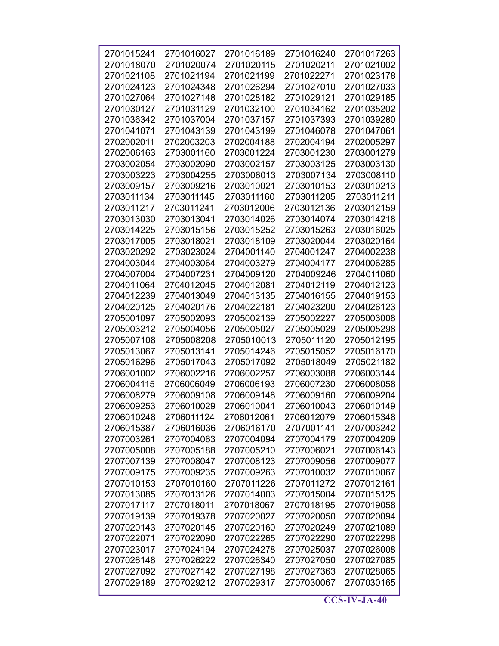| 2701015241 | 2701016027 | 2701016189 | 2701016240 | 2701017263 |
|------------|------------|------------|------------|------------|
| 2701018070 | 2701020074 | 2701020115 | 2701020211 | 2701021002 |
| 2701021108 | 2701021194 | 2701021199 | 2701022271 | 2701023178 |
| 2701024123 | 2701024348 | 2701026294 | 2701027010 | 2701027033 |
| 2701027064 | 2701027148 | 2701028182 | 2701029121 | 2701029185 |
| 2701030127 | 2701031129 | 2701032100 | 2701034162 | 2701035202 |
| 2701036342 | 2701037004 | 2701037157 | 2701037393 | 2701039280 |
| 2701041071 | 2701043139 | 2701043199 | 2701046078 | 2701047061 |
| 2702002011 | 2702003203 | 2702004188 | 2702004194 | 2702005297 |
| 2702006163 | 2703001160 | 2703001224 | 2703001230 | 2703001279 |
| 2703002054 | 2703002090 | 2703002157 | 2703003125 | 2703003130 |
| 2703003223 | 2703004255 | 2703006013 | 2703007134 | 2703008110 |
| 2703009157 | 2703009216 | 2703010021 | 2703010153 | 2703010213 |
| 2703011134 | 2703011145 | 2703011160 | 2703011205 | 2703011211 |
| 2703011217 | 2703011241 | 2703012006 | 2703012136 | 2703012159 |
| 2703013030 | 2703013041 | 2703014026 | 2703014074 | 2703014218 |
| 2703014225 | 2703015156 | 2703015252 | 2703015263 | 2703016025 |
| 2703017005 | 2703018021 | 2703018109 | 2703020044 | 2703020164 |
|            |            | 2704001140 |            |            |
| 2703020292 | 2703023024 |            | 2704001247 | 2704002238 |
| 2704003044 | 2704003064 | 2704003279 | 2704004177 | 2704006285 |
| 2704007004 | 2704007231 | 2704009120 | 2704009246 | 2704011060 |
| 2704011064 | 2704012045 | 2704012081 | 2704012119 | 2704012123 |
| 2704012239 | 2704013049 | 2704013135 | 2704016155 | 2704019153 |
| 2704020125 | 2704020176 | 2704022181 | 2704023200 | 2704026123 |
| 2705001097 | 2705002093 | 2705002139 | 2705002227 | 2705003008 |
| 2705003212 | 2705004056 | 2705005027 | 2705005029 | 2705005298 |
| 2705007108 | 2705008208 | 2705010013 | 2705011120 | 2705012195 |
| 2705013067 | 2705013141 | 2705014246 | 2705015052 | 2705016170 |
| 2705016296 | 2705017043 | 2705017092 | 2705018049 | 2705021182 |
| 2706001002 | 2706002216 | 2706002257 | 2706003088 | 2706003144 |
| 2706004115 | 2706006049 | 2706006193 | 2706007230 | 2706008058 |
| 2706008279 | 2706009108 | 2706009148 | 2706009160 | 2706009204 |
| 2706009253 | 2706010029 | 2706010041 | 2706010043 | 2706010149 |
| 2706010248 | 2706011124 | 2706012061 | 2706012079 | 2706015348 |
| 2706015387 | 2706016036 | 2706016170 | 2707001141 | 2707003242 |
| 2707003261 | 2707004063 | 2707004094 | 2707004179 | 2707004209 |
| 2707005008 | 2707005188 | 2707005210 | 2707006021 | 2707006143 |
| 2707007139 | 2707008047 | 2707008123 | 2707009056 | 2707009077 |
| 2707009175 | 2707009235 | 2707009263 | 2707010032 | 2707010067 |
| 2707010153 | 2707010160 | 2707011226 | 2707011272 | 2707012161 |
| 2707013085 | 2707013126 | 2707014003 | 2707015004 | 2707015125 |
| 2707017117 | 2707018011 |            | 2707018195 | 2707019058 |
|            |            | 2707018067 |            |            |
| 2707019139 | 2707019378 | 2707020027 | 2707020050 | 2707020094 |
| 2707020143 | 2707020145 | 2707020160 | 2707020249 | 2707021089 |
| 2707022071 | 2707022090 | 2707022265 | 2707022290 | 2707022296 |
| 2707023017 | 2707024194 | 2707024278 | 2707025037 | 2707026008 |
| 2707026148 | 2707026222 | 2707026340 | 2707027050 | 2707027085 |
| 2707027092 | 2707027142 | 2707027198 | 2707027363 | 2707028065 |
| 2707029189 | 2707029212 | 2707029317 | 2707030067 | 2707030165 |
|            |            |            |            |            |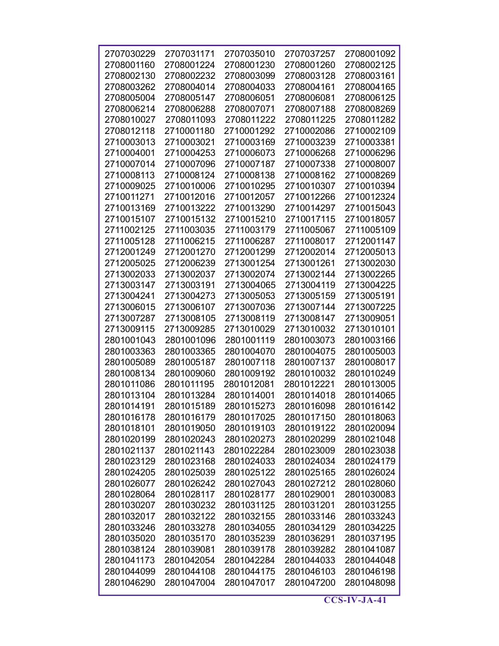| 2707030229 | 2707031171 | 2707035010 | 2707037257 | 2708001092 |
|------------|------------|------------|------------|------------|
| 2708001160 | 2708001224 | 2708001230 | 2708001260 | 2708002125 |
| 2708002130 | 2708002232 | 2708003099 | 2708003128 | 2708003161 |
| 2708003262 | 2708004014 | 2708004033 | 2708004161 | 2708004165 |
| 2708005004 | 2708005147 | 2708006051 | 2708006081 | 2708006125 |
| 2708006214 | 2708006288 | 2708007071 | 2708007188 | 2708008269 |
| 2708010027 | 2708011093 | 2708011222 | 2708011225 | 2708011282 |
| 2708012118 | 2710001180 | 2710001292 | 2710002086 | 2710002109 |
| 2710003013 | 2710003021 | 2710003169 | 2710003239 | 2710003381 |
| 2710004001 | 2710004253 | 2710006073 | 2710006268 | 2710006296 |
| 2710007014 | 2710007096 | 2710007187 | 2710007338 | 2710008007 |
| 2710008113 | 2710008124 | 2710008138 | 2710008162 | 2710008269 |
| 2710009025 | 2710010006 | 2710010295 | 2710010307 | 2710010394 |
| 2710011271 | 2710012016 | 2710012057 | 2710012266 | 2710012324 |
| 2710013169 | 2710013222 | 2710013290 | 2710014297 | 2710015043 |
| 2710015107 | 2710015132 | 2710015210 | 2710017115 | 2710018057 |
| 2711002125 | 2711003035 | 2711003179 | 2711005067 | 2711005109 |
| 2711005128 | 2711006215 | 2711006287 | 2711008017 | 2712001147 |
| 2712001249 | 2712001270 | 2712001299 | 2712002014 | 2712005013 |
| 2712005025 | 2712006239 | 2713001254 | 2713001261 | 2713002030 |
| 2713002033 | 2713002037 | 2713002074 | 2713002144 | 2713002265 |
| 2713003147 | 2713003191 | 2713004065 | 2713004119 | 2713004225 |
| 2713004241 | 2713004273 | 2713005053 | 2713005159 | 2713005191 |
| 2713006015 | 2713006107 | 2713007036 | 2713007144 | 2713007225 |
| 2713007287 | 2713008105 | 2713008119 | 2713008147 | 2713009051 |
| 2713009115 | 2713009285 | 2713010029 | 2713010032 | 2713010101 |
| 2801001043 | 2801001096 | 2801001119 | 2801003073 | 2801003166 |
| 2801003363 | 2801003365 | 2801004070 | 2801004075 | 2801005003 |
| 2801005089 | 2801005187 | 2801007118 | 2801007137 | 2801008017 |
| 2801008134 | 2801009060 | 2801009192 | 2801010032 | 2801010249 |
| 2801011086 | 2801011195 | 2801012081 | 2801012221 | 2801013005 |
| 2801013104 | 2801013284 | 2801014001 | 2801014018 | 2801014065 |
| 2801014191 | 2801015189 | 2801015273 | 2801016098 | 2801016142 |
| 2801016178 | 2801016179 | 2801017025 | 2801017150 | 2801018063 |
| 2801018101 | 2801019050 | 2801019103 | 2801019122 | 2801020094 |
| 2801020199 | 2801020243 | 2801020273 | 2801020299 | 2801021048 |
| 2801021137 | 2801021143 | 2801022284 | 2801023009 | 2801023038 |
| 2801023129 | 2801023168 | 2801024033 | 2801024034 | 2801024179 |
| 2801024205 | 2801025039 | 2801025122 | 2801025165 | 2801026024 |
| 2801026077 | 2801026242 | 2801027043 | 2801027212 | 2801028060 |
| 2801028064 | 2801028117 | 2801028177 | 2801029001 | 2801030083 |
| 2801030207 | 2801030232 | 2801031125 | 2801031201 | 2801031255 |
| 2801032017 | 2801032122 | 2801032155 | 2801033146 | 2801033243 |
| 2801033246 | 2801033278 | 2801034055 | 2801034129 | 2801034225 |
| 2801035020 | 2801035170 | 2801035239 | 2801036291 | 2801037195 |
| 2801038124 | 2801039081 | 2801039178 | 2801039282 | 2801041087 |
| 2801041173 | 2801042054 | 2801042284 | 2801044033 | 2801044048 |
| 2801044099 | 2801044108 | 2801044175 | 2801046103 | 2801046198 |
| 2801046290 | 2801047004 | 2801047017 | 2801047200 | 2801048098 |
|            |            |            |            |            |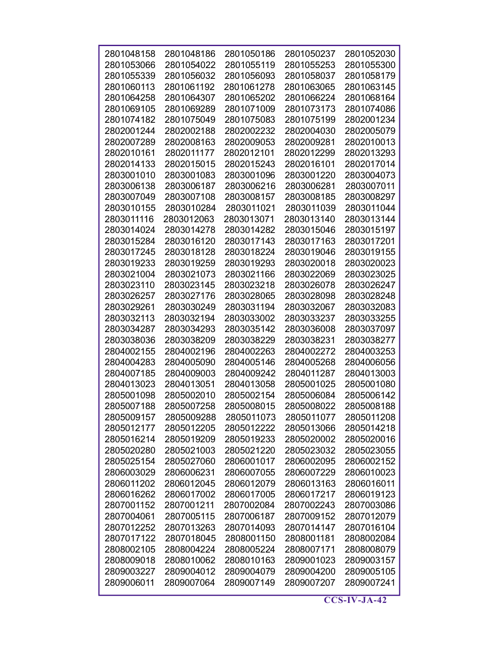| 2801048158               | 2801048186               | 2801050186               | 2801050237               | 2801052030               |
|--------------------------|--------------------------|--------------------------|--------------------------|--------------------------|
| 2801053066               | 2801054022               | 2801055119               | 2801055253               | 2801055300               |
| 2801055339               | 2801056032               | 2801056093               | 2801058037               | 2801058179               |
| 2801060113               | 2801061192               | 2801061278               | 2801063065               | 2801063145               |
| 2801064258               | 2801064307               | 2801065202               | 2801066224               | 2801068164               |
| 2801069105               | 2801069289               | 2801071009               | 2801073173               | 2801074086               |
| 2801074182               | 2801075049               | 2801075083               | 2801075199               | 2802001234               |
| 2802001244               | 2802002188               | 2802002232               | 2802004030               | 2802005079               |
| 2802007289               | 2802008163               | 2802009053               | 2802009281               | 2802010013               |
| 2802010161               | 2802011177               | 2802012101               | 2802012299               | 2802013293               |
| 2802014133               | 2802015015               | 2802015243               | 2802016101               | 2802017014               |
| 2803001010               | 2803001083               | 2803001096               | 2803001220               | 2803004073               |
| 2803006138               | 2803006187               | 2803006216               | 2803006281               | 2803007011               |
| 2803007049               | 2803007108               | 2803008157               | 2803008185               | 2803008297               |
| 2803010155               | 2803010284               | 2803011021               | 2803011039               | 2803011044               |
| 2803011116               | 2803012063               | 2803013071               | 2803013140               | 2803013144               |
| 2803014024               | 2803014278               | 2803014282               | 2803015046               | 2803015197               |
| 2803015284               | 2803016120               | 2803017143               | 2803017163               | 2803017201               |
| 2803017245               | 2803018128               | 2803018224               | 2803019046               | 2803019155               |
| 2803019233               | 2803019259               | 2803019293               | 2803020018               | 2803020023               |
| 2803021004               | 2803021073               | 2803021166               | 2803022069               | 2803023025               |
| 2803023110               | 2803023145               | 2803023218               | 2803026078               | 2803026247               |
| 2803026257               | 2803027176               | 2803028065               | 2803028098               | 2803028248               |
| 2803029261               | 2803030249               | 2803031194               | 2803032067               | 2803032083               |
| 2803032113               | 2803032194               | 2803033002               | 2803033237               | 2803033255               |
| 2803034287               | 2803034293               | 2803035142               | 2803036008               | 2803037097               |
| 2803038036               | 2803038209               | 2803038229               | 2803038231               | 2803038277               |
| 2804002155               | 2804002196               | 2804002263               | 2804002272               | 2804003253               |
| 2804004283               | 2804005090               | 2804005146               | 2804005268               | 2804006056               |
| 2804007185               | 2804009003               | 2804009242               | 2804011287               | 2804013003               |
| 2804013023               | 2804013051               | 2804013058               | 2805001025               | 2805001080               |
| 2805001098               | 2805002010               | 2805002154               | 2805006084               | 2805006142               |
| 2805007188               | 2805007258               | 2805008015               | 2805008022               | 2805008188               |
| 2805009157               | 2805009288               | 2805011073               | 2805011077               | 2805011208               |
| 2805012177               | 2805012205               | 2805012222               | 2805013066               | 2805014218               |
| 2805016214               | 2805019209               | 2805019233               | 2805020002               | 2805020016               |
| 2805020280               | 2805021003               | 2805021220               | 2805023032               | 2805023055               |
| 2805025154               | 2805027060               | 2806001017               | 2806002095               | 2806002152               |
| 2806003029               | 2806006231               | 2806007055               | 2806007229               | 2806010023               |
| 2806011202               | 2806012045               | 2806012079               | 2806013163               | 2806016011               |
| 2806016262               | 2806017002               | 2806017005               | 2806017217               | 2806019123               |
| 2807001152               | 2807001211               | 2807002084               | 2807002243               | 2807003086               |
| 2807004061               | 2807005115               | 2807006187               | 2807009152               | 2807012079               |
| 2807012252               | 2807013263               | 2807014093               | 2807014147               | 2807016104               |
| 2807017122<br>2808002105 | 2807018045<br>2808004224 | 2808001150<br>2808005224 | 2808001181<br>2808007171 | 2808002084<br>2808008079 |
| 2808009018               | 2808010062               | 2808010163               | 2809001023               | 2809003157               |
| 2809003227               | 2809004012               | 2809004079               | 2809004200               | 2809005105               |
| 2809006011               | 2809007064               | 2809007149               | 2809007207               | 2809007241               |
|                          |                          |                          |                          |                          |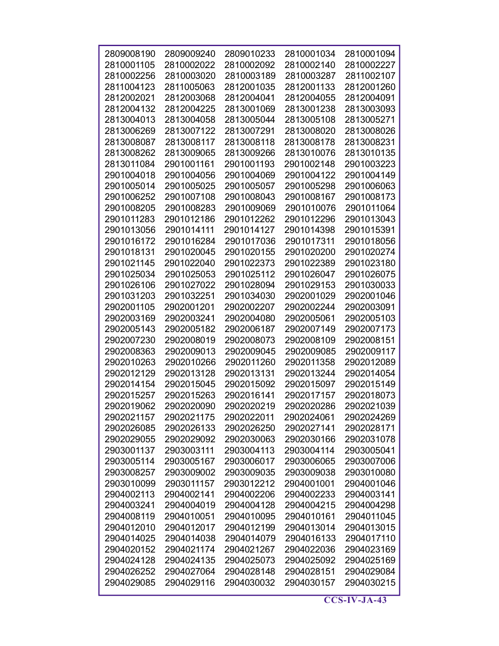| 2809008190 | 2809009240 | 2809010233 | 2810001034 | 2810001094 |
|------------|------------|------------|------------|------------|
| 2810001105 | 2810002022 | 2810002092 | 2810002140 | 2810002227 |
| 2810002256 | 2810003020 | 2810003189 | 2810003287 | 2811002107 |
| 2811004123 | 2811005063 | 2812001035 | 2812001133 | 2812001260 |
| 2812002021 | 2812003068 | 2812004041 | 2812004055 | 2812004091 |
| 2812004132 | 2812004225 | 2813001069 | 2813001238 | 2813003093 |
| 2813004013 | 2813004058 | 2813005044 | 2813005108 | 2813005271 |
| 2813006269 | 2813007122 | 2813007291 | 2813008020 | 2813008026 |
| 2813008087 | 2813008117 | 2813008118 | 2813008178 | 2813008231 |
| 2813008262 | 2813009065 | 2813009266 | 2813010076 | 2813010135 |
| 2813011084 | 2901001161 | 2901001193 | 2901002148 | 2901003223 |
| 2901004018 | 2901004056 | 2901004069 | 2901004122 | 2901004149 |
| 2901005014 | 2901005025 | 2901005057 | 2901005298 | 2901006063 |
| 2901006252 | 2901007108 | 2901008043 | 2901008167 | 2901008173 |
| 2901008205 | 2901008283 | 2901009069 | 2901010076 | 2901011064 |
| 2901011283 | 2901012186 | 2901012262 | 2901012296 | 2901013043 |
| 2901013056 | 2901014111 | 2901014127 | 2901014398 | 2901015391 |
| 2901016172 | 2901016284 | 2901017036 | 2901017311 | 2901018056 |
| 2901018131 | 2901020045 | 2901020155 | 2901020200 | 2901020274 |
| 2901021145 | 2901022040 | 2901022373 | 2901022389 | 2901023180 |
| 2901025034 | 2901025053 | 2901025112 | 2901026047 | 2901026075 |
| 2901026106 | 2901027022 | 2901028094 | 2901029153 | 2901030033 |
| 2901031203 | 2901032251 | 2901034030 | 2902001029 | 2902001046 |
| 2902001105 | 2902001201 | 2902002207 | 2902002244 | 2902003091 |
| 2902003169 | 2902003241 | 2902004080 | 2902005061 | 2902005103 |
| 2902005143 | 2902005182 | 2902006187 | 2902007149 | 2902007173 |
| 2902007230 | 2902008019 | 2902008073 | 2902008109 | 2902008151 |
| 2902008363 | 2902009013 | 2902009045 | 2902009085 | 2902009117 |
| 2902010263 | 2902010266 | 2902011260 | 2902011358 | 2902012089 |
| 2902012129 | 2902013128 | 2902013131 | 2902013244 | 2902014054 |
| 2902014154 | 2902015045 | 2902015092 | 2902015097 | 2902015149 |
| 2902015257 | 2902015263 | 2902016141 | 2902017157 | 2902018073 |
| 2902019062 | 2902020090 | 2902020219 | 2902020286 | 2902021039 |
| 2902021157 | 2902021175 | 2902022011 | 2902024061 | 2902024269 |
| 2902026085 | 2902026133 | 2902026250 | 2902027141 | 2902028171 |
| 2902029055 | 2902029092 | 2902030063 | 2902030166 | 2902031078 |
| 2903001137 | 2903003111 | 2903004113 | 2903004114 | 2903005041 |
| 2903005114 | 2903005167 | 2903006017 | 2903006065 | 2903007006 |
| 2903008257 | 2903009002 | 2903009035 | 2903009038 | 2903010080 |
| 2903010099 | 2903011157 | 2903012212 | 2904001001 | 2904001046 |
| 2904002113 | 2904002141 | 2904002206 | 2904002233 | 2904003141 |
| 2904003241 | 2904004019 | 2904004128 | 2904004215 | 2904004298 |
| 2904008119 | 2904010051 | 2904010095 | 2904010161 | 2904011045 |
| 2904012010 | 2904012017 | 2904012199 | 2904013014 | 2904013015 |
| 2904014025 | 2904014038 | 2904014079 | 2904016133 | 2904017110 |
| 2904020152 | 2904021174 | 2904021267 | 2904022036 | 2904023169 |
| 2904024128 | 2904024135 | 2904025073 | 2904025092 | 2904025169 |
| 2904026252 | 2904027064 | 2904028148 | 2904028151 | 2904029084 |
| 2904029085 | 2904029116 | 2904030032 | 2904030157 | 2904030215 |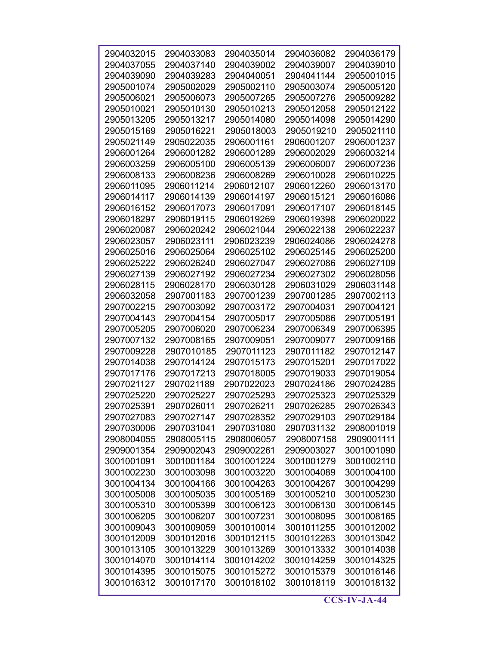| 2904032015 | 2904033083 | 2904035014 | 2904036082 | 2904036179 |
|------------|------------|------------|------------|------------|
| 2904037055 | 2904037140 | 2904039002 | 2904039007 | 2904039010 |
| 2904039090 | 2904039283 | 2904040051 | 2904041144 | 2905001015 |
| 2905001074 | 2905002029 | 2905002110 | 2905003074 | 2905005120 |
| 2905006021 | 2905006073 | 2905007265 | 2905007276 | 2905009282 |
| 2905010021 | 2905010130 | 2905010213 | 2905012058 | 2905012122 |
| 2905013205 | 2905013217 | 2905014080 | 2905014098 | 2905014290 |
| 2905015169 | 2905016221 | 2905018003 | 2905019210 | 2905021110 |
| 2905021149 | 2905022035 | 2906001161 | 2906001207 | 2906001237 |
| 2906001264 | 2906001282 | 2906001289 | 2906002029 | 2906003214 |
| 2906003259 | 2906005100 | 2906005139 | 2906006007 | 2906007236 |
| 2906008133 | 2906008236 | 2906008269 | 2906010028 | 2906010225 |
| 2906011095 | 2906011214 | 2906012107 | 2906012260 | 2906013170 |
| 2906014117 | 2906014139 | 2906014197 | 2906015121 | 2906016086 |
| 2906016152 | 2906017073 | 2906017091 | 2906017107 | 2906018145 |
| 2906018297 | 2906019115 | 2906019269 | 2906019398 | 2906020022 |
| 2906020087 | 2906020242 | 2906021044 | 2906022138 | 2906022237 |
| 2906023057 | 2906023111 | 2906023239 | 2906024086 | 2906024278 |
| 2906025016 | 2906025064 | 2906025102 | 2906025145 | 2906025200 |
| 2906025222 | 2906026240 | 2906027047 | 2906027086 | 2906027109 |
| 2906027139 | 2906027192 | 2906027234 | 2906027302 | 2906028056 |
| 2906028115 | 2906028170 | 2906030128 | 2906031029 | 2906031148 |
| 2906032058 | 2907001183 | 2907001239 | 2907001285 | 2907002113 |
| 2907002215 | 2907003092 | 2907003172 | 2907004031 | 2907004121 |
| 2907004143 | 2907004154 | 2907005017 | 2907005086 | 2907005191 |
| 2907005205 | 2907006020 | 2907006234 | 2907006349 | 2907006395 |
| 2907007132 | 2907008165 | 2907009051 | 2907009077 | 2907009166 |
| 2907009228 | 2907010185 | 2907011123 | 2907011182 | 2907012147 |
| 2907014038 | 2907014124 | 2907015173 | 2907015201 | 2907017022 |
| 2907017176 | 2907017213 | 2907018005 | 2907019033 | 2907019054 |
| 2907021127 | 2907021189 | 2907022023 | 2907024186 | 2907024285 |
| 2907025220 | 2907025227 | 2907025293 | 2907025323 | 2907025329 |
| 2907025391 | 2907026011 | 2907026211 | 2907026285 | 2907026343 |
| 2907027083 | 2907027147 | 2907028352 | 2907029103 | 2907029184 |
| 2907030006 | 2907031041 | 2907031080 | 2907031132 | 2908001019 |
| 2908004055 | 2908005115 | 2908006057 | 2908007158 | 2909001111 |
| 2909001354 | 2909002043 | 2909002261 | 2909003027 | 3001001090 |
| 3001001091 | 3001001184 | 3001001224 | 3001001279 | 3001002110 |
| 3001002230 | 3001003098 | 3001003220 | 3001004089 | 3001004100 |
| 3001004134 | 3001004166 | 3001004263 | 3001004267 | 3001004299 |
| 3001005008 | 3001005035 | 3001005169 | 3001005210 | 3001005230 |
| 3001005310 | 3001005399 | 3001006123 | 3001006130 | 3001006145 |
| 3001006205 | 3001006207 | 3001007231 | 3001008095 | 3001008165 |
| 3001009043 | 3001009059 | 3001010014 | 3001011255 | 3001012002 |
| 3001012009 | 3001012016 | 3001012115 | 3001012263 | 3001013042 |
| 3001013105 | 3001013229 | 3001013269 | 3001013332 | 3001014038 |
| 3001014070 | 3001014114 | 3001014202 | 3001014259 | 3001014325 |
| 3001014395 | 3001015075 | 3001015272 | 3001015379 | 3001016146 |
| 3001016312 | 3001017170 | 3001018102 | 3001018119 | 3001018132 |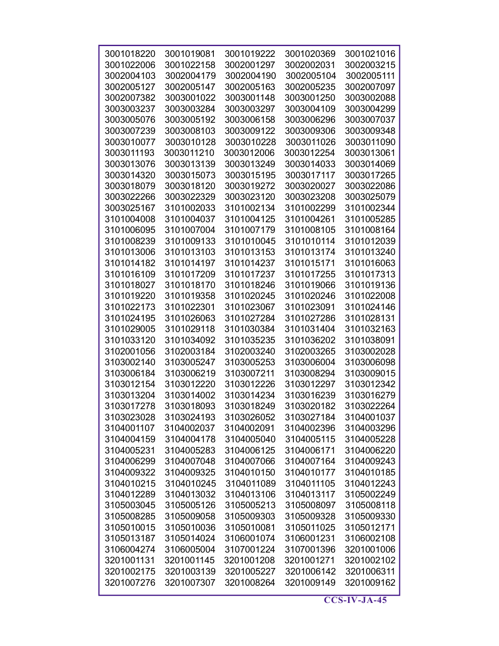| 3001018220 | 3001019081 | 3001019222 | 3001020369 | 3001021016 |
|------------|------------|------------|------------|------------|
| 3001022006 | 3001022158 | 3002001297 | 3002002031 | 3002003215 |
| 3002004103 | 3002004179 | 3002004190 | 3002005104 | 3002005111 |
| 3002005127 | 3002005147 | 3002005163 | 3002005235 | 3002007097 |
| 3002007382 | 3003001022 | 3003001148 | 3003001250 | 3003002088 |
| 3003003237 | 3003003284 | 3003003297 | 3003004109 | 3003004299 |
| 3003005076 | 3003005192 | 3003006158 | 3003006296 | 3003007037 |
| 3003007239 | 3003008103 | 3003009122 | 3003009306 | 3003009348 |
| 3003010077 | 3003010128 | 3003010228 | 3003011026 | 3003011090 |
| 3003011193 | 3003011210 | 3003012006 | 3003012254 | 3003013061 |
|            |            |            |            |            |
| 3003013076 | 3003013139 | 3003013249 | 3003014033 | 3003014069 |
| 3003014320 | 3003015073 | 3003015195 | 3003017117 | 3003017265 |
| 3003018079 | 3003018120 | 3003019272 | 3003020027 | 3003022086 |
| 3003022266 | 3003022329 | 3003023120 | 3003023208 | 3003025079 |
| 3003025167 | 3101002033 | 3101002134 | 3101002299 | 3101002344 |
| 3101004008 | 3101004037 | 3101004125 | 3101004261 | 3101005285 |
| 3101006095 | 3101007004 | 3101007179 | 3101008105 | 3101008164 |
| 3101008239 | 3101009133 | 3101010045 | 3101010114 | 3101012039 |
| 3101013006 | 3101013103 | 3101013153 | 3101013174 | 3101013240 |
| 3101014182 | 3101014197 | 3101014237 | 3101015171 | 3101016063 |
| 3101016109 | 3101017209 | 3101017237 | 3101017255 | 3101017313 |
| 3101018027 | 3101018170 | 3101018246 | 3101019066 | 3101019136 |
| 3101019220 | 3101019358 | 3101020245 | 3101020246 | 3101022008 |
|            |            |            |            |            |
| 3101022173 | 3101022301 | 3101023067 | 3101023091 | 3101024146 |
| 3101024195 | 3101026063 | 3101027284 | 3101027286 | 3101028131 |
| 3101029005 | 3101029118 | 3101030384 | 3101031404 | 3101032163 |
| 3101033120 | 3101034092 | 3101035235 | 3101036202 | 3101038091 |
| 3102001056 | 3102003184 | 3102003240 | 3102003265 | 3103002028 |
| 3103002140 | 3103005247 | 3103005253 | 3103006004 | 3103006098 |
| 3103006184 | 3103006219 | 3103007211 | 3103008294 | 3103009015 |
| 3103012154 | 3103012220 | 3103012226 | 3103012297 | 3103012342 |
| 3103013204 | 3103014002 | 3103014234 | 3103016239 | 3103016279 |
| 3103017278 | 3103018093 | 3103018249 | 3103020182 | 3103022264 |
| 3103023028 | 3103024193 | 3103026052 | 3103027184 | 3104001037 |
| 3104001107 | 3104002037 | 3104002091 | 3104002396 | 3104003296 |
| 3104004159 | 3104004178 | 3104005040 | 3104005115 | 3104005228 |
| 3104005231 | 3104005283 | 3104006125 | 3104006171 | 3104006220 |
| 3104006299 | 3104007048 | 3104007066 | 3104007164 | 3104009243 |
| 3104009322 | 3104009325 | 3104010150 | 3104010177 | 3104010185 |
|            |            |            |            |            |
| 3104010215 | 3104010245 | 3104011089 | 3104011105 | 3104012243 |
| 3104012289 | 3104013032 | 3104013106 | 3104013117 | 3105002249 |
| 3105003045 | 3105005126 | 3105005213 | 3105008097 | 3105008118 |
| 3105008285 | 3105009058 | 3105009303 | 3105009328 | 3105009330 |
| 3105010015 | 3105010036 | 3105010081 | 3105011025 | 3105012171 |
| 3105013187 | 3105014024 | 3106001074 | 3106001231 | 3106002108 |
| 3106004274 | 3106005004 | 3107001224 | 3107001396 | 3201001006 |
| 3201001131 | 3201001145 | 3201001208 | 3201001271 | 3201002102 |
| 3201002175 | 3201003139 | 3201005227 | 3201006142 | 3201006311 |
| 3201007276 | 3201007307 | 3201008264 | 3201009149 | 3201009162 |
|            |            |            |            |            |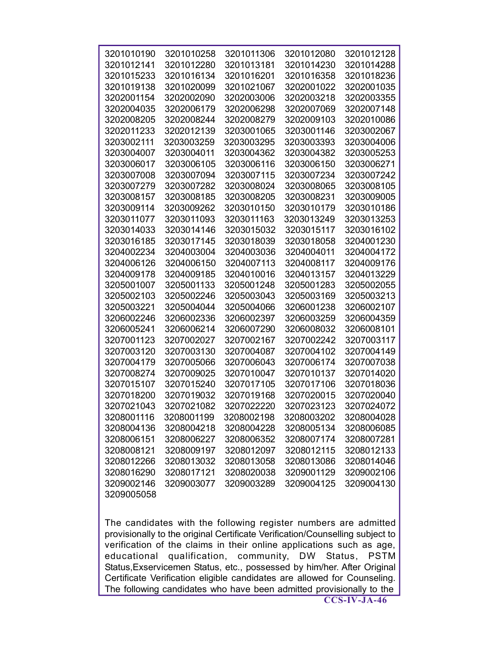| 3201010190 | 3201010258 | 3201011306 | 3201012080                                                                    | 3201012128 |
|------------|------------|------------|-------------------------------------------------------------------------------|------------|
| 3201012141 | 3201012280 | 3201013181 | 3201014230                                                                    | 3201014288 |
| 3201015233 | 3201016134 | 3201016201 | 3201016358                                                                    | 3201018236 |
| 3201019138 | 3201020099 | 3201021067 | 3202001022                                                                    | 3202001035 |
| 3202001154 | 3202002090 | 3202003006 | 3202003218                                                                    | 3202003355 |
| 3202004035 | 3202006179 | 3202006298 | 3202007069                                                                    | 3202007148 |
| 3202008205 | 3202008244 | 3202008279 | 3202009103                                                                    | 3202010086 |
| 3202011233 | 3202012139 | 3203001065 | 3203001146                                                                    | 3203002067 |
| 3203002111 | 3203003259 | 3203003295 | 3203003393                                                                    | 3203004006 |
| 3203004007 | 3203004011 | 3203004362 | 3203004382                                                                    | 3203005253 |
| 3203006017 | 3203006105 | 3203006116 | 3203006150                                                                    | 3203006271 |
| 3203007008 | 3203007094 | 3203007115 | 3203007234                                                                    | 3203007242 |
| 3203007279 | 3203007282 | 3203008024 | 3203008065                                                                    | 3203008105 |
| 3203008157 | 3203008185 | 3203008205 | 3203008231                                                                    | 3203009005 |
| 3203009114 | 3203009262 | 3203010150 | 3203010179                                                                    | 3203010186 |
| 3203011077 | 3203011093 | 3203011163 | 3203013249                                                                    | 3203013253 |
| 3203014033 | 3203014146 | 3203015032 | 3203015117                                                                    | 3203016102 |
| 3203016185 | 3203017145 | 3203018039 | 3203018058                                                                    | 3204001230 |
| 3204002234 | 3204003004 | 3204003036 | 3204004011                                                                    | 3204004172 |
| 3204006126 | 3204006150 | 3204007113 | 3204008117                                                                    | 3204009176 |
| 3204009178 | 3204009185 | 3204010016 | 3204013157                                                                    | 3204013229 |
| 3205001007 | 3205001133 | 3205001248 | 3205001283                                                                    | 3205002055 |
| 3205002103 | 3205002246 | 3205003043 | 3205003169                                                                    | 3205003213 |
| 3205003221 | 3205004044 | 3205004066 | 3206001238                                                                    | 3206002107 |
| 3206002246 | 3206002336 | 3206002397 | 3206003259                                                                    | 3206004359 |
| 3206005241 | 3206006214 | 3206007290 | 3206008032                                                                    | 3206008101 |
| 3207001123 | 3207002027 | 3207002167 | 3207002242                                                                    | 3207003117 |
| 3207003120 | 3207003130 | 3207004087 | 3207004102                                                                    | 3207004149 |
| 3207004179 | 3207005066 | 3207006043 | 3207006174                                                                    | 3207007038 |
| 3207008274 | 3207009025 | 3207010047 | 3207010137                                                                    | 3207014020 |
| 3207015107 | 3207015240 | 3207017105 | 3207017106                                                                    | 3207018036 |
| 3207018200 | 3207019032 | 3207019168 | 3207020015                                                                    | 3207020040 |
| 3207021043 | 3207021082 | 3207022220 | 3207023123                                                                    | 3207024072 |
| 3208001116 | 3208001199 | 3208002198 | 3208003202                                                                    | 3208004028 |
| 3208004136 | 3208004218 | 3208004228 | 3208005134                                                                    | 3208006085 |
| 3208006151 | 3208006227 | 3208006352 | 3208007174                                                                    | 3208007281 |
| 3208008121 | 3208009197 | 3208012097 | 3208012115                                                                    | 3208012133 |
| 3208012266 | 3208013032 | 3208013058 | 3208013086                                                                    | 3208014046 |
| 3208016290 | 3208017121 | 3208020038 | 3209001129                                                                    | 3209002106 |
| 3209002146 | 3209003077 | 3209003289 | 3209004125                                                                    | 3209004130 |
| 3209005058 |            |            |                                                                               |            |
|            |            |            |                                                                               |            |
|            |            |            |                                                                               |            |
|            |            |            | The candidates with the following register numbers are admitted               |            |
|            |            |            | provisionally to the original Certificate Verification/Counselling subject to |            |
|            |            |            | verification of the claims in their online applications such as age,          |            |

verification of the claims in their online applications such as age, educational qualification, community, DW Status, PSTM Status,Exservicemen Status, etc., possessed by him/her. After Original Certificate Verification eligible candidates are allowed for Counseling. The following candidates who have been admitted provisionally to the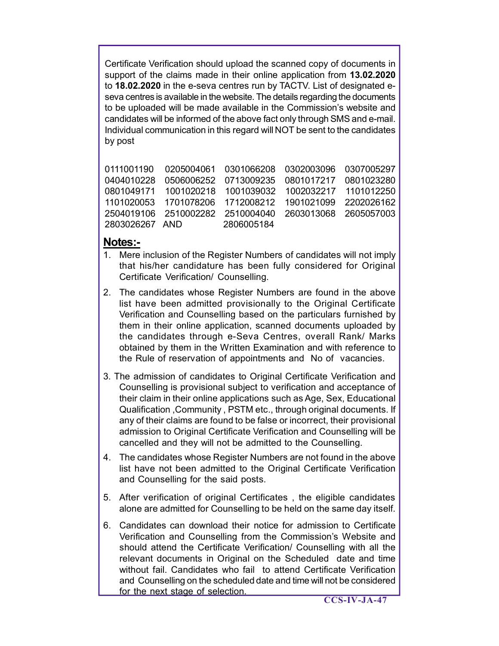Certificate Verification should upload the scanned copy of documents in support of the claims made in their online application from **13.02.2020** to **18.02.2020** in the e-seva centres run by TACTV. List of designated eseva centres is available in the website. The details regarding the documents to be uploaded will be made available in the Commission's website and candidates will be informed of the above fact only through SMS and e-mail. Individual communication in this regard will NOT be sent to the candidates by post

| 0111001190  0205004061  0301066208  0302003096  0307005297     |  |  |
|----------------------------------------------------------------|--|--|
| 0404010228   0506006252   0713009235   0801017217   0801023280 |  |  |
|                                                                |  |  |
| 1101020053  1701078206  1712008212  1901021099  2202026162     |  |  |
| 2504019106  2510002282  2510004040  2603013068  2605057003     |  |  |
| 2803026267 AND 2806005184                                      |  |  |
|                                                                |  |  |

## **Notes:-**

- 1. Mere inclusion of the Register Numbers of candidates will not imply that his/her candidature has been fully considered for Original Certificate Verification/ Counselling.
- 2. The candidates whose Register Numbers are found in the above list have been admitted provisionally to the Original Certificate Verification and Counselling based on the particulars furnished by them in their online application, scanned documents uploaded by the candidates through e-Seva Centres, overall Rank/ Marks obtained by them in the Written Examination and with reference to the Rule of reservation of appointments and No of vacancies.
- 3. The admission of candidates to Original Certificate Verification and Counselling is provisional subject to verification and acceptance of their claim in their online applications such as Age, Sex, Educational Qualification ,Community , PSTM etc., through original documents. If any of their claims are found to be false or incorrect, their provisional admission to Original Certificate Verification and Counselling will be cancelled and they will not be admitted to the Counselling.
- 4. The candidates whose Register Numbers are not found in the above list have not been admitted to the Original Certificate Verification and Counselling for the said posts.
- 5. After verification of original Certificates , the eligible candidates alone are admitted for Counselling to be held on the same day itself.
- 6. Candidates can download their notice for admission to Certificate Verification and Counselling from the Commission's Website and should attend the Certificate Verification/ Counselling with all the relevant documents in Original on the Scheduled date and time without fail. Candidates who fail to attend Certificate Verification and Counselling on the scheduled date and time will not be considered for the next stage of selection.